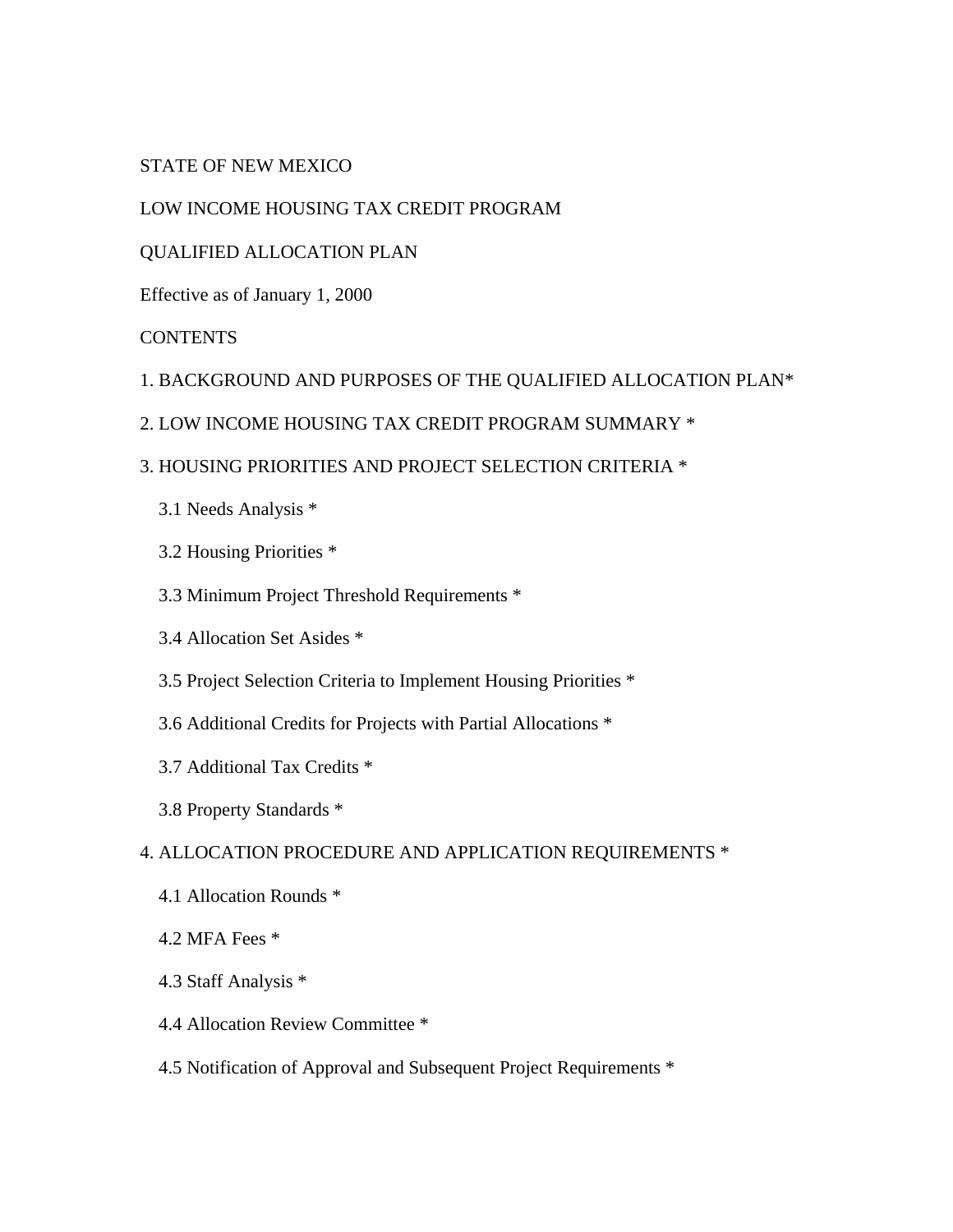STATE OF NEW MEXICO

LOW INCOME HOUSING TAX CREDIT PROGRAM

## QUALIFIED ALLOCATION PLAN

Effective as of January 1, 2000

## **CONTENTS**

- 1. BACKGROUND AND PURPOSES OF THE QUALIFIED ALLOCATION PLAN\*
- 2. LOW INCOME HOUSING TAX CREDIT PROGRAM SUMMARY \*
- 3. HOUSING PRIORITIES AND PROJECT SELECTION CRITERIA \*
	- 3.1 Needs Analysis \*
	- 3.2 Housing Priorities \*
	- 3.3 Minimum Project Threshold Requirements \*
	- 3.4 Allocation Set Asides \*
	- 3.5 Project Selection Criteria to Implement Housing Priorities \*
	- 3.6 Additional Credits for Projects with Partial Allocations \*
	- 3.7 Additional Tax Credits \*
	- 3.8 Property Standards \*

### 4. ALLOCATION PROCEDURE AND APPLICATION REQUIREMENTS \*

- 4.1 Allocation Rounds \*
- 4.2 MFA Fees \*
- 4.3 Staff Analysis \*
- 4.4 Allocation Review Committee \*
- 4.5 Notification of Approval and Subsequent Project Requirements \*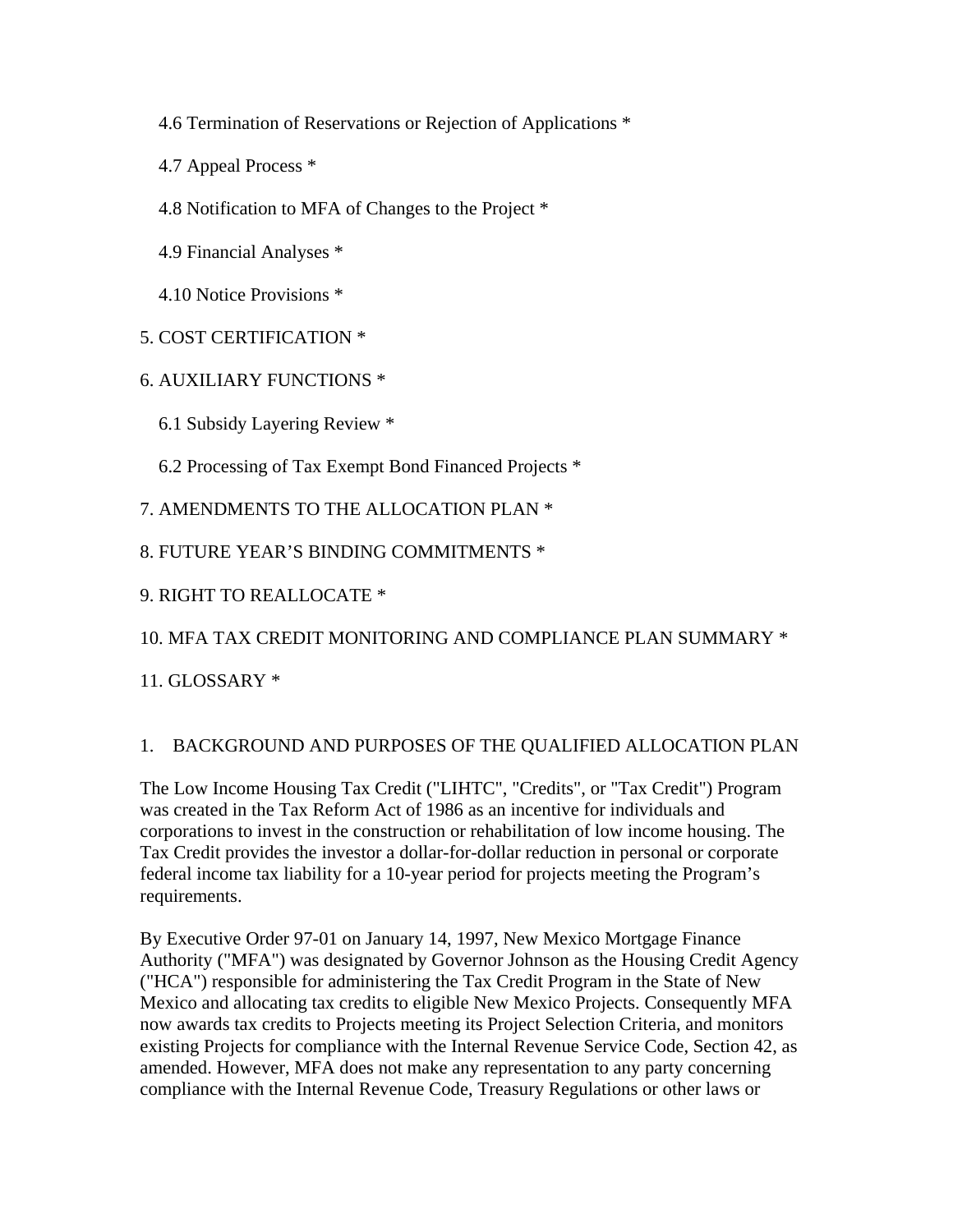- 4.6 Termination of Reservations or Rejection of Applications \*
- 4.7 Appeal Process \*
- 4.8 Notification to MFA of Changes to the Project \*
- 4.9 Financial Analyses \*
- 4.10 Notice Provisions \*
- 5. COST CERTIFICATION \*
- 6. AUXILIARY FUNCTIONS \*
	- 6.1 Subsidy Layering Review \*
	- 6.2 Processing of Tax Exempt Bond Financed Projects \*

7. AMENDMENTS TO THE ALLOCATION PLAN \*

8. FUTURE YEAR'S BINDING COMMITMENTS \*

- 9. RIGHT TO REALLOCATE \*
- 10. MFA TAX CREDIT MONITORING AND COMPLIANCE PLAN SUMMARY \*
- 11. GLOSSARY \*

### 1. BACKGROUND AND PURPOSES OF THE QUALIFIED ALLOCATION PLAN

The Low Income Housing Tax Credit ("LIHTC", "Credits", or "Tax Credit") Program was created in the Tax Reform Act of 1986 as an incentive for individuals and corporations to invest in the construction or rehabilitation of low income housing. The Tax Credit provides the investor a dollar-for-dollar reduction in personal or corporate federal income tax liability for a 10-year period for projects meeting the Program's requirements.

By Executive Order 97-01 on January 14, 1997, New Mexico Mortgage Finance Authority ("MFA") was designated by Governor Johnson as the Housing Credit Agency ("HCA") responsible for administering the Tax Credit Program in the State of New Mexico and allocating tax credits to eligible New Mexico Projects. Consequently MFA now awards tax credits to Projects meeting its Project Selection Criteria, and monitors existing Projects for compliance with the Internal Revenue Service Code, Section 42, as amended. However, MFA does not make any representation to any party concerning compliance with the Internal Revenue Code, Treasury Regulations or other laws or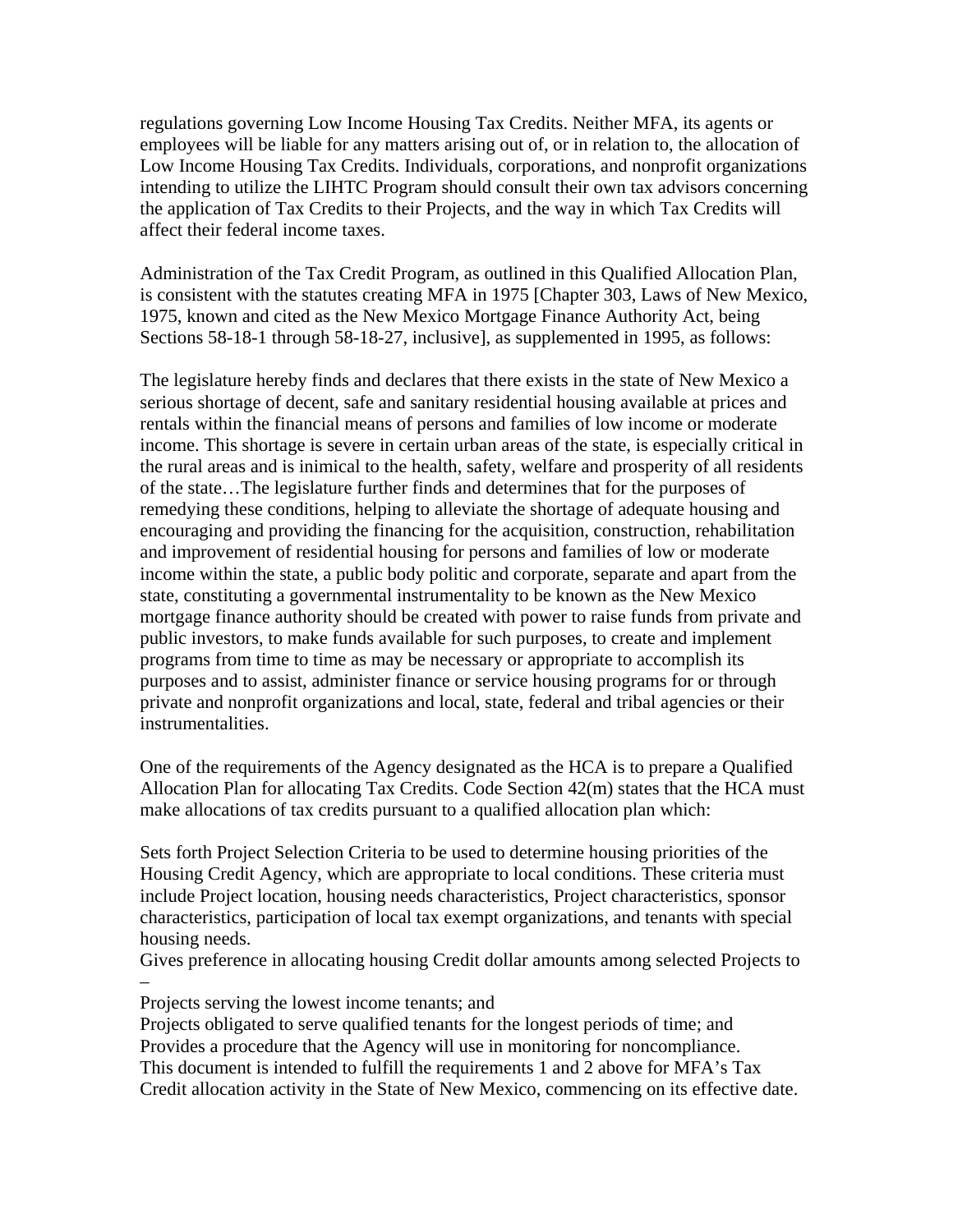regulations governing Low Income Housing Tax Credits. Neither MFA, its agents or employees will be liable for any matters arising out of, or in relation to, the allocation of Low Income Housing Tax Credits. Individuals, corporations, and nonprofit organizations intending to utilize the LIHTC Program should consult their own tax advisors concerning the application of Tax Credits to their Projects, and the way in which Tax Credits will affect their federal income taxes.

Administration of the Tax Credit Program, as outlined in this Qualified Allocation Plan, is consistent with the statutes creating MFA in 1975 [Chapter 303, Laws of New Mexico, 1975, known and cited as the New Mexico Mortgage Finance Authority Act, being Sections 58-18-1 through 58-18-27, inclusive], as supplemented in 1995, as follows:

The legislature hereby finds and declares that there exists in the state of New Mexico a serious shortage of decent, safe and sanitary residential housing available at prices and rentals within the financial means of persons and families of low income or moderate income. This shortage is severe in certain urban areas of the state, is especially critical in the rural areas and is inimical to the health, safety, welfare and prosperity of all residents of the state…The legislature further finds and determines that for the purposes of remedying these conditions, helping to alleviate the shortage of adequate housing and encouraging and providing the financing for the acquisition, construction, rehabilitation and improvement of residential housing for persons and families of low or moderate income within the state, a public body politic and corporate, separate and apart from the state, constituting a governmental instrumentality to be known as the New Mexico mortgage finance authority should be created with power to raise funds from private and public investors, to make funds available for such purposes, to create and implement programs from time to time as may be necessary or appropriate to accomplish its purposes and to assist, administer finance or service housing programs for or through private and nonprofit organizations and local, state, federal and tribal agencies or their instrumentalities.

One of the requirements of the Agency designated as the HCA is to prepare a Qualified Allocation Plan for allocating Tax Credits. Code Section 42(m) states that the HCA must make allocations of tax credits pursuant to a qualified allocation plan which:

Sets forth Project Selection Criteria to be used to determine housing priorities of the Housing Credit Agency, which are appropriate to local conditions. These criteria must include Project location, housing needs characteristics, Project characteristics, sponsor characteristics, participation of local tax exempt organizations, and tenants with special housing needs.

Gives preference in allocating housing Credit dollar amounts among selected Projects to

– Projects serving the lowest income tenants; and

Projects obligated to serve qualified tenants for the longest periods of time; and Provides a procedure that the Agency will use in monitoring for noncompliance. This document is intended to fulfill the requirements 1 and 2 above for MFA's Tax Credit allocation activity in the State of New Mexico, commencing on its effective date.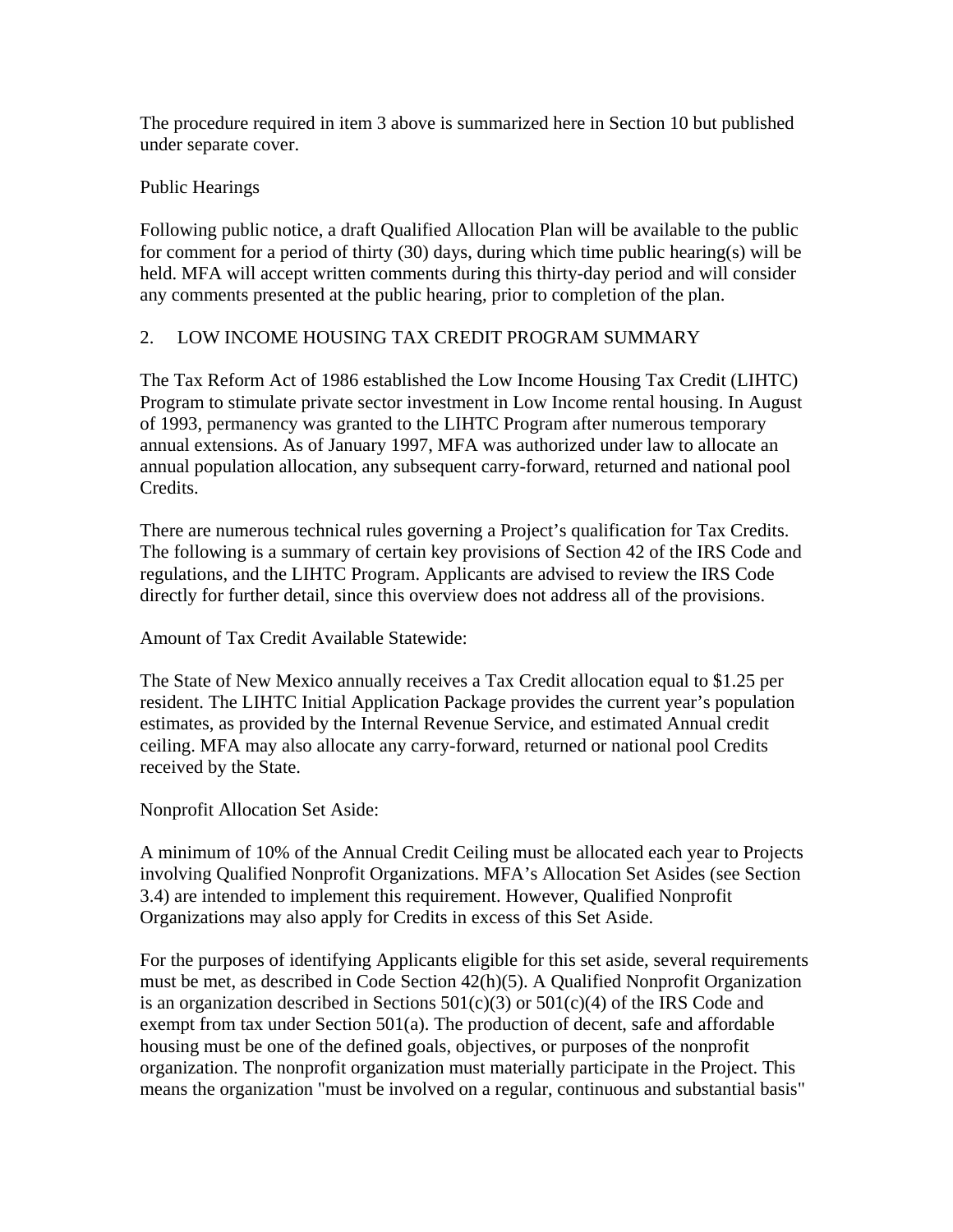The procedure required in item 3 above is summarized here in Section 10 but published under separate cover.

## Public Hearings

Following public notice, a draft Qualified Allocation Plan will be available to the public for comment for a period of thirty (30) days, during which time public hearing(s) will be held. MFA will accept written comments during this thirty-day period and will consider any comments presented at the public hearing, prior to completion of the plan.

## 2. LOW INCOME HOUSING TAX CREDIT PROGRAM SUMMARY

The Tax Reform Act of 1986 established the Low Income Housing Tax Credit (LIHTC) Program to stimulate private sector investment in Low Income rental housing. In August of 1993, permanency was granted to the LIHTC Program after numerous temporary annual extensions. As of January 1997, MFA was authorized under law to allocate an annual population allocation, any subsequent carry-forward, returned and national pool Credits.

There are numerous technical rules governing a Project's qualification for Tax Credits. The following is a summary of certain key provisions of Section 42 of the IRS Code and regulations, and the LIHTC Program. Applicants are advised to review the IRS Code directly for further detail, since this overview does not address all of the provisions.

Amount of Tax Credit Available Statewide:

The State of New Mexico annually receives a Tax Credit allocation equal to \$1.25 per resident. The LIHTC Initial Application Package provides the current year's population estimates, as provided by the Internal Revenue Service, and estimated Annual credit ceiling. MFA may also allocate any carry-forward, returned or national pool Credits received by the State.

Nonprofit Allocation Set Aside:

A minimum of 10% of the Annual Credit Ceiling must be allocated each year to Projects involving Qualified Nonprofit Organizations. MFA's Allocation Set Asides (see Section 3.4) are intended to implement this requirement. However, Qualified Nonprofit Organizations may also apply for Credits in excess of this Set Aside.

For the purposes of identifying Applicants eligible for this set aside, several requirements must be met, as described in Code Section 42(h)(5). A Qualified Nonprofit Organization is an organization described in Sections  $501(c)(3)$  or  $501(c)(4)$  of the IRS Code and exempt from tax under Section 501(a). The production of decent, safe and affordable housing must be one of the defined goals, objectives, or purposes of the nonprofit organization. The nonprofit organization must materially participate in the Project. This means the organization "must be involved on a regular, continuous and substantial basis"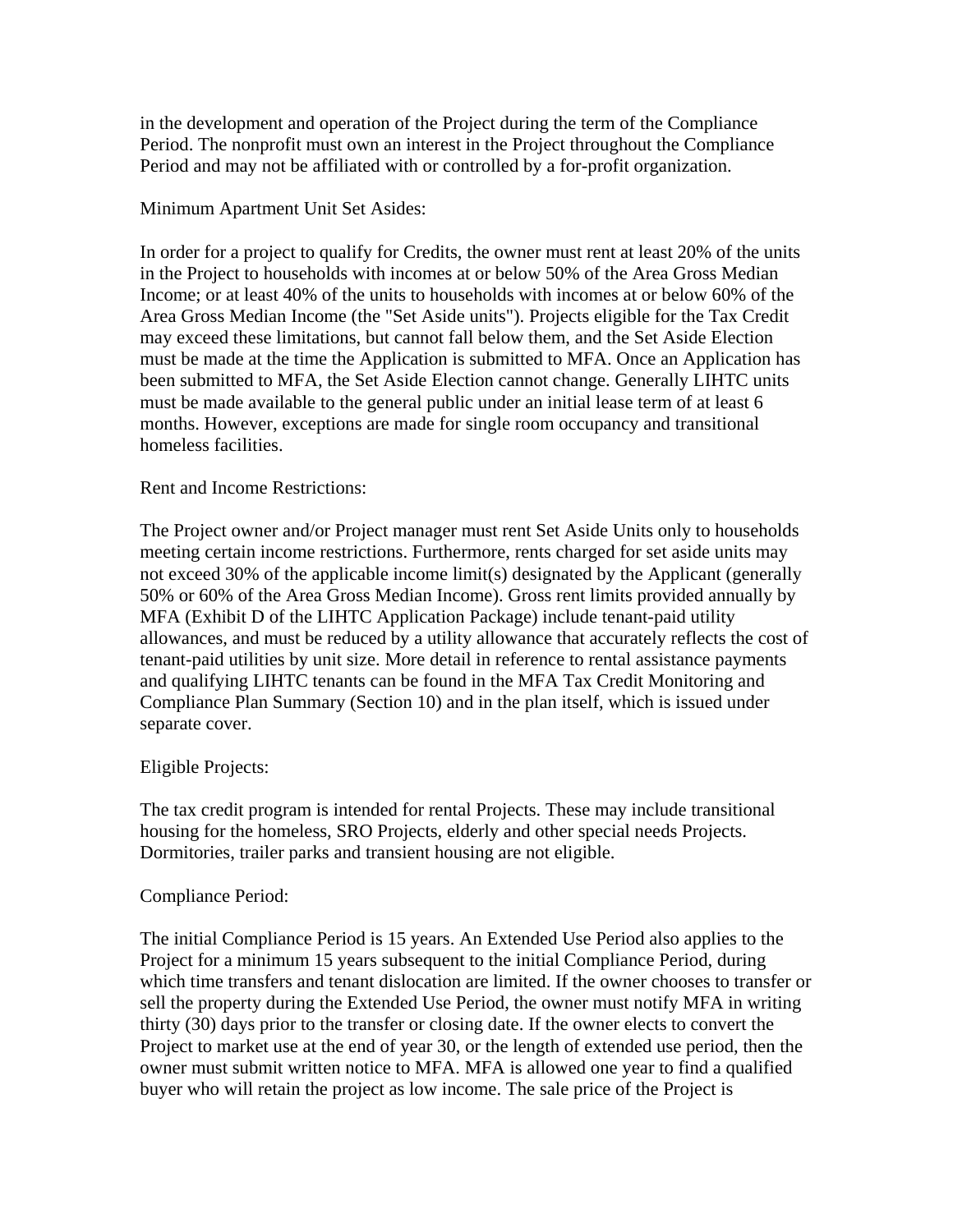in the development and operation of the Project during the term of the Compliance Period. The nonprofit must own an interest in the Project throughout the Compliance Period and may not be affiliated with or controlled by a for-profit organization.

### Minimum Apartment Unit Set Asides:

In order for a project to qualify for Credits, the owner must rent at least 20% of the units in the Project to households with incomes at or below 50% of the Area Gross Median Income; or at least 40% of the units to households with incomes at or below 60% of the Area Gross Median Income (the "Set Aside units"). Projects eligible for the Tax Credit may exceed these limitations, but cannot fall below them, and the Set Aside Election must be made at the time the Application is submitted to MFA. Once an Application has been submitted to MFA, the Set Aside Election cannot change. Generally LIHTC units must be made available to the general public under an initial lease term of at least 6 months. However, exceptions are made for single room occupancy and transitional homeless facilities.

## Rent and Income Restrictions:

The Project owner and/or Project manager must rent Set Aside Units only to households meeting certain income restrictions. Furthermore, rents charged for set aside units may not exceed 30% of the applicable income limit(s) designated by the Applicant (generally 50% or 60% of the Area Gross Median Income). Gross rent limits provided annually by MFA (Exhibit D of the LIHTC Application Package) include tenant-paid utility allowances, and must be reduced by a utility allowance that accurately reflects the cost of tenant-paid utilities by unit size. More detail in reference to rental assistance payments and qualifying LIHTC tenants can be found in the MFA Tax Credit Monitoring and Compliance Plan Summary (Section 10) and in the plan itself, which is issued under separate cover.

### Eligible Projects:

The tax credit program is intended for rental Projects. These may include transitional housing for the homeless, SRO Projects, elderly and other special needs Projects. Dormitories, trailer parks and transient housing are not eligible.

### Compliance Period:

The initial Compliance Period is 15 years. An Extended Use Period also applies to the Project for a minimum 15 years subsequent to the initial Compliance Period, during which time transfers and tenant dislocation are limited. If the owner chooses to transfer or sell the property during the Extended Use Period, the owner must notify MFA in writing thirty (30) days prior to the transfer or closing date. If the owner elects to convert the Project to market use at the end of year 30, or the length of extended use period, then the owner must submit written notice to MFA. MFA is allowed one year to find a qualified buyer who will retain the project as low income. The sale price of the Project is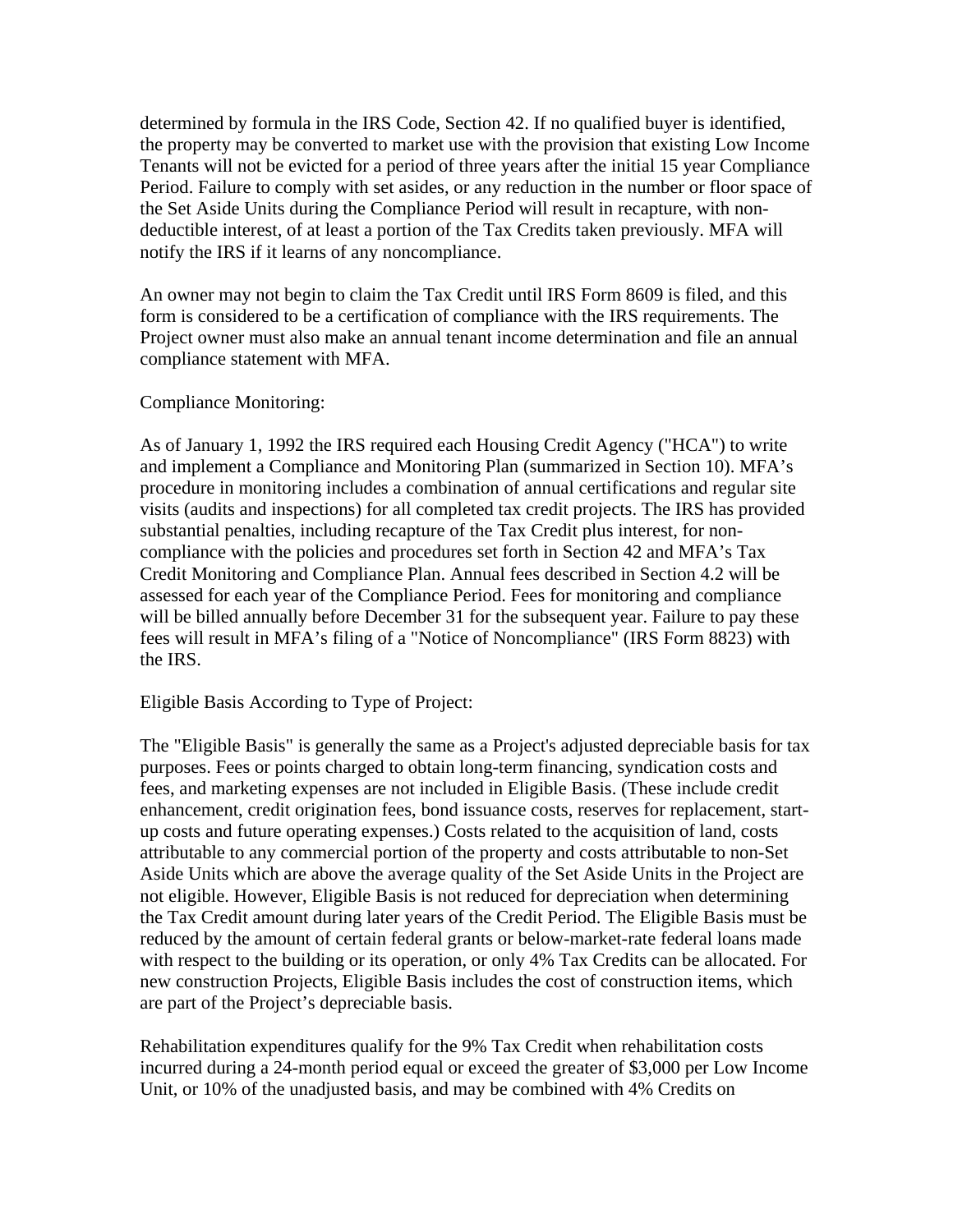determined by formula in the IRS Code, Section 42. If no qualified buyer is identified, the property may be converted to market use with the provision that existing Low Income Tenants will not be evicted for a period of three years after the initial 15 year Compliance Period. Failure to comply with set asides, or any reduction in the number or floor space of the Set Aside Units during the Compliance Period will result in recapture, with nondeductible interest, of at least a portion of the Tax Credits taken previously. MFA will notify the IRS if it learns of any noncompliance.

An owner may not begin to claim the Tax Credit until IRS Form 8609 is filed, and this form is considered to be a certification of compliance with the IRS requirements. The Project owner must also make an annual tenant income determination and file an annual compliance statement with MFA.

### Compliance Monitoring:

As of January 1, 1992 the IRS required each Housing Credit Agency ("HCA") to write and implement a Compliance and Monitoring Plan (summarized in Section 10). MFA's procedure in monitoring includes a combination of annual certifications and regular site visits (audits and inspections) for all completed tax credit projects. The IRS has provided substantial penalties, including recapture of the Tax Credit plus interest, for noncompliance with the policies and procedures set forth in Section 42 and MFA's Tax Credit Monitoring and Compliance Plan. Annual fees described in Section 4.2 will be assessed for each year of the Compliance Period. Fees for monitoring and compliance will be billed annually before December 31 for the subsequent year. Failure to pay these fees will result in MFA's filing of a "Notice of Noncompliance" (IRS Form 8823) with the IRS.

#### Eligible Basis According to Type of Project:

The "Eligible Basis" is generally the same as a Project's adjusted depreciable basis for tax purposes. Fees or points charged to obtain long-term financing, syndication costs and fees, and marketing expenses are not included in Eligible Basis. (These include credit enhancement, credit origination fees, bond issuance costs, reserves for replacement, startup costs and future operating expenses.) Costs related to the acquisition of land, costs attributable to any commercial portion of the property and costs attributable to non-Set Aside Units which are above the average quality of the Set Aside Units in the Project are not eligible. However, Eligible Basis is not reduced for depreciation when determining the Tax Credit amount during later years of the Credit Period. The Eligible Basis must be reduced by the amount of certain federal grants or below-market-rate federal loans made with respect to the building or its operation, or only 4% Tax Credits can be allocated. For new construction Projects, Eligible Basis includes the cost of construction items, which are part of the Project's depreciable basis.

Rehabilitation expenditures qualify for the 9% Tax Credit when rehabilitation costs incurred during a 24-month period equal or exceed the greater of \$3,000 per Low Income Unit, or 10% of the unadjusted basis, and may be combined with 4% Credits on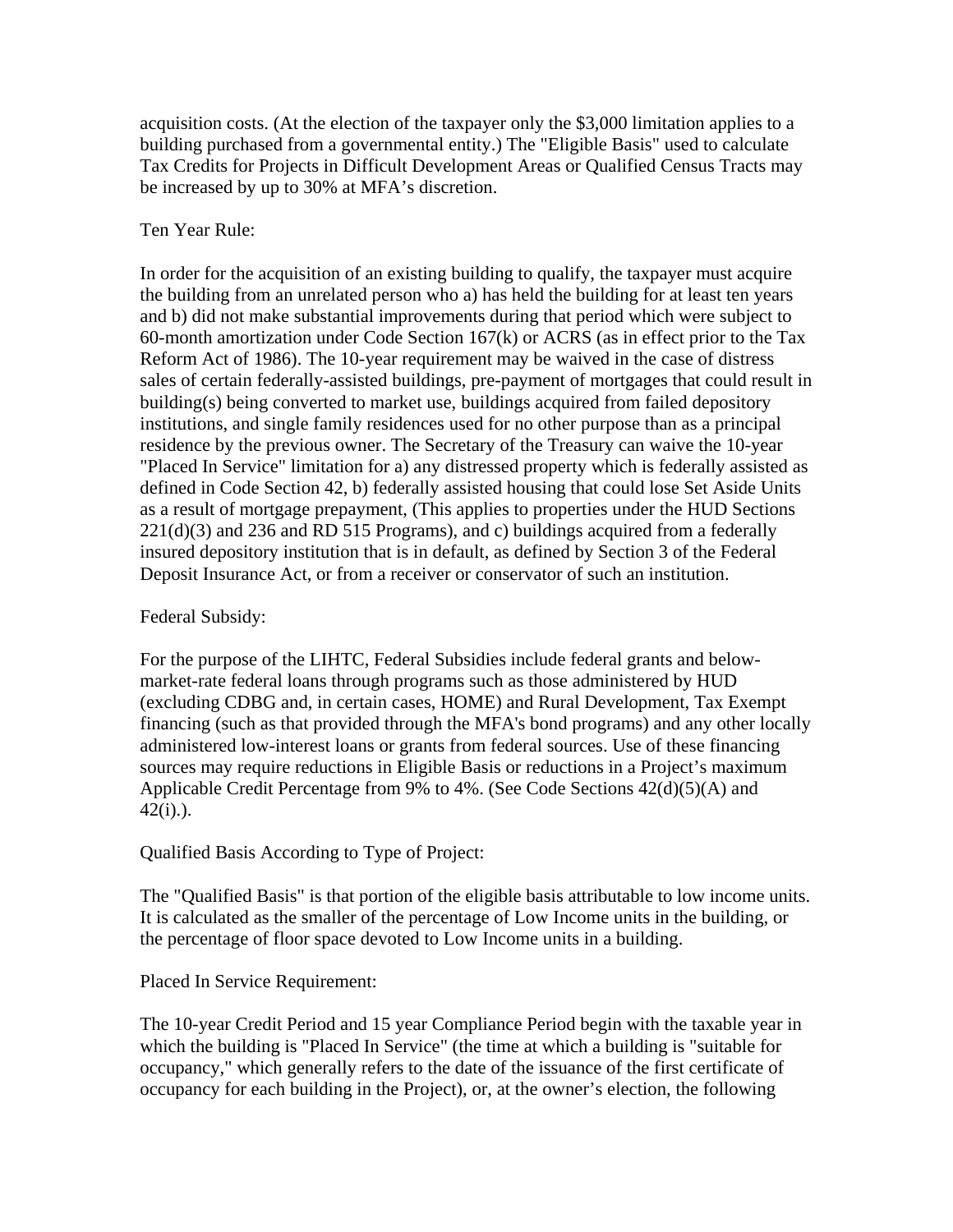acquisition costs. (At the election of the taxpayer only the \$3,000 limitation applies to a building purchased from a governmental entity.) The "Eligible Basis" used to calculate Tax Credits for Projects in Difficult Development Areas or Qualified Census Tracts may be increased by up to 30% at MFA's discretion.

## Ten Year Rule:

In order for the acquisition of an existing building to qualify, the taxpayer must acquire the building from an unrelated person who a) has held the building for at least ten years and b) did not make substantial improvements during that period which were subject to 60-month amortization under Code Section 167(k) or ACRS (as in effect prior to the Tax Reform Act of 1986). The 10-year requirement may be waived in the case of distress sales of certain federally-assisted buildings, pre-payment of mortgages that could result in building(s) being converted to market use, buildings acquired from failed depository institutions, and single family residences used for no other purpose than as a principal residence by the previous owner. The Secretary of the Treasury can waive the 10-year "Placed In Service" limitation for a) any distressed property which is federally assisted as defined in Code Section 42, b) federally assisted housing that could lose Set Aside Units as a result of mortgage prepayment, (This applies to properties under the HUD Sections 221(d)(3) and 236 and RD 515 Programs), and c) buildings acquired from a federally insured depository institution that is in default, as defined by Section 3 of the Federal Deposit Insurance Act, or from a receiver or conservator of such an institution.

### Federal Subsidy:

For the purpose of the LIHTC, Federal Subsidies include federal grants and belowmarket-rate federal loans through programs such as those administered by HUD (excluding CDBG and, in certain cases, HOME) and Rural Development, Tax Exempt financing (such as that provided through the MFA's bond programs) and any other locally administered low-interest loans or grants from federal sources. Use of these financing sources may require reductions in Eligible Basis or reductions in a Project's maximum Applicable Credit Percentage from 9% to 4%. (See Code Sections 42(d)(5)(A) and  $42(i)$ .).

Qualified Basis According to Type of Project:

The "Qualified Basis" is that portion of the eligible basis attributable to low income units. It is calculated as the smaller of the percentage of Low Income units in the building, or the percentage of floor space devoted to Low Income units in a building.

Placed In Service Requirement:

The 10-year Credit Period and 15 year Compliance Period begin with the taxable year in which the building is "Placed In Service" (the time at which a building is "suitable for occupancy," which generally refers to the date of the issuance of the first certificate of occupancy for each building in the Project), or, at the owner's election, the following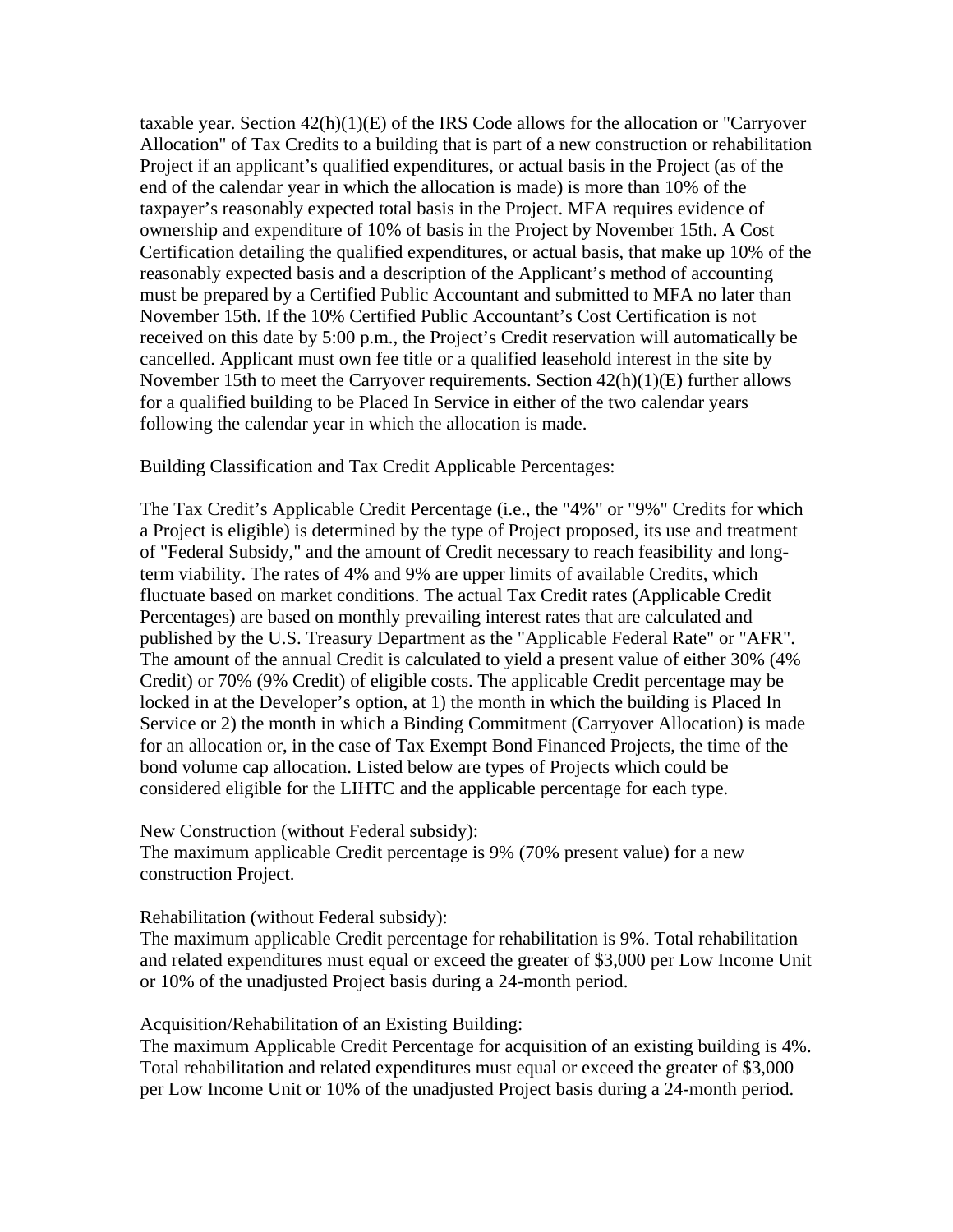taxable year. Section  $42(h)(1)(E)$  of the IRS Code allows for the allocation or "Carryover" Allocation" of Tax Credits to a building that is part of a new construction or rehabilitation Project if an applicant's qualified expenditures, or actual basis in the Project (as of the end of the calendar year in which the allocation is made) is more than 10% of the taxpayer's reasonably expected total basis in the Project. MFA requires evidence of ownership and expenditure of 10% of basis in the Project by November 15th. A Cost Certification detailing the qualified expenditures, or actual basis, that make up 10% of the reasonably expected basis and a description of the Applicant's method of accounting must be prepared by a Certified Public Accountant and submitted to MFA no later than November 15th. If the 10% Certified Public Accountant's Cost Certification is not received on this date by 5:00 p.m., the Project's Credit reservation will automatically be cancelled. Applicant must own fee title or a qualified leasehold interest in the site by November 15th to meet the Carryover requirements. Section 42(h)(1)(E) further allows for a qualified building to be Placed In Service in either of the two calendar years following the calendar year in which the allocation is made.

Building Classification and Tax Credit Applicable Percentages:

The Tax Credit's Applicable Credit Percentage (i.e., the "4%" or "9%" Credits for which a Project is eligible) is determined by the type of Project proposed, its use and treatment of "Federal Subsidy," and the amount of Credit necessary to reach feasibility and longterm viability. The rates of 4% and 9% are upper limits of available Credits, which fluctuate based on market conditions. The actual Tax Credit rates (Applicable Credit Percentages) are based on monthly prevailing interest rates that are calculated and published by the U.S. Treasury Department as the "Applicable Federal Rate" or "AFR". The amount of the annual Credit is calculated to yield a present value of either 30% (4% Credit) or 70% (9% Credit) of eligible costs. The applicable Credit percentage may be locked in at the Developer's option, at 1) the month in which the building is Placed In Service or 2) the month in which a Binding Commitment (Carryover Allocation) is made for an allocation or, in the case of Tax Exempt Bond Financed Projects, the time of the bond volume cap allocation. Listed below are types of Projects which could be considered eligible for the LIHTC and the applicable percentage for each type.

New Construction (without Federal subsidy):

The maximum applicable Credit percentage is 9% (70% present value) for a new construction Project.

#### Rehabilitation (without Federal subsidy):

The maximum applicable Credit percentage for rehabilitation is 9%. Total rehabilitation and related expenditures must equal or exceed the greater of \$3,000 per Low Income Unit or 10% of the unadjusted Project basis during a 24-month period.

Acquisition/Rehabilitation of an Existing Building:

The maximum Applicable Credit Percentage for acquisition of an existing building is 4%. Total rehabilitation and related expenditures must equal or exceed the greater of \$3,000 per Low Income Unit or 10% of the unadjusted Project basis during a 24-month period.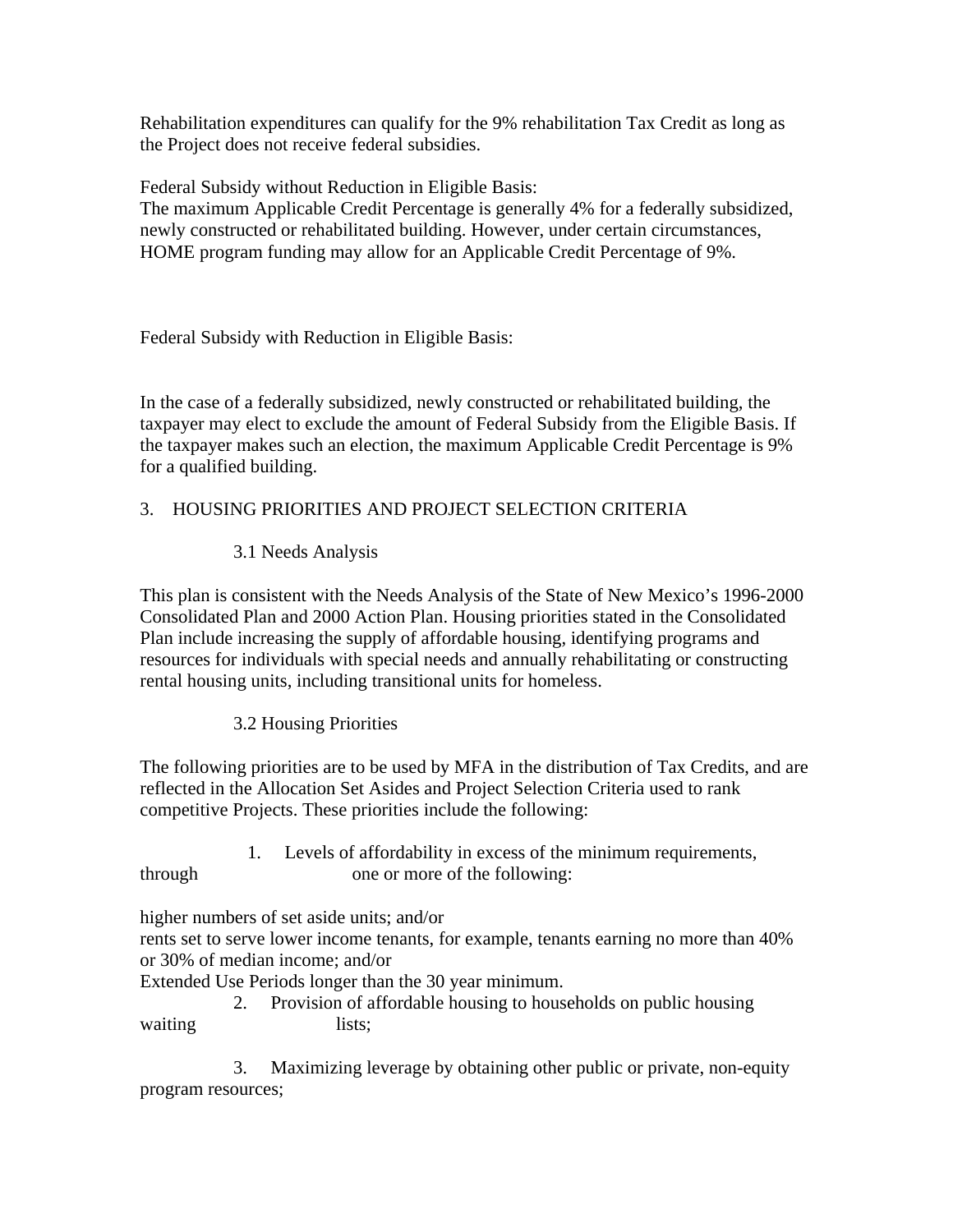Rehabilitation expenditures can qualify for the 9% rehabilitation Tax Credit as long as the Project does not receive federal subsidies.

Federal Subsidy without Reduction in Eligible Basis:

The maximum Applicable Credit Percentage is generally 4% for a federally subsidized, newly constructed or rehabilitated building. However, under certain circumstances, HOME program funding may allow for an Applicable Credit Percentage of 9%.

Federal Subsidy with Reduction in Eligible Basis:

In the case of a federally subsidized, newly constructed or rehabilitated building, the taxpayer may elect to exclude the amount of Federal Subsidy from the Eligible Basis. If the taxpayer makes such an election, the maximum Applicable Credit Percentage is 9% for a qualified building.

# 3. HOUSING PRIORITIES AND PROJECT SELECTION CRITERIA

3.1 Needs Analysis

This plan is consistent with the Needs Analysis of the State of New Mexico's 1996-2000 Consolidated Plan and 2000 Action Plan. Housing priorities stated in the Consolidated Plan include increasing the supply of affordable housing, identifying programs and resources for individuals with special needs and annually rehabilitating or constructing rental housing units, including transitional units for homeless.

3.2 Housing Priorities

The following priorities are to be used by MFA in the distribution of Tax Credits, and are reflected in the Allocation Set Asides and Project Selection Criteria used to rank competitive Projects. These priorities include the following:

 1. Levels of affordability in excess of the minimum requirements, through one or more of the following:

higher numbers of set aside units; and/or

rents set to serve lower income tenants, for example, tenants earning no more than 40% or 30% of median income; and/or

Extended Use Periods longer than the 30 year minimum.

 2. Provision of affordable housing to households on public housing waiting lists;

 3. Maximizing leverage by obtaining other public or private, non-equity program resources;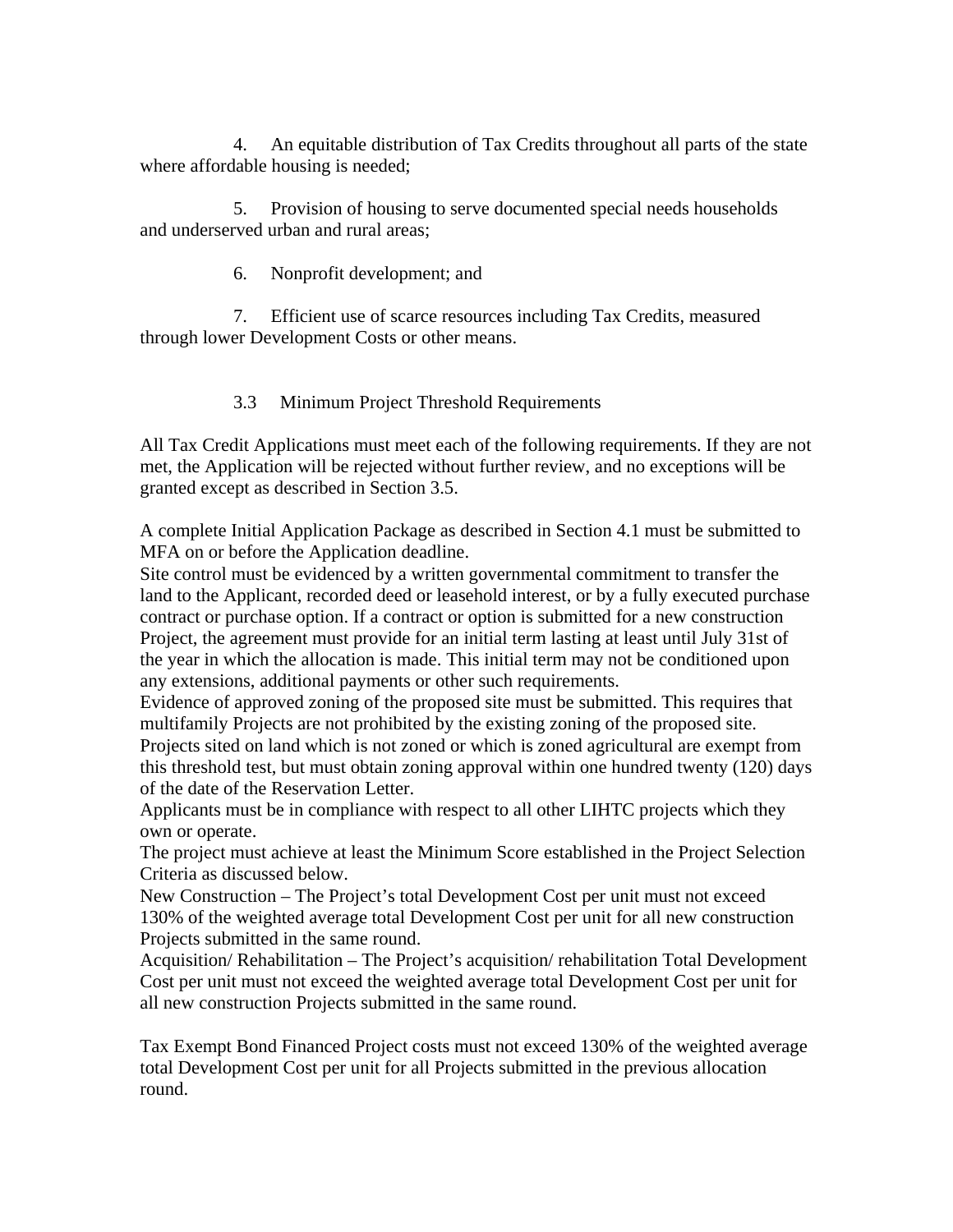4. An equitable distribution of Tax Credits throughout all parts of the state where affordable housing is needed;

 5. Provision of housing to serve documented special needs households and underserved urban and rural areas;

6. Nonprofit development; and

 7. Efficient use of scarce resources including Tax Credits, measured through lower Development Costs or other means.

3.3 Minimum Project Threshold Requirements

All Tax Credit Applications must meet each of the following requirements. If they are not met, the Application will be rejected without further review, and no exceptions will be granted except as described in Section 3.5.

A complete Initial Application Package as described in Section 4.1 must be submitted to MFA on or before the Application deadline.

Site control must be evidenced by a written governmental commitment to transfer the land to the Applicant, recorded deed or leasehold interest, or by a fully executed purchase contract or purchase option. If a contract or option is submitted for a new construction Project, the agreement must provide for an initial term lasting at least until July 31st of the year in which the allocation is made. This initial term may not be conditioned upon any extensions, additional payments or other such requirements.

Evidence of approved zoning of the proposed site must be submitted. This requires that multifamily Projects are not prohibited by the existing zoning of the proposed site. Projects sited on land which is not zoned or which is zoned agricultural are exempt from this threshold test, but must obtain zoning approval within one hundred twenty (120) days

of the date of the Reservation Letter. Applicants must be in compliance with respect to all other LIHTC projects which they own or operate.

The project must achieve at least the Minimum Score established in the Project Selection Criteria as discussed below.

New Construction – The Project's total Development Cost per unit must not exceed 130% of the weighted average total Development Cost per unit for all new construction Projects submitted in the same round.

Acquisition/ Rehabilitation – The Project's acquisition/ rehabilitation Total Development Cost per unit must not exceed the weighted average total Development Cost per unit for all new construction Projects submitted in the same round.

Tax Exempt Bond Financed Project costs must not exceed 130% of the weighted average total Development Cost per unit for all Projects submitted in the previous allocation round.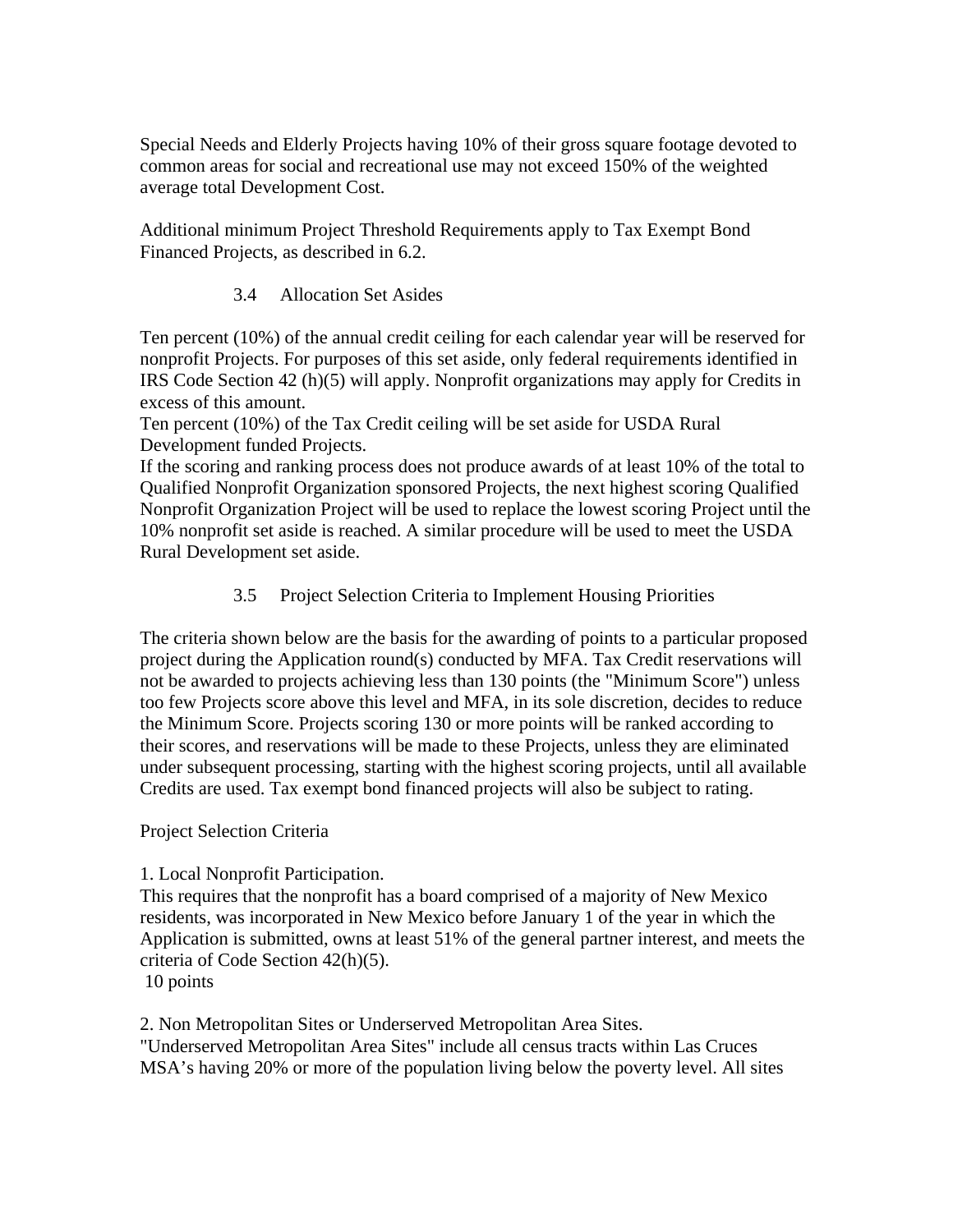Special Needs and Elderly Projects having 10% of their gross square footage devoted to common areas for social and recreational use may not exceed 150% of the weighted average total Development Cost.

Additional minimum Project Threshold Requirements apply to Tax Exempt Bond Financed Projects, as described in 6.2.

# 3.4 Allocation Set Asides

Ten percent (10%) of the annual credit ceiling for each calendar year will be reserved for nonprofit Projects. For purposes of this set aside, only federal requirements identified in IRS Code Section 42 (h)(5) will apply. Nonprofit organizations may apply for Credits in excess of this amount.

Ten percent (10%) of the Tax Credit ceiling will be set aside for USDA Rural Development funded Projects.

If the scoring and ranking process does not produce awards of at least 10% of the total to Qualified Nonprofit Organization sponsored Projects, the next highest scoring Qualified Nonprofit Organization Project will be used to replace the lowest scoring Project until the 10% nonprofit set aside is reached. A similar procedure will be used to meet the USDA Rural Development set aside.

3.5 Project Selection Criteria to Implement Housing Priorities

The criteria shown below are the basis for the awarding of points to a particular proposed project during the Application round(s) conducted by MFA. Tax Credit reservations will not be awarded to projects achieving less than 130 points (the "Minimum Score") unless too few Projects score above this level and MFA, in its sole discretion, decides to reduce the Minimum Score. Projects scoring 130 or more points will be ranked according to their scores, and reservations will be made to these Projects, unless they are eliminated under subsequent processing, starting with the highest scoring projects, until all available Credits are used. Tax exempt bond financed projects will also be subject to rating.

## Project Selection Criteria

## 1. Local Nonprofit Participation.

This requires that the nonprofit has a board comprised of a majority of New Mexico residents, was incorporated in New Mexico before January 1 of the year in which the Application is submitted, owns at least 51% of the general partner interest, and meets the criteria of Code Section 42(h)(5).

10 points

2. Non Metropolitan Sites or Underserved Metropolitan Area Sites.

"Underserved Metropolitan Area Sites" include all census tracts within Las Cruces MSA's having 20% or more of the population living below the poverty level. All sites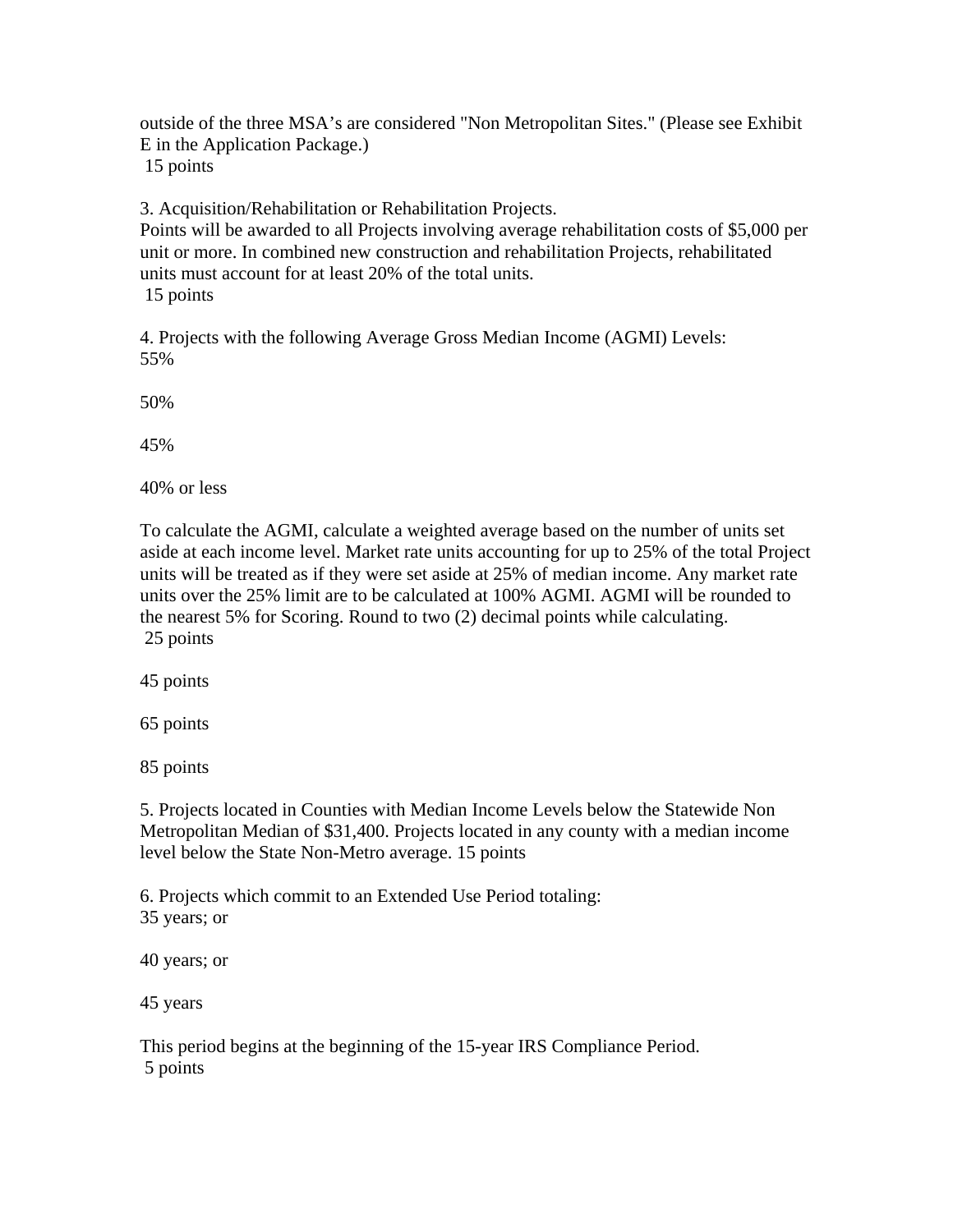outside of the three MSA's are considered "Non Metropolitan Sites." (Please see Exhibit E in the Application Package.) 15 points

3. Acquisition/Rehabilitation or Rehabilitation Projects.

Points will be awarded to all Projects involving average rehabilitation costs of \$5,000 per unit or more. In combined new construction and rehabilitation Projects, rehabilitated units must account for at least 20% of the total units. 15 points

4. Projects with the following Average Gross Median Income (AGMI) Levels: 55%

50%

45%

40% or less

To calculate the AGMI, calculate a weighted average based on the number of units set aside at each income level. Market rate units accounting for up to 25% of the total Project units will be treated as if they were set aside at 25% of median income. Any market rate units over the 25% limit are to be calculated at 100% AGMI. AGMI will be rounded to the nearest 5% for Scoring. Round to two (2) decimal points while calculating. 25 points

45 points

65 points

85 points

5. Projects located in Counties with Median Income Levels below the Statewide Non Metropolitan Median of \$31,400. Projects located in any county with a median income level below the State Non-Metro average. 15 points

6. Projects which commit to an Extended Use Period totaling: 35 years; or

40 years; or

45 years

This period begins at the beginning of the 15-year IRS Compliance Period. 5 points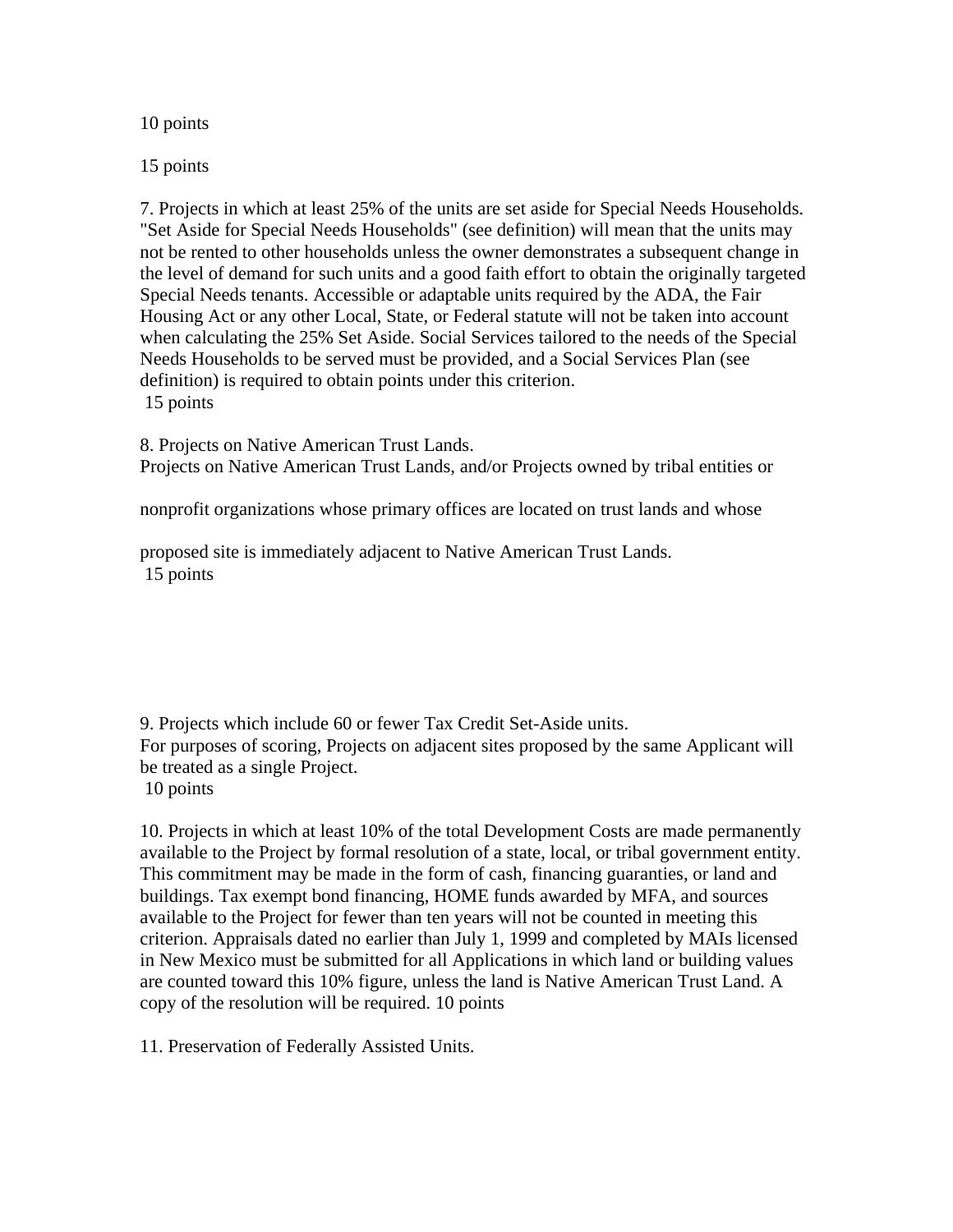10 points

15 points

7. Projects in which at least 25% of the units are set aside for Special Needs Households. "Set Aside for Special Needs Households" (see definition) will mean that the units may not be rented to other households unless the owner demonstrates a subsequent change in the level of demand for such units and a good faith effort to obtain the originally targeted Special Needs tenants. Accessible or adaptable units required by the ADA, the Fair Housing Act or any other Local, State, or Federal statute will not be taken into account when calculating the 25% Set Aside. Social Services tailored to the needs of the Special Needs Households to be served must be provided, and a Social Services Plan (see definition) is required to obtain points under this criterion. 15 points

8. Projects on Native American Trust Lands. Projects on Native American Trust Lands, and/or Projects owned by tribal entities or

nonprofit organizations whose primary offices are located on trust lands and whose

proposed site is immediately adjacent to Native American Trust Lands. 15 points

9. Projects which include 60 or fewer Tax Credit Set-Aside units. For purposes of scoring, Projects on adjacent sites proposed by the same Applicant will be treated as a single Project. 10 points

10. Projects in which at least 10% of the total Development Costs are made permanently available to the Project by formal resolution of a state, local, or tribal government entity. This commitment may be made in the form of cash, financing guaranties, or land and buildings. Tax exempt bond financing, HOME funds awarded by MFA, and sources available to the Project for fewer than ten years will not be counted in meeting this criterion. Appraisals dated no earlier than July 1, 1999 and completed by MAIs licensed in New Mexico must be submitted for all Applications in which land or building values are counted toward this 10% figure, unless the land is Native American Trust Land. A copy of the resolution will be required. 10 points

11. Preservation of Federally Assisted Units.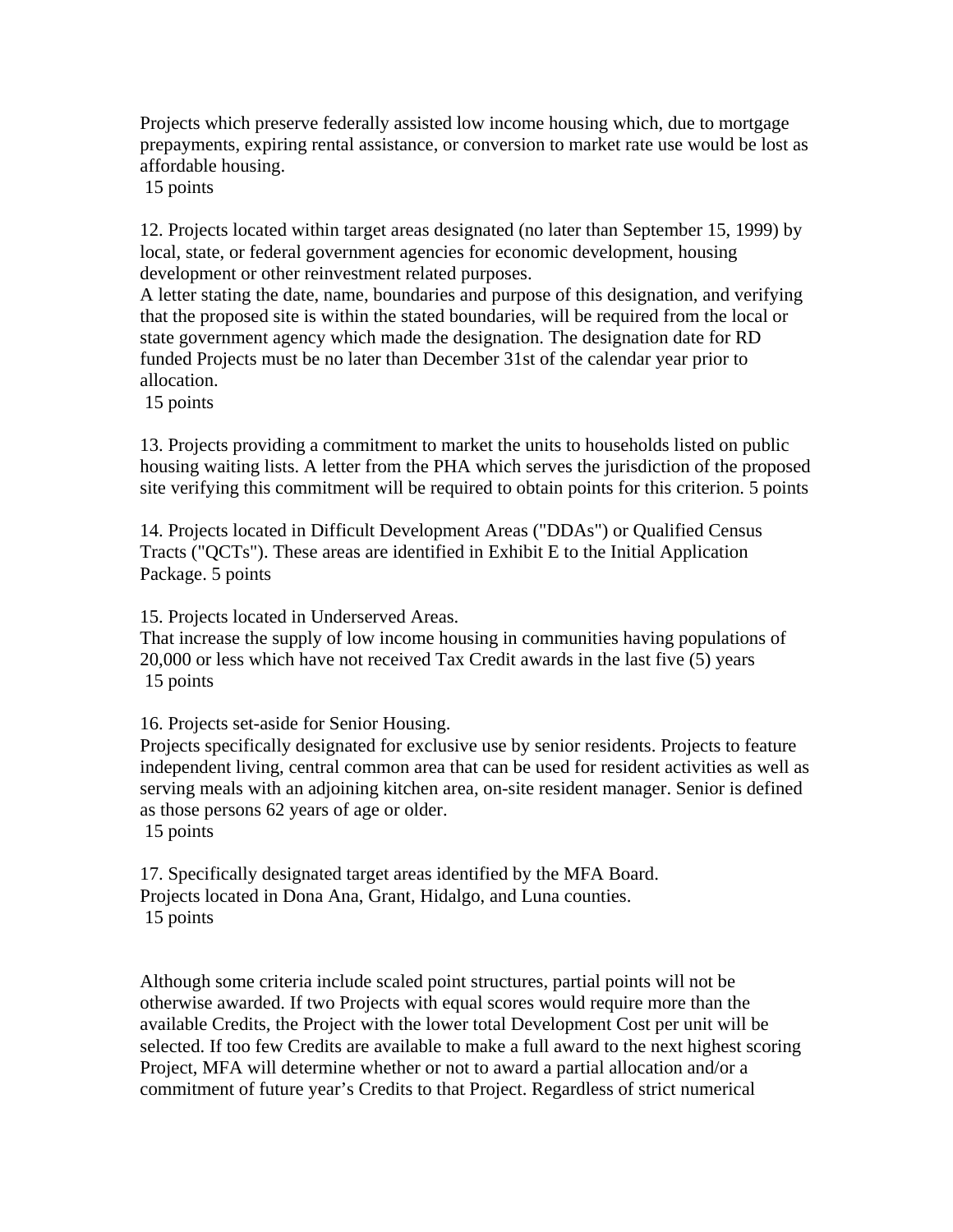Projects which preserve federally assisted low income housing which, due to mortgage prepayments, expiring rental assistance, or conversion to market rate use would be lost as affordable housing.

15 points

12. Projects located within target areas designated (no later than September 15, 1999) by local, state, or federal government agencies for economic development, housing development or other reinvestment related purposes.

A letter stating the date, name, boundaries and purpose of this designation, and verifying that the proposed site is within the stated boundaries, will be required from the local or state government agency which made the designation. The designation date for RD funded Projects must be no later than December 31st of the calendar year prior to allocation.

15 points

13. Projects providing a commitment to market the units to households listed on public housing waiting lists. A letter from the PHA which serves the jurisdiction of the proposed site verifying this commitment will be required to obtain points for this criterion. 5 points

14. Projects located in Difficult Development Areas ("DDAs") or Qualified Census Tracts ("QCTs"). These areas are identified in Exhibit E to the Initial Application Package. 5 points

15. Projects located in Underserved Areas.

That increase the supply of low income housing in communities having populations of 20,000 or less which have not received Tax Credit awards in the last five (5) years 15 points

16. Projects set-aside for Senior Housing.

Projects specifically designated for exclusive use by senior residents. Projects to feature independent living, central common area that can be used for resident activities as well as serving meals with an adjoining kitchen area, on-site resident manager. Senior is defined as those persons 62 years of age or older.

15 points

17. Specifically designated target areas identified by the MFA Board. Projects located in Dona Ana, Grant, Hidalgo, and Luna counties. 15 points

Although some criteria include scaled point structures, partial points will not be otherwise awarded. If two Projects with equal scores would require more than the available Credits, the Project with the lower total Development Cost per unit will be selected. If too few Credits are available to make a full award to the next highest scoring Project, MFA will determine whether or not to award a partial allocation and/or a commitment of future year's Credits to that Project. Regardless of strict numerical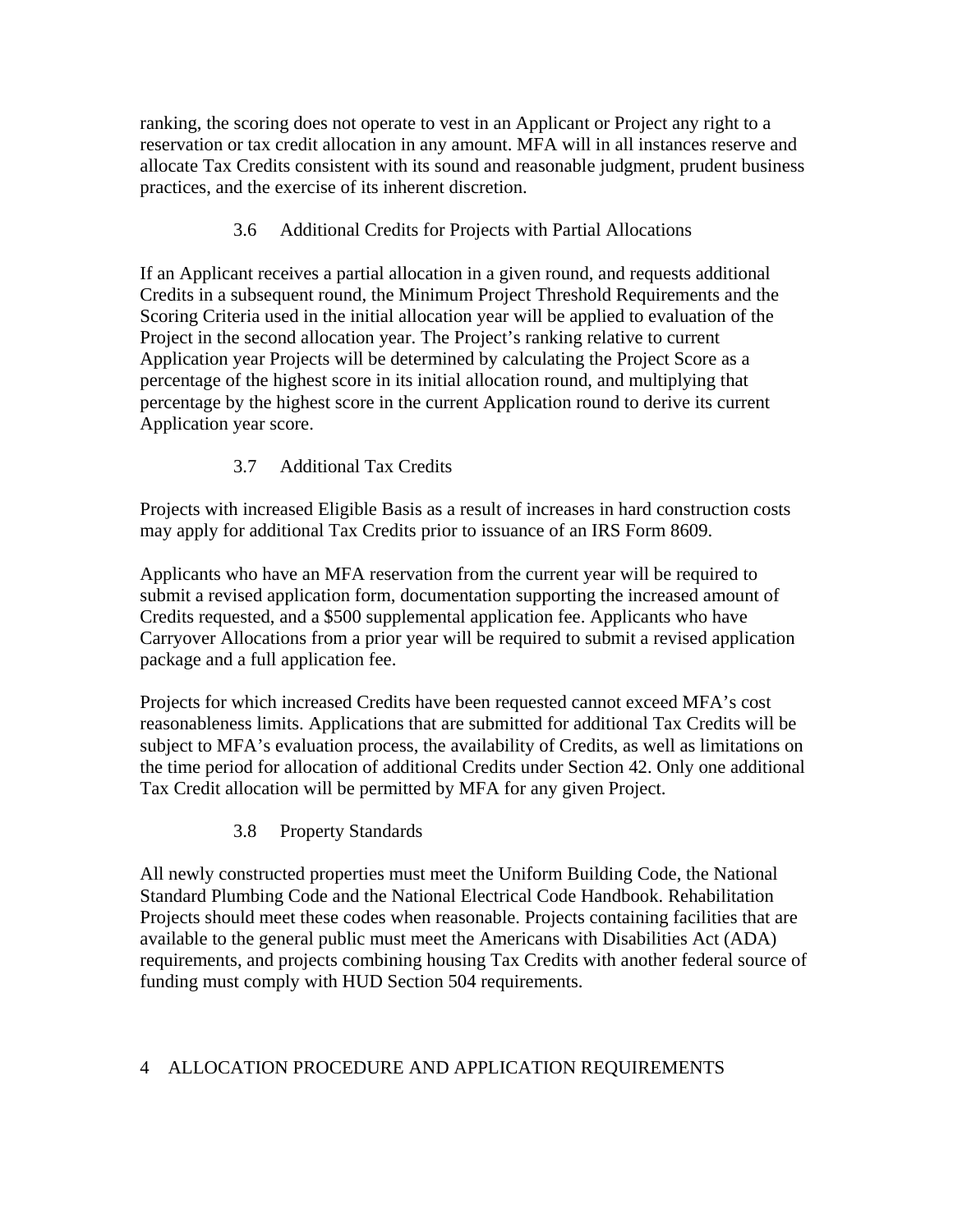ranking, the scoring does not operate to vest in an Applicant or Project any right to a reservation or tax credit allocation in any amount. MFA will in all instances reserve and allocate Tax Credits consistent with its sound and reasonable judgment, prudent business practices, and the exercise of its inherent discretion.

3.6 Additional Credits for Projects with Partial Allocations

If an Applicant receives a partial allocation in a given round, and requests additional Credits in a subsequent round, the Minimum Project Threshold Requirements and the Scoring Criteria used in the initial allocation year will be applied to evaluation of the Project in the second allocation year. The Project's ranking relative to current Application year Projects will be determined by calculating the Project Score as a percentage of the highest score in its initial allocation round, and multiplying that percentage by the highest score in the current Application round to derive its current Application year score.

3.7 Additional Tax Credits

Projects with increased Eligible Basis as a result of increases in hard construction costs may apply for additional Tax Credits prior to issuance of an IRS Form 8609.

Applicants who have an MFA reservation from the current year will be required to submit a revised application form, documentation supporting the increased amount of Credits requested, and a \$500 supplemental application fee. Applicants who have Carryover Allocations from a prior year will be required to submit a revised application package and a full application fee.

Projects for which increased Credits have been requested cannot exceed MFA's cost reasonableness limits. Applications that are submitted for additional Tax Credits will be subject to MFA's evaluation process, the availability of Credits, as well as limitations on the time period for allocation of additional Credits under Section 42. Only one additional Tax Credit allocation will be permitted by MFA for any given Project.

3.8 Property Standards

All newly constructed properties must meet the Uniform Building Code, the National Standard Plumbing Code and the National Electrical Code Handbook. Rehabilitation Projects should meet these codes when reasonable. Projects containing facilities that are available to the general public must meet the Americans with Disabilities Act (ADA) requirements, and projects combining housing Tax Credits with another federal source of funding must comply with HUD Section 504 requirements.

# 4 ALLOCATION PROCEDURE AND APPLICATION REQUIREMENTS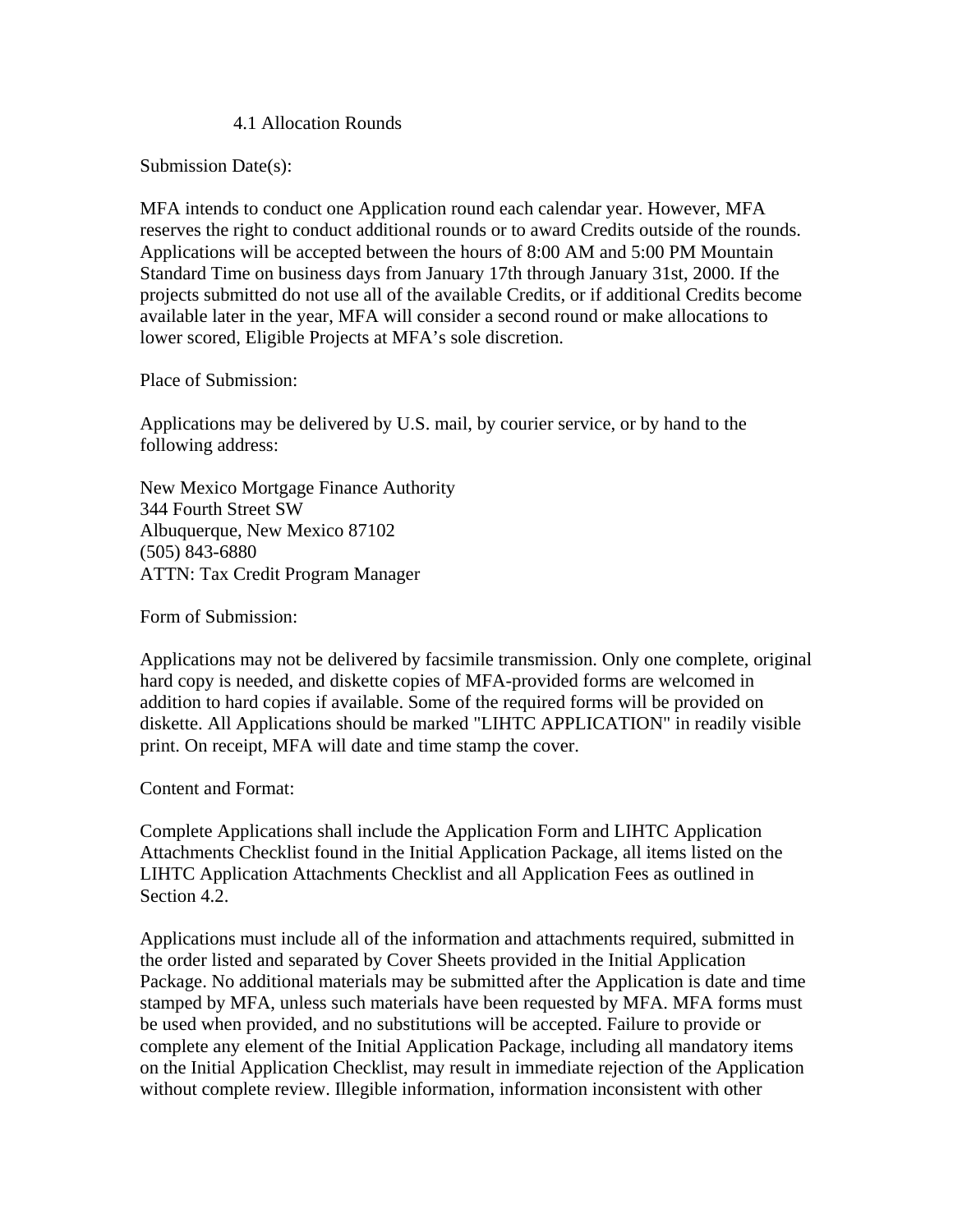### 4.1 Allocation Rounds

Submission Date(s):

MFA intends to conduct one Application round each calendar year. However, MFA reserves the right to conduct additional rounds or to award Credits outside of the rounds. Applications will be accepted between the hours of 8:00 AM and 5:00 PM Mountain Standard Time on business days from January 17th through January 31st, 2000. If the projects submitted do not use all of the available Credits, or if additional Credits become available later in the year, MFA will consider a second round or make allocations to lower scored, Eligible Projects at MFA's sole discretion.

Place of Submission:

Applications may be delivered by U.S. mail, by courier service, or by hand to the following address:

New Mexico Mortgage Finance Authority 344 Fourth Street SW Albuquerque, New Mexico 87102 (505) 843-6880 ATTN: Tax Credit Program Manager

Form of Submission:

Applications may not be delivered by facsimile transmission. Only one complete, original hard copy is needed, and diskette copies of MFA-provided forms are welcomed in addition to hard copies if available. Some of the required forms will be provided on diskette. All Applications should be marked "LIHTC APPLICATION" in readily visible print. On receipt, MFA will date and time stamp the cover.

Content and Format:

Complete Applications shall include the Application Form and LIHTC Application Attachments Checklist found in the Initial Application Package, all items listed on the LIHTC Application Attachments Checklist and all Application Fees as outlined in Section 4.2.

Applications must include all of the information and attachments required, submitted in the order listed and separated by Cover Sheets provided in the Initial Application Package. No additional materials may be submitted after the Application is date and time stamped by MFA, unless such materials have been requested by MFA. MFA forms must be used when provided, and no substitutions will be accepted. Failure to provide or complete any element of the Initial Application Package, including all mandatory items on the Initial Application Checklist, may result in immediate rejection of the Application without complete review. Illegible information, information inconsistent with other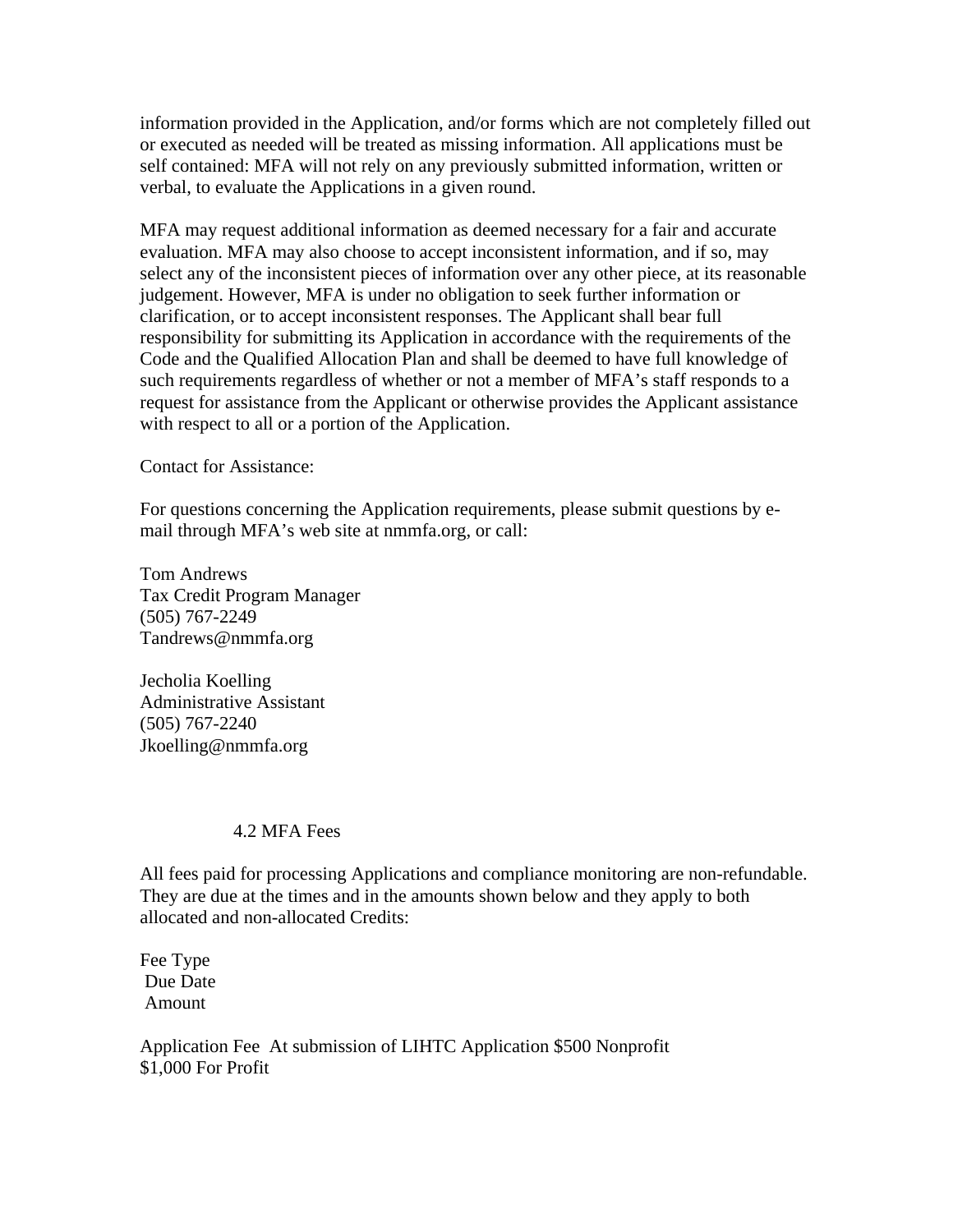information provided in the Application, and/or forms which are not completely filled out or executed as needed will be treated as missing information. All applications must be self contained: MFA will not rely on any previously submitted information, written or verbal, to evaluate the Applications in a given round.

MFA may request additional information as deemed necessary for a fair and accurate evaluation. MFA may also choose to accept inconsistent information, and if so, may select any of the inconsistent pieces of information over any other piece, at its reasonable judgement. However, MFA is under no obligation to seek further information or clarification, or to accept inconsistent responses. The Applicant shall bear full responsibility for submitting its Application in accordance with the requirements of the Code and the Qualified Allocation Plan and shall be deemed to have full knowledge of such requirements regardless of whether or not a member of MFA's staff responds to a request for assistance from the Applicant or otherwise provides the Applicant assistance with respect to all or a portion of the Application.

Contact for Assistance:

For questions concerning the Application requirements, please submit questions by email through MFA's web site at nmmfa.org, or call:

Tom Andrews Tax Credit Program Manager (505) 767-2249 Tandrews@nmmfa.org

Jecholia Koelling Administrative Assistant (505) 767-2240 Jkoelling@nmmfa.org

#### 4.2 MFA Fees

All fees paid for processing Applications and compliance monitoring are non-refundable. They are due at the times and in the amounts shown below and they apply to both allocated and non-allocated Credits:

Fee Type Due Date Amount

Application Fee At submission of LIHTC Application \$500 Nonprofit \$1,000 For Profit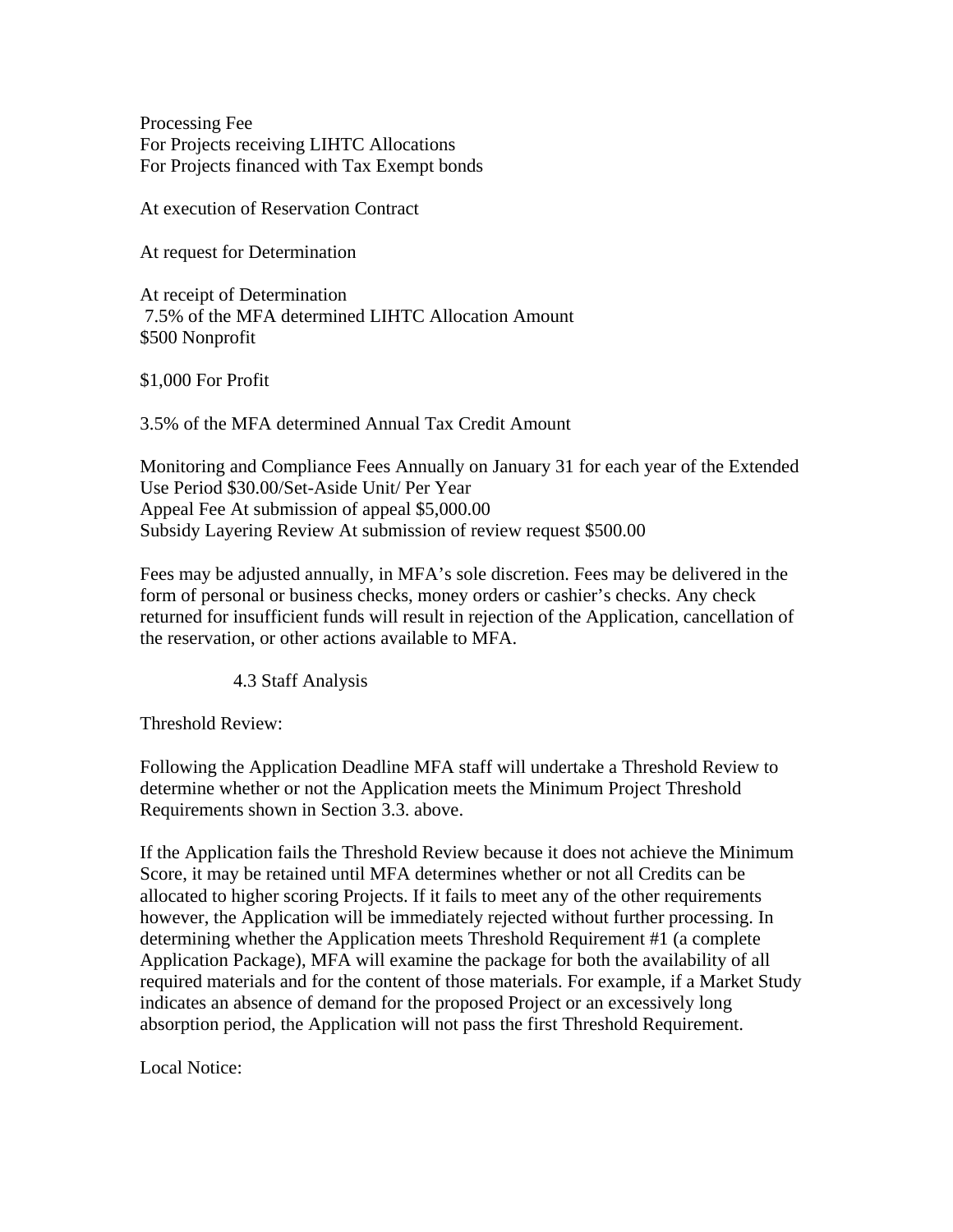Processing Fee For Projects receiving LIHTC Allocations For Projects financed with Tax Exempt bonds

At execution of Reservation Contract

At request for Determination

At receipt of Determination 7.5% of the MFA determined LIHTC Allocation Amount \$500 Nonprofit

\$1,000 For Profit

3.5% of the MFA determined Annual Tax Credit Amount

Monitoring and Compliance Fees Annually on January 31 for each year of the Extended Use Period \$30.00/Set-Aside Unit/ Per Year Appeal Fee At submission of appeal \$5,000.00 Subsidy Layering Review At submission of review request \$500.00

Fees may be adjusted annually, in MFA's sole discretion. Fees may be delivered in the form of personal or business checks, money orders or cashier's checks. Any check returned for insufficient funds will result in rejection of the Application, cancellation of the reservation, or other actions available to MFA.

4.3 Staff Analysis

Threshold Review:

Following the Application Deadline MFA staff will undertake a Threshold Review to determine whether or not the Application meets the Minimum Project Threshold Requirements shown in Section 3.3. above.

If the Application fails the Threshold Review because it does not achieve the Minimum Score, it may be retained until MFA determines whether or not all Credits can be allocated to higher scoring Projects. If it fails to meet any of the other requirements however, the Application will be immediately rejected without further processing. In determining whether the Application meets Threshold Requirement #1 (a complete Application Package), MFA will examine the package for both the availability of all required materials and for the content of those materials. For example, if a Market Study indicates an absence of demand for the proposed Project or an excessively long absorption period, the Application will not pass the first Threshold Requirement.

Local Notice: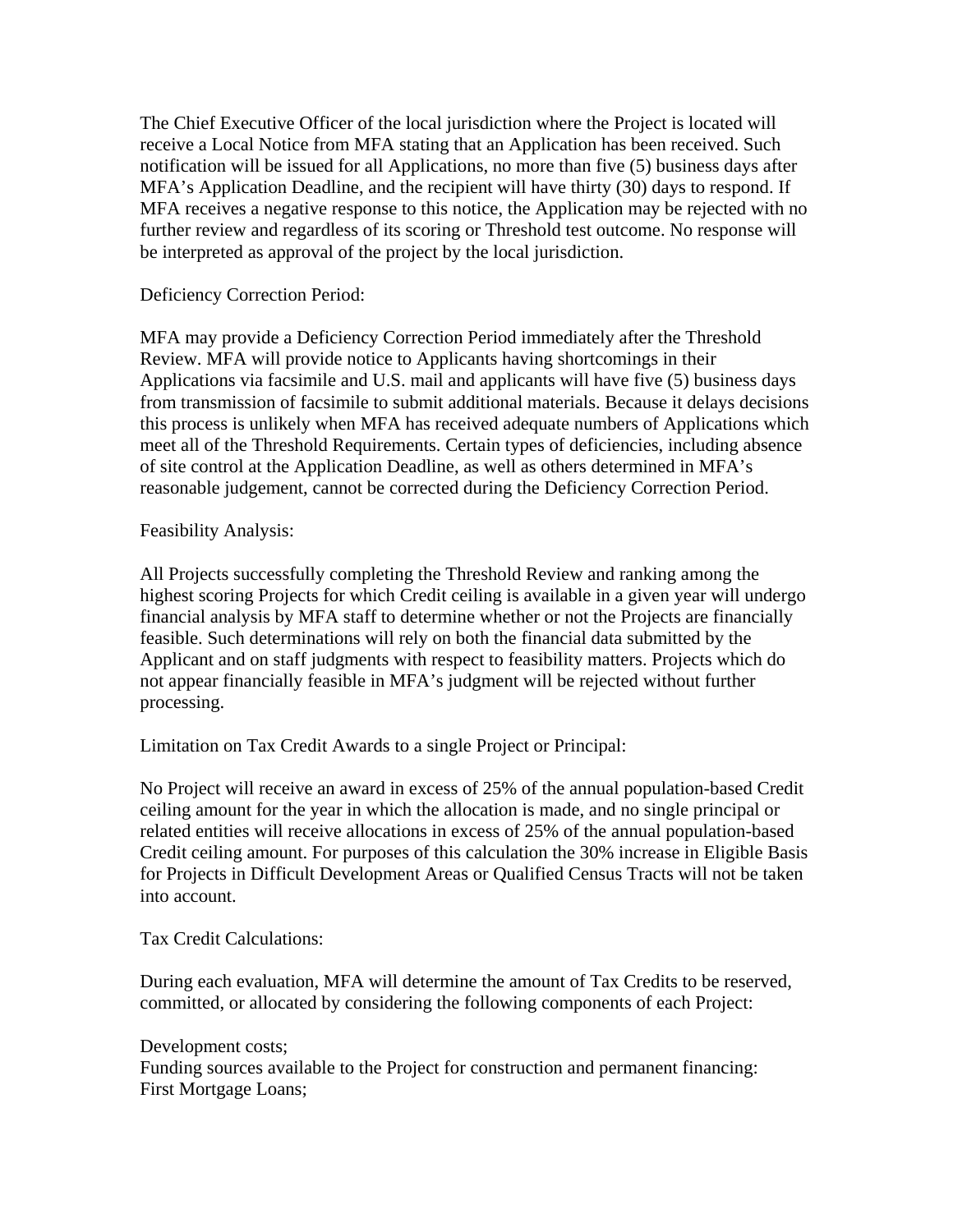The Chief Executive Officer of the local jurisdiction where the Project is located will receive a Local Notice from MFA stating that an Application has been received. Such notification will be issued for all Applications, no more than five (5) business days after MFA's Application Deadline, and the recipient will have thirty (30) days to respond. If MFA receives a negative response to this notice, the Application may be rejected with no further review and regardless of its scoring or Threshold test outcome. No response will be interpreted as approval of the project by the local jurisdiction.

Deficiency Correction Period:

MFA may provide a Deficiency Correction Period immediately after the Threshold Review. MFA will provide notice to Applicants having shortcomings in their Applications via facsimile and U.S. mail and applicants will have five (5) business days from transmission of facsimile to submit additional materials. Because it delays decisions this process is unlikely when MFA has received adequate numbers of Applications which meet all of the Threshold Requirements. Certain types of deficiencies, including absence of site control at the Application Deadline, as well as others determined in MFA's reasonable judgement, cannot be corrected during the Deficiency Correction Period.

### Feasibility Analysis:

All Projects successfully completing the Threshold Review and ranking among the highest scoring Projects for which Credit ceiling is available in a given year will undergo financial analysis by MFA staff to determine whether or not the Projects are financially feasible. Such determinations will rely on both the financial data submitted by the Applicant and on staff judgments with respect to feasibility matters. Projects which do not appear financially feasible in MFA's judgment will be rejected without further processing.

Limitation on Tax Credit Awards to a single Project or Principal:

No Project will receive an award in excess of 25% of the annual population-based Credit ceiling amount for the year in which the allocation is made, and no single principal or related entities will receive allocations in excess of 25% of the annual population-based Credit ceiling amount. For purposes of this calculation the 30% increase in Eligible Basis for Projects in Difficult Development Areas or Qualified Census Tracts will not be taken into account.

### Tax Credit Calculations:

During each evaluation, MFA will determine the amount of Tax Credits to be reserved, committed, or allocated by considering the following components of each Project:

#### Development costs;

Funding sources available to the Project for construction and permanent financing: First Mortgage Loans;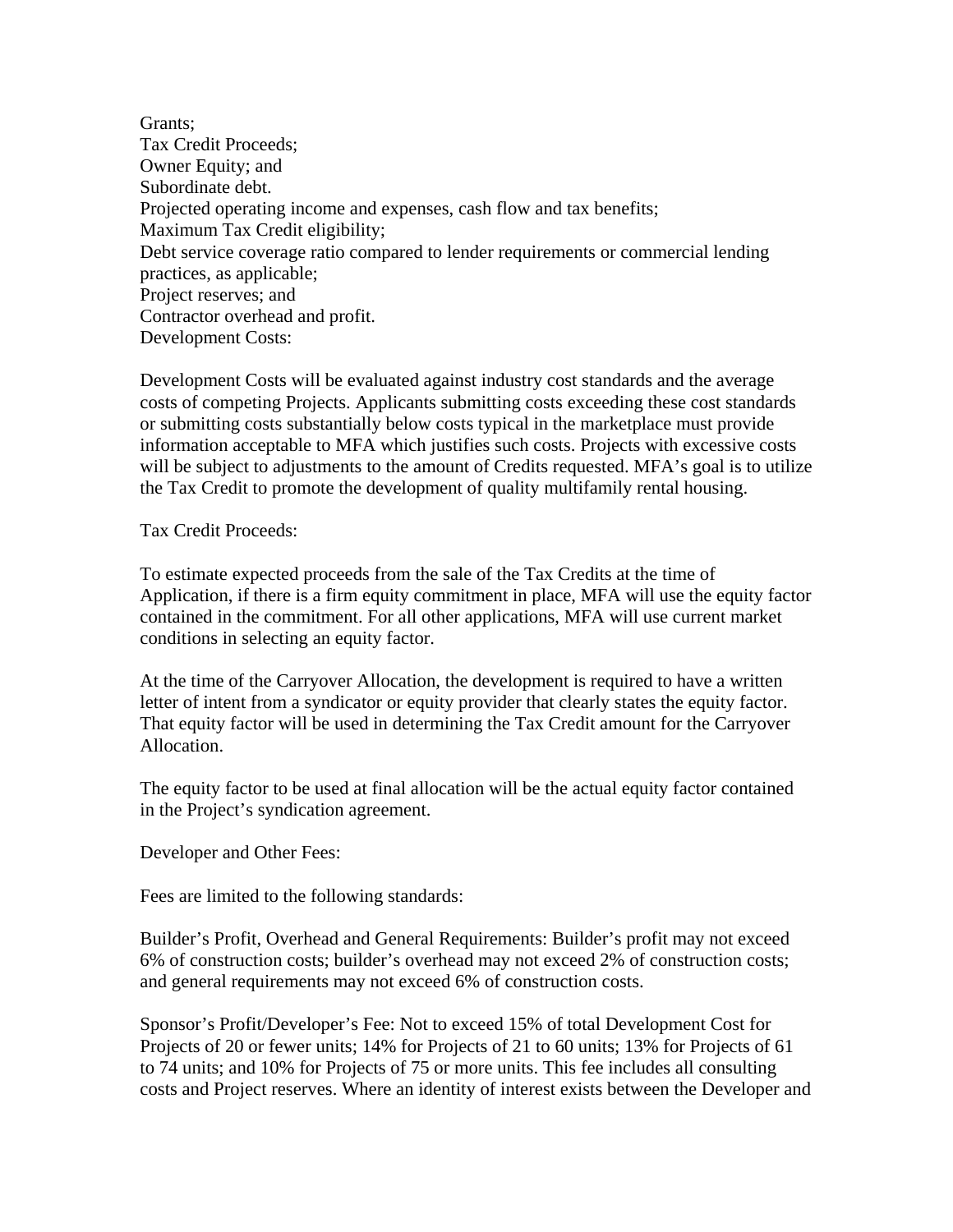Grants; Tax Credit Proceeds; Owner Equity; and Subordinate debt. Projected operating income and expenses, cash flow and tax benefits; Maximum Tax Credit eligibility; Debt service coverage ratio compared to lender requirements or commercial lending practices, as applicable; Project reserves; and Contractor overhead and profit. Development Costs:

Development Costs will be evaluated against industry cost standards and the average costs of competing Projects. Applicants submitting costs exceeding these cost standards or submitting costs substantially below costs typical in the marketplace must provide information acceptable to MFA which justifies such costs. Projects with excessive costs will be subject to adjustments to the amount of Credits requested. MFA's goal is to utilize the Tax Credit to promote the development of quality multifamily rental housing.

Tax Credit Proceeds:

To estimate expected proceeds from the sale of the Tax Credits at the time of Application, if there is a firm equity commitment in place, MFA will use the equity factor contained in the commitment. For all other applications, MFA will use current market conditions in selecting an equity factor.

At the time of the Carryover Allocation, the development is required to have a written letter of intent from a syndicator or equity provider that clearly states the equity factor. That equity factor will be used in determining the Tax Credit amount for the Carryover Allocation.

The equity factor to be used at final allocation will be the actual equity factor contained in the Project's syndication agreement.

Developer and Other Fees:

Fees are limited to the following standards:

Builder's Profit, Overhead and General Requirements: Builder's profit may not exceed 6% of construction costs; builder's overhead may not exceed 2% of construction costs; and general requirements may not exceed 6% of construction costs.

Sponsor's Profit/Developer's Fee: Not to exceed 15% of total Development Cost for Projects of 20 or fewer units; 14% for Projects of 21 to 60 units; 13% for Projects of 61 to 74 units; and 10% for Projects of 75 or more units. This fee includes all consulting costs and Project reserves. Where an identity of interest exists between the Developer and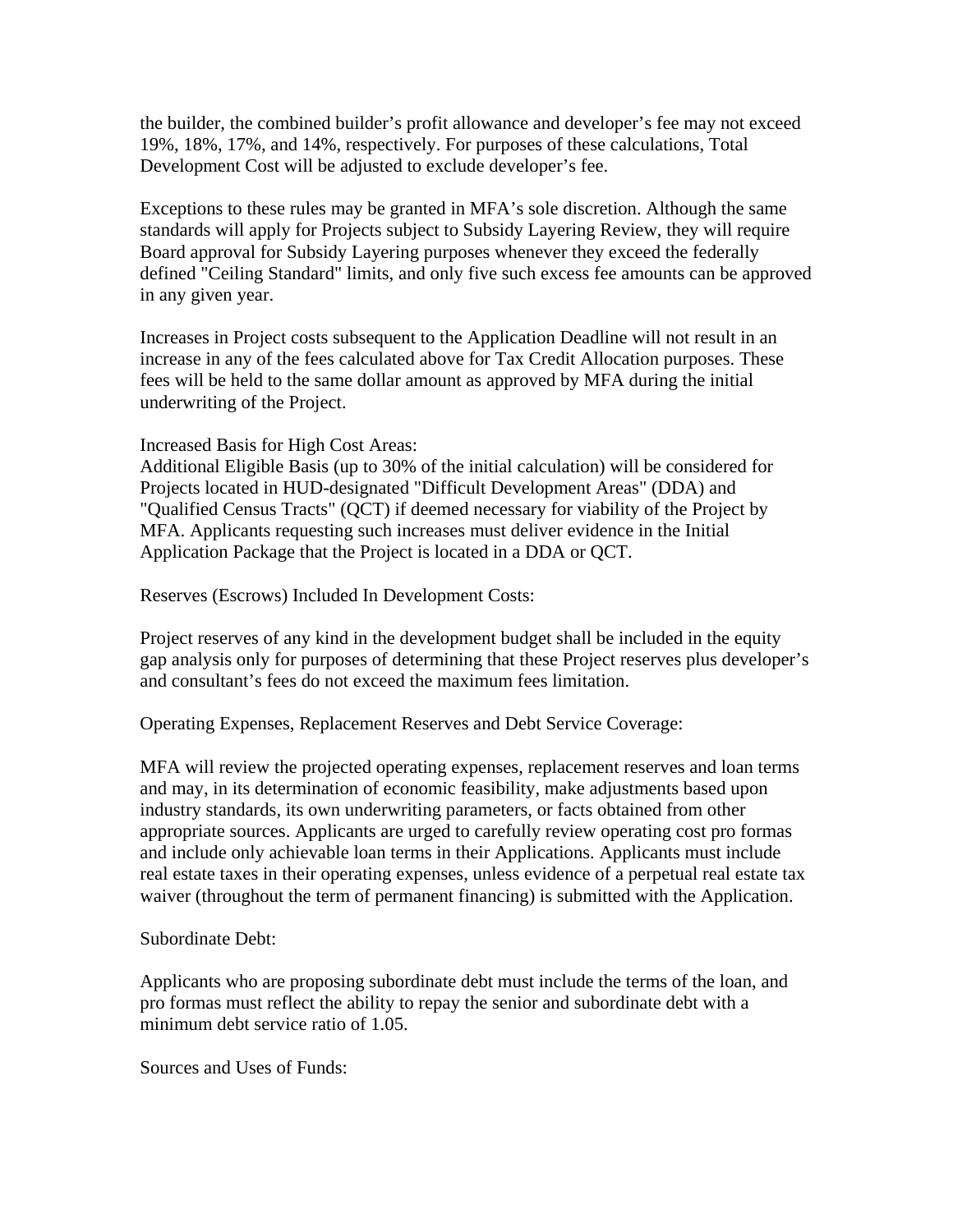the builder, the combined builder's profit allowance and developer's fee may not exceed 19%, 18%, 17%, and 14%, respectively. For purposes of these calculations, Total Development Cost will be adjusted to exclude developer's fee.

Exceptions to these rules may be granted in MFA's sole discretion. Although the same standards will apply for Projects subject to Subsidy Layering Review, they will require Board approval for Subsidy Layering purposes whenever they exceed the federally defined "Ceiling Standard" limits, and only five such excess fee amounts can be approved in any given year.

Increases in Project costs subsequent to the Application Deadline will not result in an increase in any of the fees calculated above for Tax Credit Allocation purposes. These fees will be held to the same dollar amount as approved by MFA during the initial underwriting of the Project.

Increased Basis for High Cost Areas:

Additional Eligible Basis (up to 30% of the initial calculation) will be considered for Projects located in HUD-designated "Difficult Development Areas" (DDA) and "Qualified Census Tracts" (QCT) if deemed necessary for viability of the Project by MFA. Applicants requesting such increases must deliver evidence in the Initial Application Package that the Project is located in a DDA or QCT.

Reserves (Escrows) Included In Development Costs:

Project reserves of any kind in the development budget shall be included in the equity gap analysis only for purposes of determining that these Project reserves plus developer's and consultant's fees do not exceed the maximum fees limitation.

Operating Expenses, Replacement Reserves and Debt Service Coverage:

MFA will review the projected operating expenses, replacement reserves and loan terms and may, in its determination of economic feasibility, make adjustments based upon industry standards, its own underwriting parameters, or facts obtained from other appropriate sources. Applicants are urged to carefully review operating cost pro formas and include only achievable loan terms in their Applications. Applicants must include real estate taxes in their operating expenses, unless evidence of a perpetual real estate tax waiver (throughout the term of permanent financing) is submitted with the Application.

Subordinate Debt:

Applicants who are proposing subordinate debt must include the terms of the loan, and pro formas must reflect the ability to repay the senior and subordinate debt with a minimum debt service ratio of 1.05.

Sources and Uses of Funds: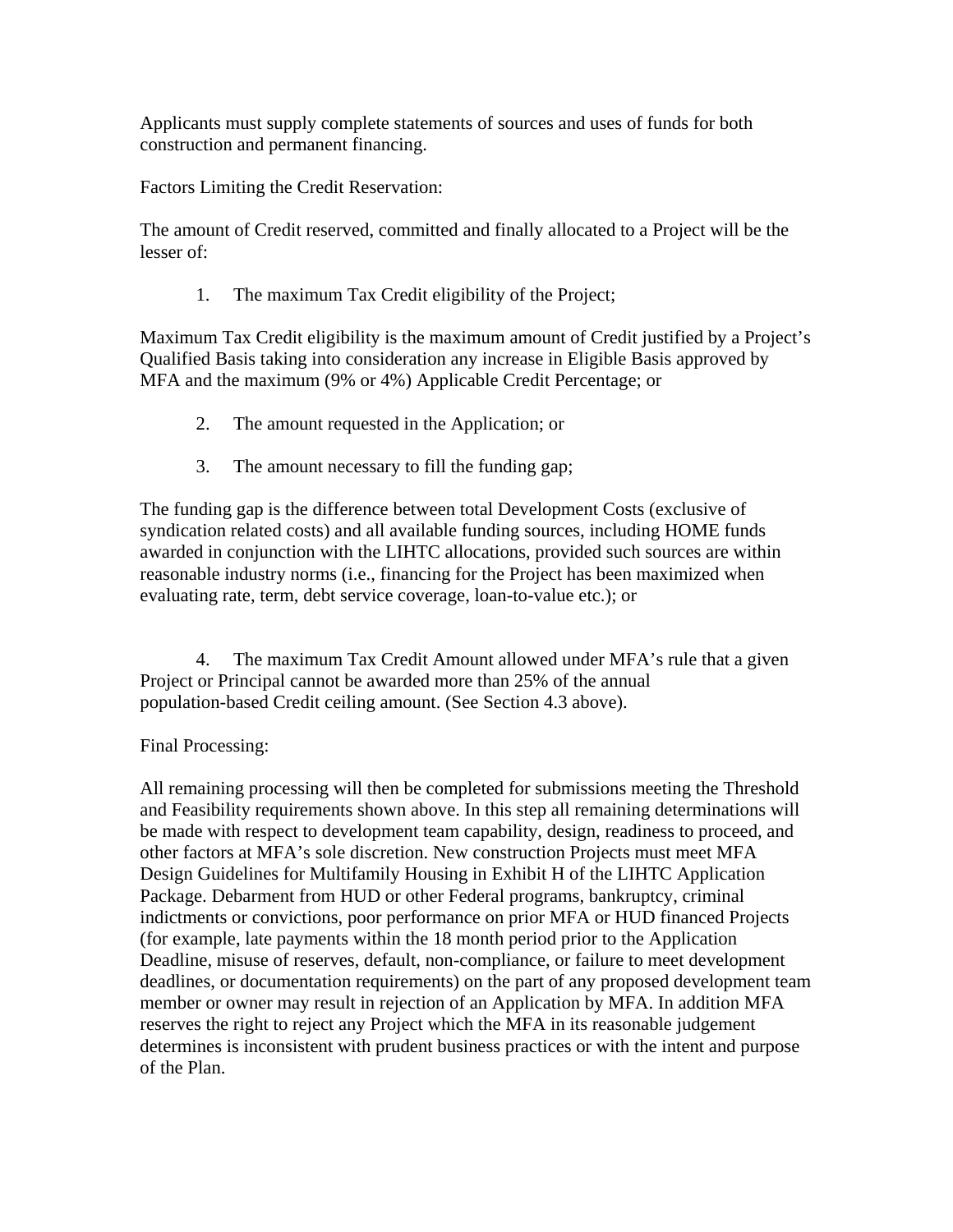Applicants must supply complete statements of sources and uses of funds for both construction and permanent financing.

Factors Limiting the Credit Reservation:

The amount of Credit reserved, committed and finally allocated to a Project will be the lesser of:

1. The maximum Tax Credit eligibility of the Project;

Maximum Tax Credit eligibility is the maximum amount of Credit justified by a Project's Qualified Basis taking into consideration any increase in Eligible Basis approved by MFA and the maximum (9% or 4%) Applicable Credit Percentage; or

- 2. The amount requested in the Application; or
- 3. The amount necessary to fill the funding gap;

The funding gap is the difference between total Development Costs (exclusive of syndication related costs) and all available funding sources, including HOME funds awarded in conjunction with the LIHTC allocations, provided such sources are within reasonable industry norms (i.e., financing for the Project has been maximized when evaluating rate, term, debt service coverage, loan-to-value etc.); or

 4. The maximum Tax Credit Amount allowed under MFA's rule that a given Project or Principal cannot be awarded more than 25% of the annual population-based Credit ceiling amount. (See Section 4.3 above).

### Final Processing:

All remaining processing will then be completed for submissions meeting the Threshold and Feasibility requirements shown above. In this step all remaining determinations will be made with respect to development team capability, design, readiness to proceed, and other factors at MFA's sole discretion. New construction Projects must meet MFA Design Guidelines for Multifamily Housing in Exhibit H of the LIHTC Application Package. Debarment from HUD or other Federal programs, bankruptcy, criminal indictments or convictions, poor performance on prior MFA or HUD financed Projects (for example, late payments within the 18 month period prior to the Application Deadline, misuse of reserves, default, non-compliance, or failure to meet development deadlines, or documentation requirements) on the part of any proposed development team member or owner may result in rejection of an Application by MFA. In addition MFA reserves the right to reject any Project which the MFA in its reasonable judgement determines is inconsistent with prudent business practices or with the intent and purpose of the Plan.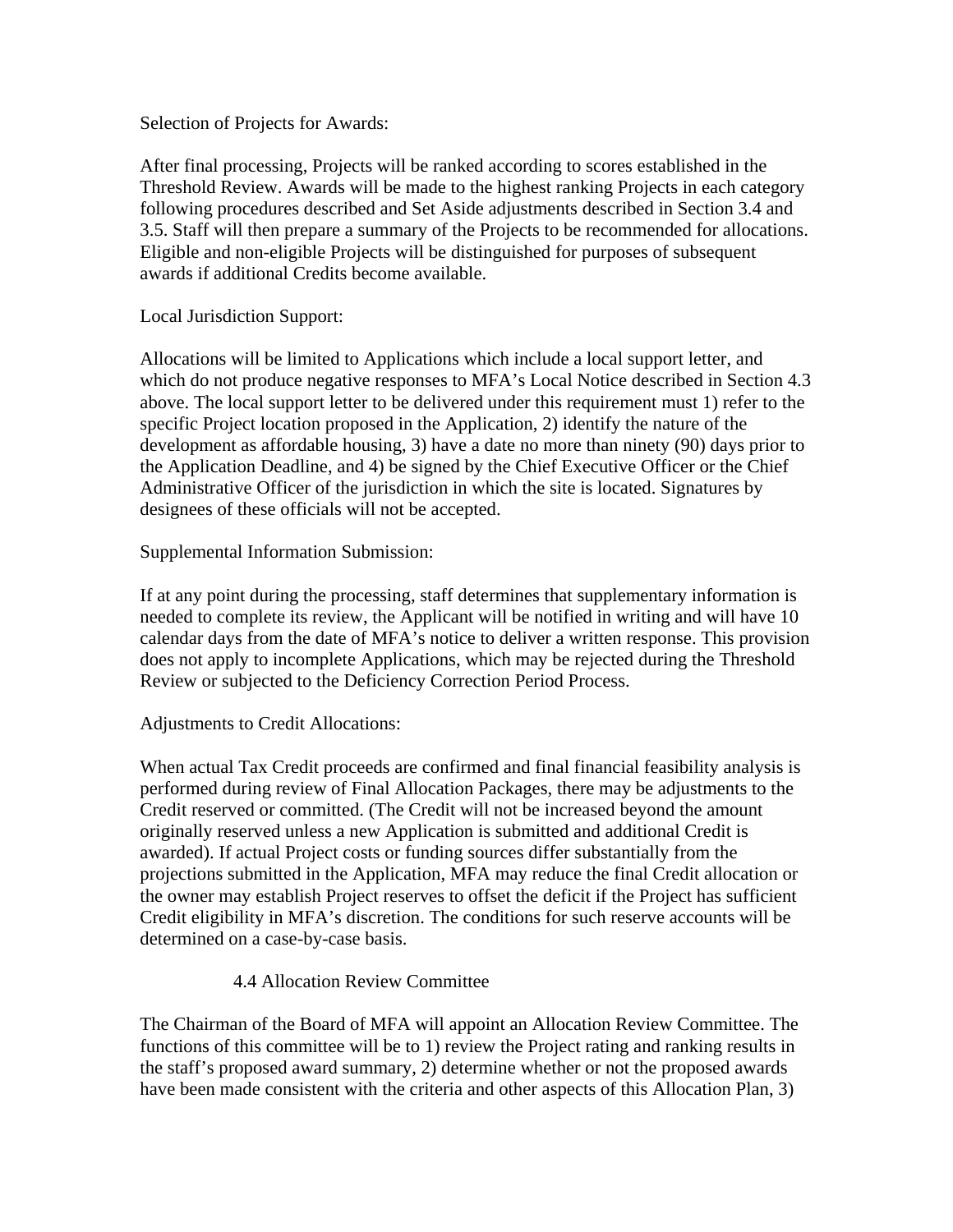Selection of Projects for Awards:

After final processing, Projects will be ranked according to scores established in the Threshold Review. Awards will be made to the highest ranking Projects in each category following procedures described and Set Aside adjustments described in Section 3.4 and 3.5. Staff will then prepare a summary of the Projects to be recommended for allocations. Eligible and non-eligible Projects will be distinguished for purposes of subsequent awards if additional Credits become available.

Local Jurisdiction Support:

Allocations will be limited to Applications which include a local support letter, and which do not produce negative responses to MFA's Local Notice described in Section 4.3 above. The local support letter to be delivered under this requirement must 1) refer to the specific Project location proposed in the Application, 2) identify the nature of the development as affordable housing, 3) have a date no more than ninety (90) days prior to the Application Deadline, and 4) be signed by the Chief Executive Officer or the Chief Administrative Officer of the jurisdiction in which the site is located. Signatures by designees of these officials will not be accepted.

Supplemental Information Submission:

If at any point during the processing, staff determines that supplementary information is needed to complete its review, the Applicant will be notified in writing and will have 10 calendar days from the date of MFA's notice to deliver a written response. This provision does not apply to incomplete Applications, which may be rejected during the Threshold Review or subjected to the Deficiency Correction Period Process.

Adjustments to Credit Allocations:

When actual Tax Credit proceeds are confirmed and final financial feasibility analysis is performed during review of Final Allocation Packages, there may be adjustments to the Credit reserved or committed. (The Credit will not be increased beyond the amount originally reserved unless a new Application is submitted and additional Credit is awarded). If actual Project costs or funding sources differ substantially from the projections submitted in the Application, MFA may reduce the final Credit allocation or the owner may establish Project reserves to offset the deficit if the Project has sufficient Credit eligibility in MFA's discretion. The conditions for such reserve accounts will be determined on a case-by-case basis.

## 4.4 Allocation Review Committee

The Chairman of the Board of MFA will appoint an Allocation Review Committee. The functions of this committee will be to 1) review the Project rating and ranking results in the staff's proposed award summary, 2) determine whether or not the proposed awards have been made consistent with the criteria and other aspects of this Allocation Plan, 3)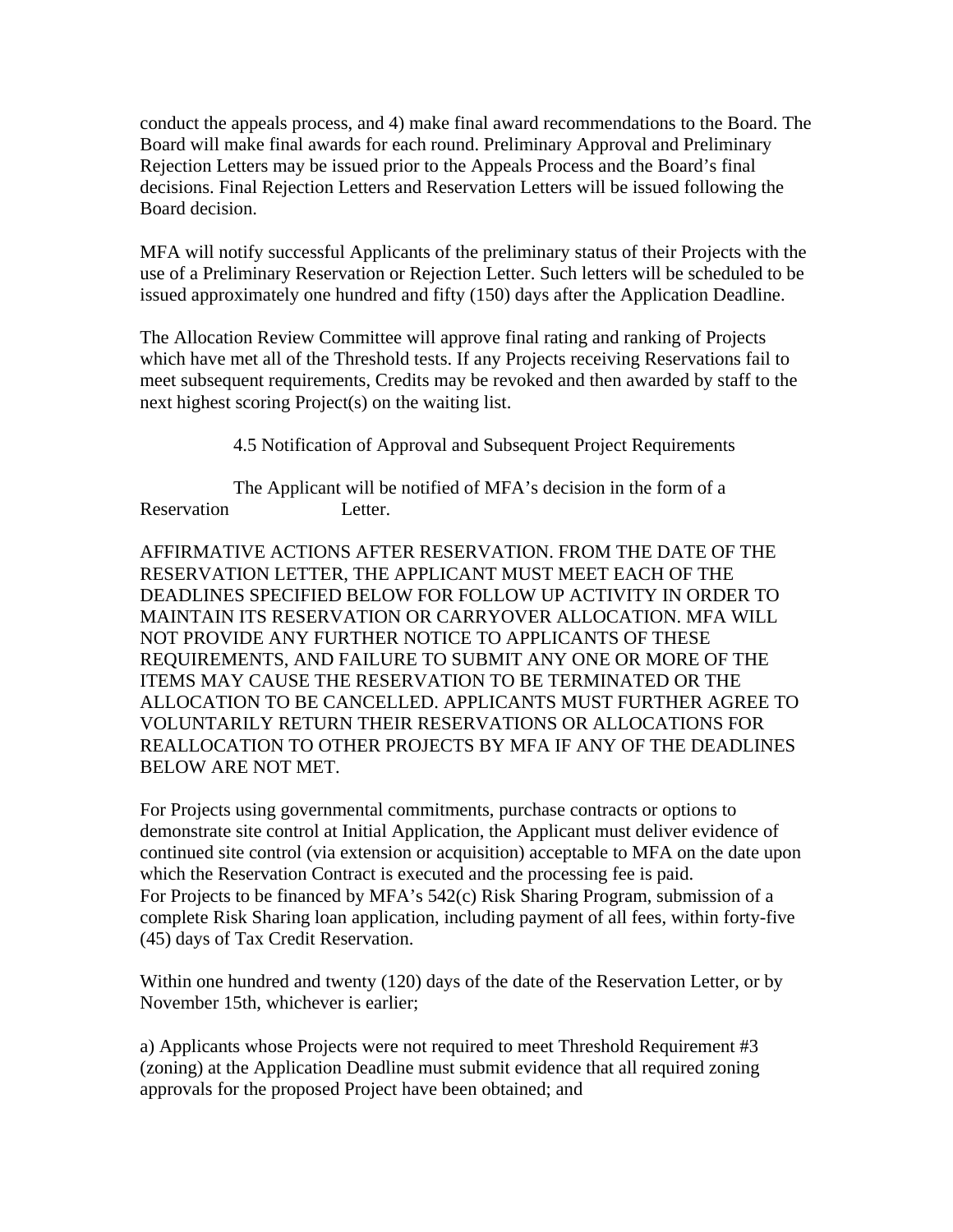conduct the appeals process, and 4) make final award recommendations to the Board. The Board will make final awards for each round. Preliminary Approval and Preliminary Rejection Letters may be issued prior to the Appeals Process and the Board's final decisions. Final Rejection Letters and Reservation Letters will be issued following the Board decision.

MFA will notify successful Applicants of the preliminary status of their Projects with the use of a Preliminary Reservation or Rejection Letter. Such letters will be scheduled to be issued approximately one hundred and fifty (150) days after the Application Deadline.

The Allocation Review Committee will approve final rating and ranking of Projects which have met all of the Threshold tests. If any Projects receiving Reservations fail to meet subsequent requirements, Credits may be revoked and then awarded by staff to the next highest scoring Project(s) on the waiting list.

4.5 Notification of Approval and Subsequent Project Requirements

 The Applicant will be notified of MFA's decision in the form of a Reservation Letter.

AFFIRMATIVE ACTIONS AFTER RESERVATION. FROM THE DATE OF THE RESERVATION LETTER, THE APPLICANT MUST MEET EACH OF THE DEADLINES SPECIFIED BELOW FOR FOLLOW UP ACTIVITY IN ORDER TO MAINTAIN ITS RESERVATION OR CARRYOVER ALLOCATION. MFA WILL NOT PROVIDE ANY FURTHER NOTICE TO APPLICANTS OF THESE REQUIREMENTS, AND FAILURE TO SUBMIT ANY ONE OR MORE OF THE ITEMS MAY CAUSE THE RESERVATION TO BE TERMINATED OR THE ALLOCATION TO BE CANCELLED. APPLICANTS MUST FURTHER AGREE TO VOLUNTARILY RETURN THEIR RESERVATIONS OR ALLOCATIONS FOR REALLOCATION TO OTHER PROJECTS BY MFA IF ANY OF THE DEADLINES BELOW ARE NOT MET.

For Projects using governmental commitments, purchase contracts or options to demonstrate site control at Initial Application, the Applicant must deliver evidence of continued site control (via extension or acquisition) acceptable to MFA on the date upon which the Reservation Contract is executed and the processing fee is paid. For Projects to be financed by MFA's 542(c) Risk Sharing Program, submission of a complete Risk Sharing loan application, including payment of all fees, within forty-five (45) days of Tax Credit Reservation.

Within one hundred and twenty (120) days of the date of the Reservation Letter, or by November 15th, whichever is earlier;

a) Applicants whose Projects were not required to meet Threshold Requirement #3 (zoning) at the Application Deadline must submit evidence that all required zoning approvals for the proposed Project have been obtained; and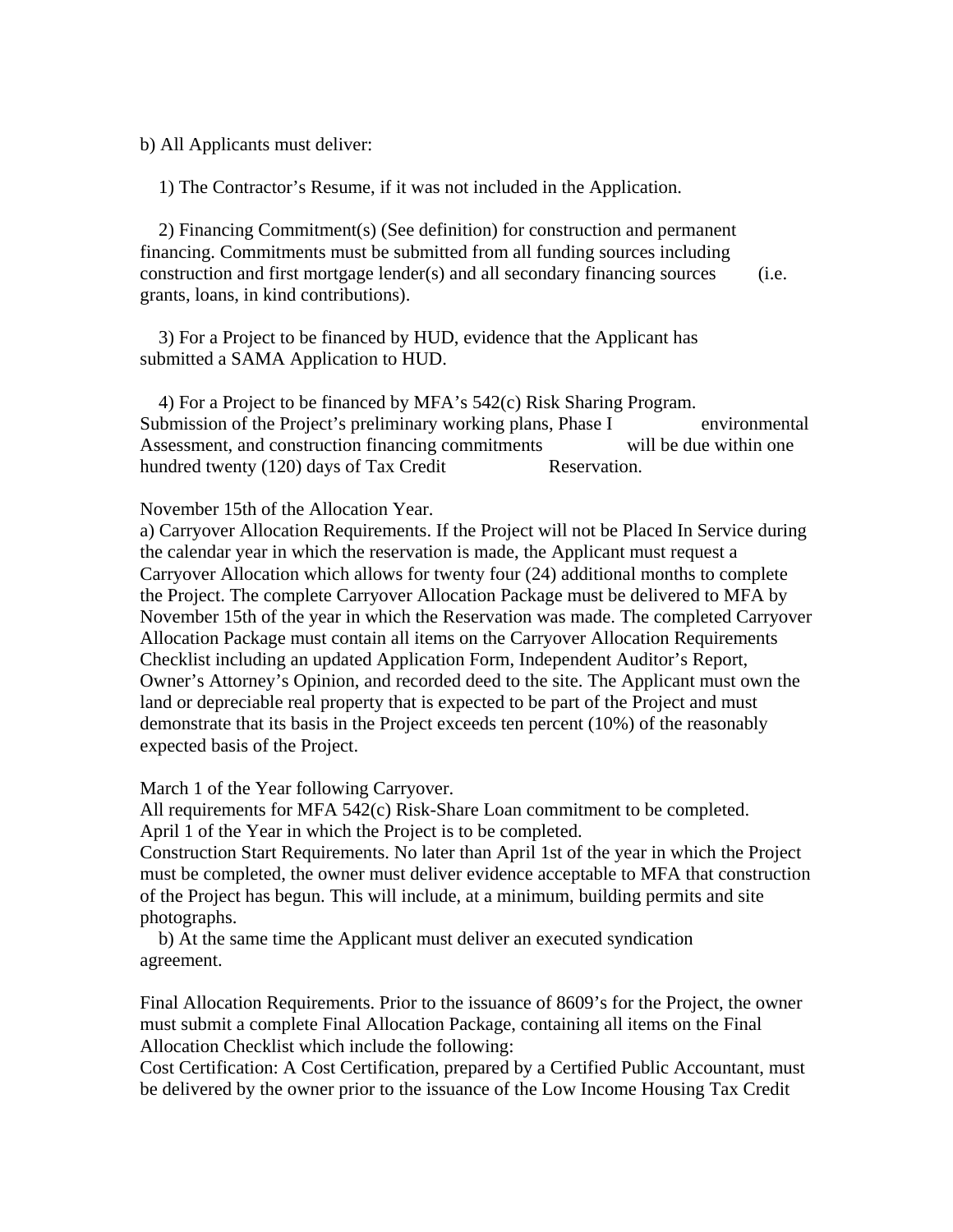b) All Applicants must deliver:

1) The Contractor's Resume, if it was not included in the Application.

 2) Financing Commitment(s) (See definition) for construction and permanent financing. Commitments must be submitted from all funding sources including construction and first mortgage lender(s) and all secondary financing sources (i.e. grants, loans, in kind contributions).

 3) For a Project to be financed by HUD, evidence that the Applicant has submitted a SAMA Application to HUD.

 4) For a Project to be financed by MFA's 542(c) Risk Sharing Program. Submission of the Project's preliminary working plans, Phase I environmental Assessment, and construction financing commitments will be due within one hundred twenty (120) days of Tax Credit Reservation.

#### November 15th of the Allocation Year.

a) Carryover Allocation Requirements. If the Project will not be Placed In Service during the calendar year in which the reservation is made, the Applicant must request a Carryover Allocation which allows for twenty four (24) additional months to complete the Project. The complete Carryover Allocation Package must be delivered to MFA by November 15th of the year in which the Reservation was made. The completed Carryover Allocation Package must contain all items on the Carryover Allocation Requirements Checklist including an updated Application Form, Independent Auditor's Report, Owner's Attorney's Opinion, and recorded deed to the site. The Applicant must own the land or depreciable real property that is expected to be part of the Project and must demonstrate that its basis in the Project exceeds ten percent (10%) of the reasonably expected basis of the Project.

March 1 of the Year following Carryover.

All requirements for MFA 542(c) Risk-Share Loan commitment to be completed. April 1 of the Year in which the Project is to be completed.

Construction Start Requirements. No later than April 1st of the year in which the Project must be completed, the owner must deliver evidence acceptable to MFA that construction of the Project has begun. This will include, at a minimum, building permits and site photographs.

 b) At the same time the Applicant must deliver an executed syndication agreement.

Final Allocation Requirements. Prior to the issuance of 8609's for the Project, the owner must submit a complete Final Allocation Package, containing all items on the Final Allocation Checklist which include the following:

Cost Certification: A Cost Certification, prepared by a Certified Public Accountant, must be delivered by the owner prior to the issuance of the Low Income Housing Tax Credit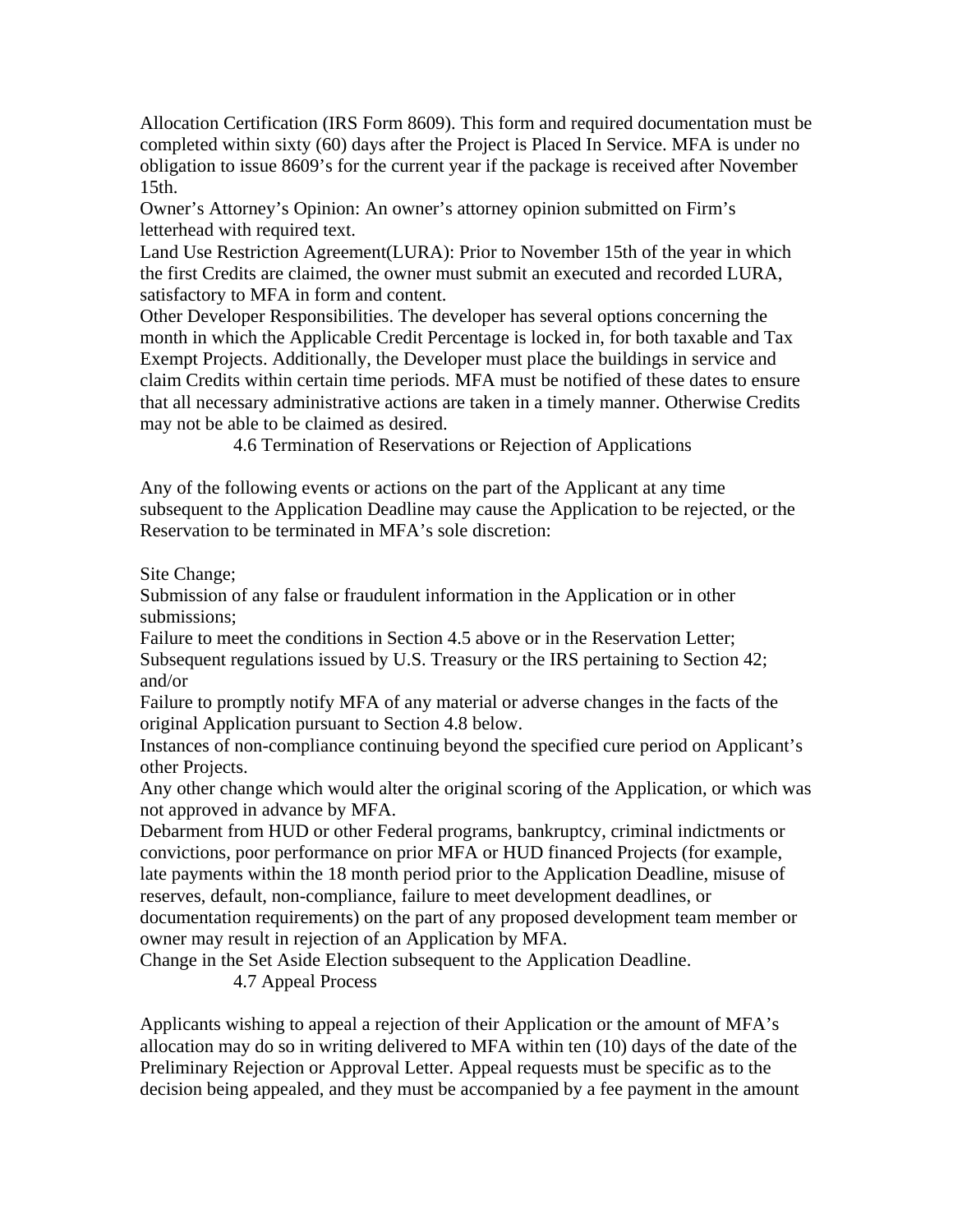Allocation Certification (IRS Form 8609). This form and required documentation must be completed within sixty (60) days after the Project is Placed In Service. MFA is under no obligation to issue 8609's for the current year if the package is received after November 15th.

Owner's Attorney's Opinion: An owner's attorney opinion submitted on Firm's letterhead with required text.

Land Use Restriction Agreement(LURA): Prior to November 15th of the year in which the first Credits are claimed, the owner must submit an executed and recorded LURA, satisfactory to MFA in form and content.

Other Developer Responsibilities. The developer has several options concerning the month in which the Applicable Credit Percentage is locked in, for both taxable and Tax Exempt Projects. Additionally, the Developer must place the buildings in service and claim Credits within certain time periods. MFA must be notified of these dates to ensure that all necessary administrative actions are taken in a timely manner. Otherwise Credits may not be able to be claimed as desired.

4.6 Termination of Reservations or Rejection of Applications

Any of the following events or actions on the part of the Applicant at any time subsequent to the Application Deadline may cause the Application to be rejected, or the Reservation to be terminated in MFA's sole discretion:

Site Change;

Submission of any false or fraudulent information in the Application or in other submissions;

Failure to meet the conditions in Section 4.5 above or in the Reservation Letter; Subsequent regulations issued by U.S. Treasury or the IRS pertaining to Section 42; and/or

Failure to promptly notify MFA of any material or adverse changes in the facts of the original Application pursuant to Section 4.8 below.

Instances of non-compliance continuing beyond the specified cure period on Applicant's other Projects.

Any other change which would alter the original scoring of the Application, or which was not approved in advance by MFA.

Debarment from HUD or other Federal programs, bankruptcy, criminal indictments or convictions, poor performance on prior MFA or HUD financed Projects (for example, late payments within the 18 month period prior to the Application Deadline, misuse of reserves, default, non-compliance, failure to meet development deadlines, or

documentation requirements) on the part of any proposed development team member or owner may result in rejection of an Application by MFA.

Change in the Set Aside Election subsequent to the Application Deadline.

4.7 Appeal Process

Applicants wishing to appeal a rejection of their Application or the amount of MFA's allocation may do so in writing delivered to MFA within ten (10) days of the date of the Preliminary Rejection or Approval Letter. Appeal requests must be specific as to the decision being appealed, and they must be accompanied by a fee payment in the amount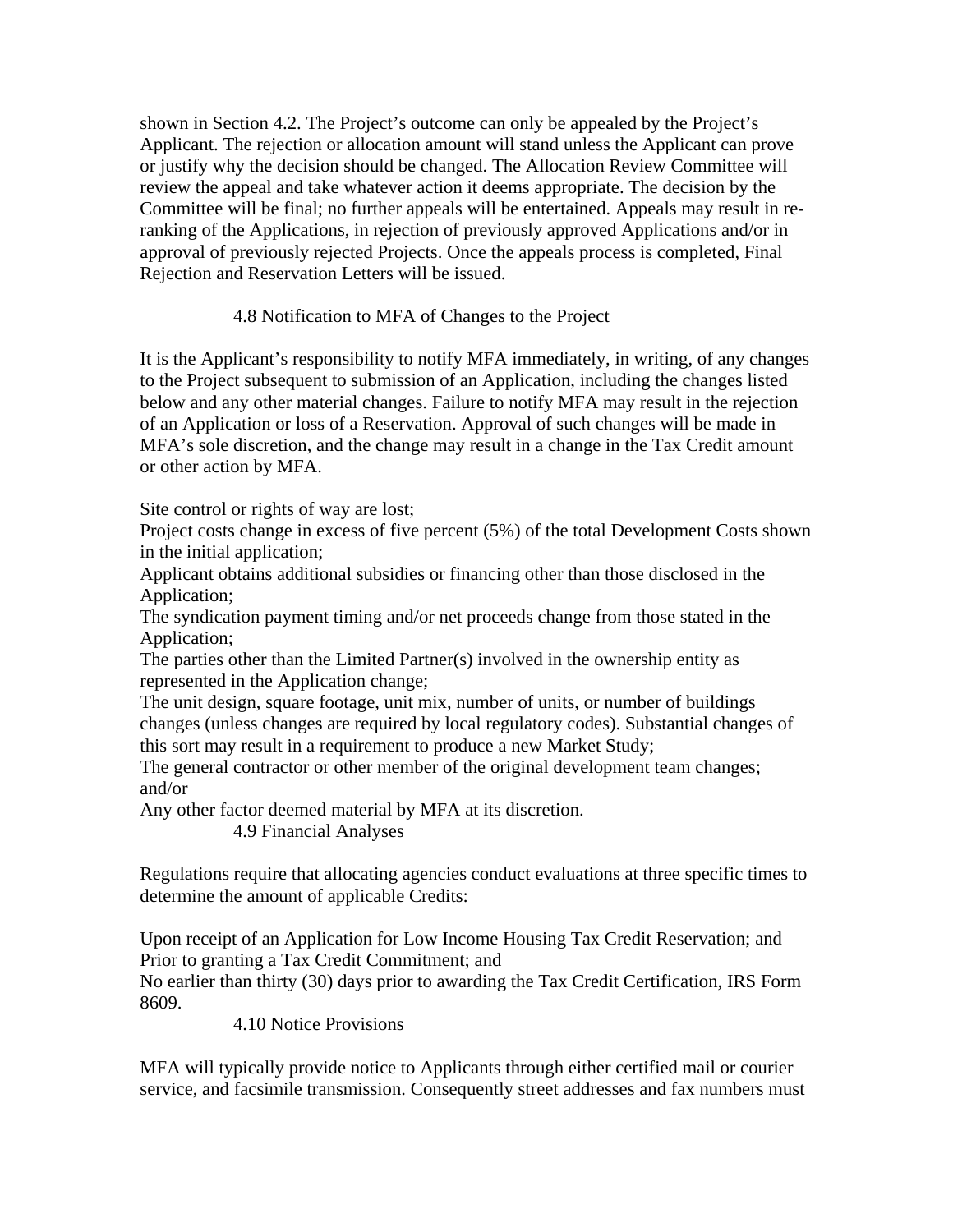shown in Section 4.2. The Project's outcome can only be appealed by the Project's Applicant. The rejection or allocation amount will stand unless the Applicant can prove or justify why the decision should be changed. The Allocation Review Committee will review the appeal and take whatever action it deems appropriate. The decision by the Committee will be final; no further appeals will be entertained. Appeals may result in reranking of the Applications, in rejection of previously approved Applications and/or in approval of previously rejected Projects. Once the appeals process is completed, Final Rejection and Reservation Letters will be issued.

## 4.8 Notification to MFA of Changes to the Project

It is the Applicant's responsibility to notify MFA immediately, in writing, of any changes to the Project subsequent to submission of an Application, including the changes listed below and any other material changes. Failure to notify MFA may result in the rejection of an Application or loss of a Reservation. Approval of such changes will be made in MFA's sole discretion, and the change may result in a change in the Tax Credit amount or other action by MFA.

Site control or rights of way are lost;

Project costs change in excess of five percent (5%) of the total Development Costs shown in the initial application;

Applicant obtains additional subsidies or financing other than those disclosed in the Application;

The syndication payment timing and/or net proceeds change from those stated in the Application;

The parties other than the Limited Partner(s) involved in the ownership entity as represented in the Application change;

The unit design, square footage, unit mix, number of units, or number of buildings changes (unless changes are required by local regulatory codes). Substantial changes of this sort may result in a requirement to produce a new Market Study;

The general contractor or other member of the original development team changes; and/or

Any other factor deemed material by MFA at its discretion.

4.9 Financial Analyses

Regulations require that allocating agencies conduct evaluations at three specific times to determine the amount of applicable Credits:

Upon receipt of an Application for Low Income Housing Tax Credit Reservation; and Prior to granting a Tax Credit Commitment; and

No earlier than thirty (30) days prior to awarding the Tax Credit Certification, IRS Form 8609.

4.10 Notice Provisions

MFA will typically provide notice to Applicants through either certified mail or courier service, and facsimile transmission. Consequently street addresses and fax numbers must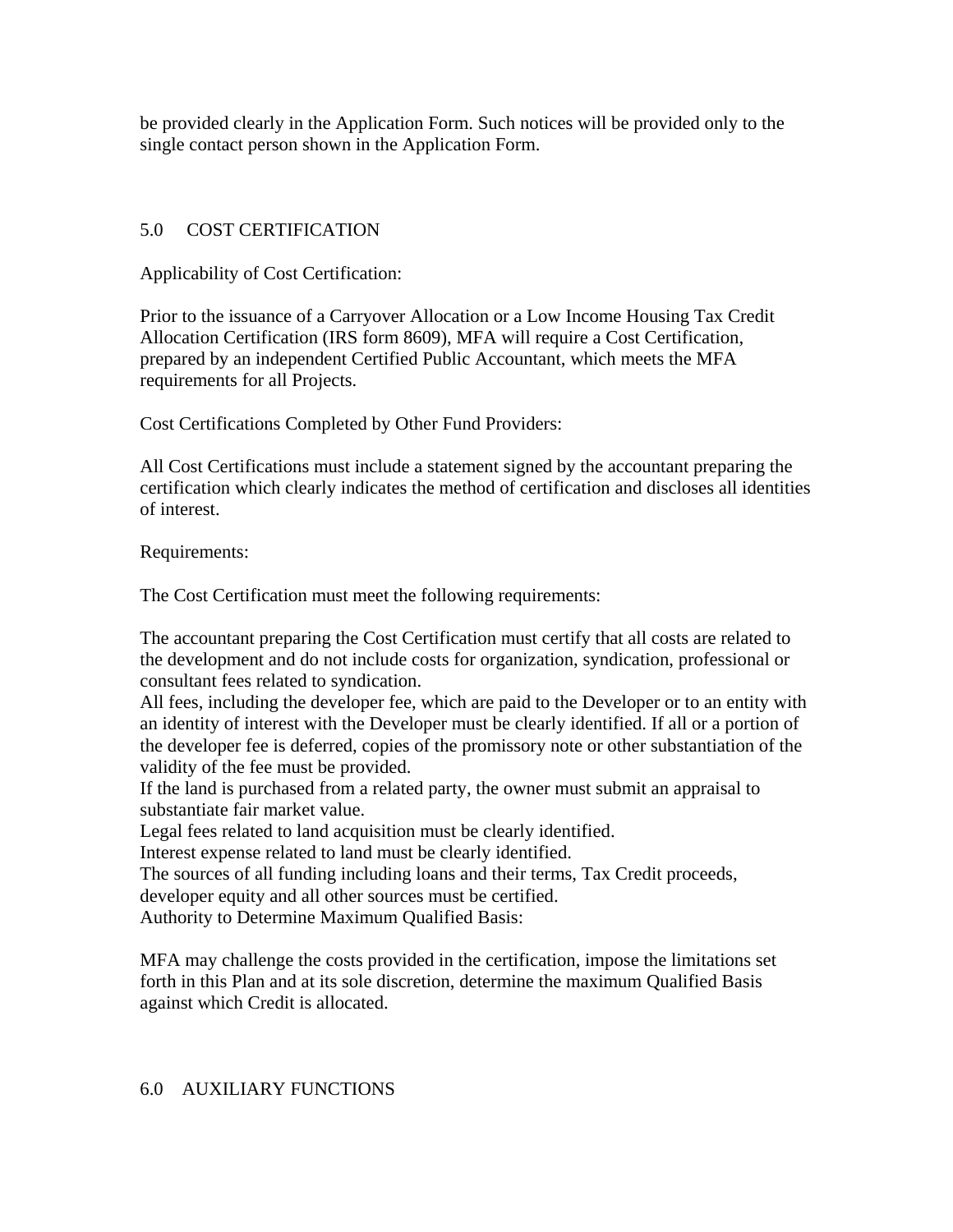be provided clearly in the Application Form. Such notices will be provided only to the single contact person shown in the Application Form.

## 5.0 COST CERTIFICATION

Applicability of Cost Certification:

Prior to the issuance of a Carryover Allocation or a Low Income Housing Tax Credit Allocation Certification (IRS form 8609), MFA will require a Cost Certification, prepared by an independent Certified Public Accountant, which meets the MFA requirements for all Projects.

Cost Certifications Completed by Other Fund Providers:

All Cost Certifications must include a statement signed by the accountant preparing the certification which clearly indicates the method of certification and discloses all identities of interest.

Requirements:

The Cost Certification must meet the following requirements:

The accountant preparing the Cost Certification must certify that all costs are related to the development and do not include costs for organization, syndication, professional or consultant fees related to syndication.

All fees, including the developer fee, which are paid to the Developer or to an entity with an identity of interest with the Developer must be clearly identified. If all or a portion of the developer fee is deferred, copies of the promissory note or other substantiation of the validity of the fee must be provided.

If the land is purchased from a related party, the owner must submit an appraisal to substantiate fair market value.

Legal fees related to land acquisition must be clearly identified.

Interest expense related to land must be clearly identified.

The sources of all funding including loans and their terms, Tax Credit proceeds,

developer equity and all other sources must be certified.

Authority to Determine Maximum Qualified Basis:

MFA may challenge the costs provided in the certification, impose the limitations set forth in this Plan and at its sole discretion, determine the maximum Qualified Basis against which Credit is allocated.

### 6.0 AUXILIARY FUNCTIONS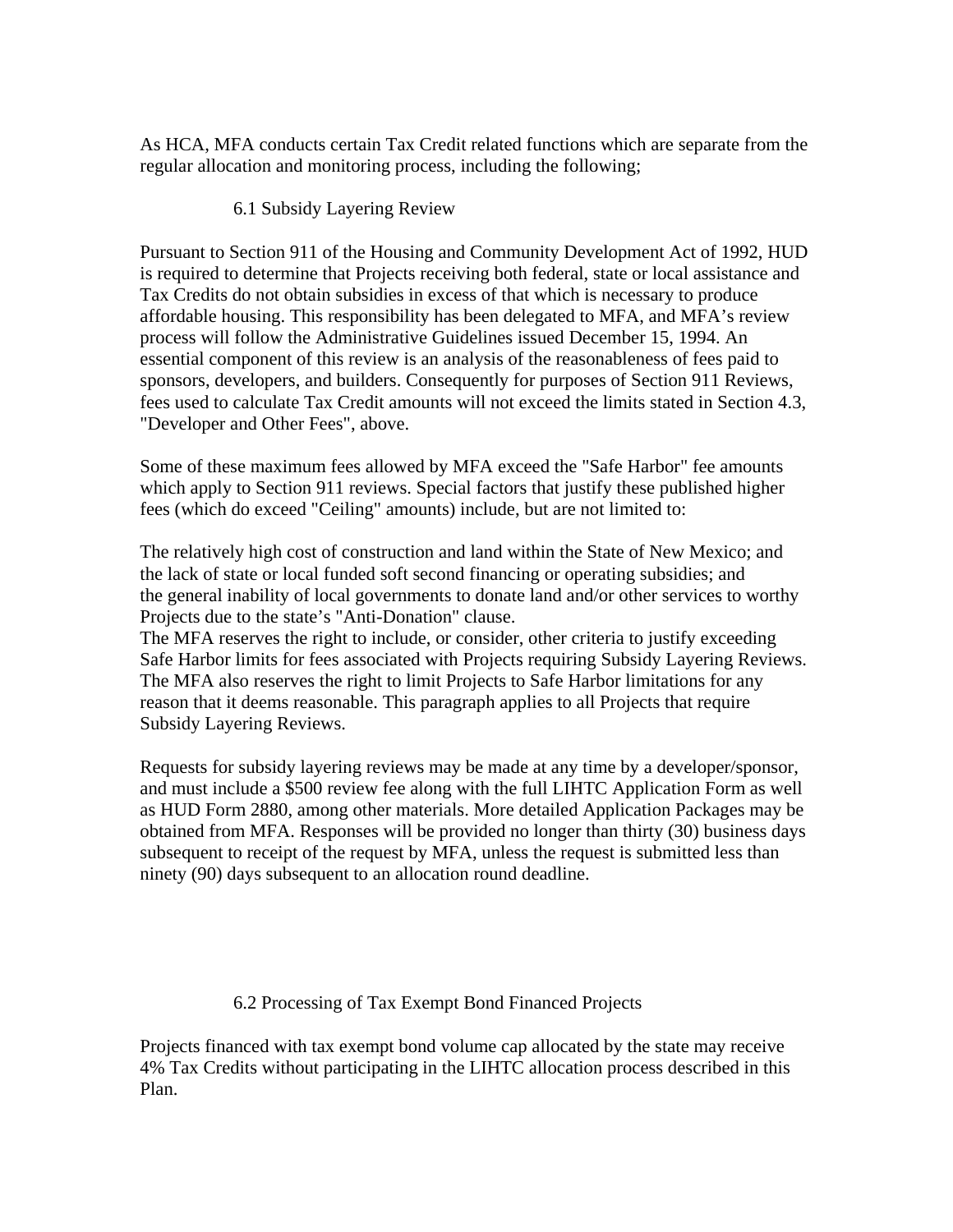As HCA, MFA conducts certain Tax Credit related functions which are separate from the regular allocation and monitoring process, including the following;

## 6.1 Subsidy Layering Review

Pursuant to Section 911 of the Housing and Community Development Act of 1992, HUD is required to determine that Projects receiving both federal, state or local assistance and Tax Credits do not obtain subsidies in excess of that which is necessary to produce affordable housing. This responsibility has been delegated to MFA, and MFA's review process will follow the Administrative Guidelines issued December 15, 1994. An essential component of this review is an analysis of the reasonableness of fees paid to sponsors, developers, and builders. Consequently for purposes of Section 911 Reviews, fees used to calculate Tax Credit amounts will not exceed the limits stated in Section 4.3, "Developer and Other Fees", above.

Some of these maximum fees allowed by MFA exceed the "Safe Harbor" fee amounts which apply to Section 911 reviews. Special factors that justify these published higher fees (which do exceed "Ceiling" amounts) include, but are not limited to:

The relatively high cost of construction and land within the State of New Mexico; and the lack of state or local funded soft second financing or operating subsidies; and the general inability of local governments to donate land and/or other services to worthy Projects due to the state's "Anti-Donation" clause.

The MFA reserves the right to include, or consider, other criteria to justify exceeding Safe Harbor limits for fees associated with Projects requiring Subsidy Layering Reviews. The MFA also reserves the right to limit Projects to Safe Harbor limitations for any reason that it deems reasonable. This paragraph applies to all Projects that require Subsidy Layering Reviews.

Requests for subsidy layering reviews may be made at any time by a developer/sponsor, and must include a \$500 review fee along with the full LIHTC Application Form as well as HUD Form 2880, among other materials. More detailed Application Packages may be obtained from MFA. Responses will be provided no longer than thirty (30) business days subsequent to receipt of the request by MFA, unless the request is submitted less than ninety (90) days subsequent to an allocation round deadline.

## 6.2 Processing of Tax Exempt Bond Financed Projects

Projects financed with tax exempt bond volume cap allocated by the state may receive 4% Tax Credits without participating in the LIHTC allocation process described in this Plan.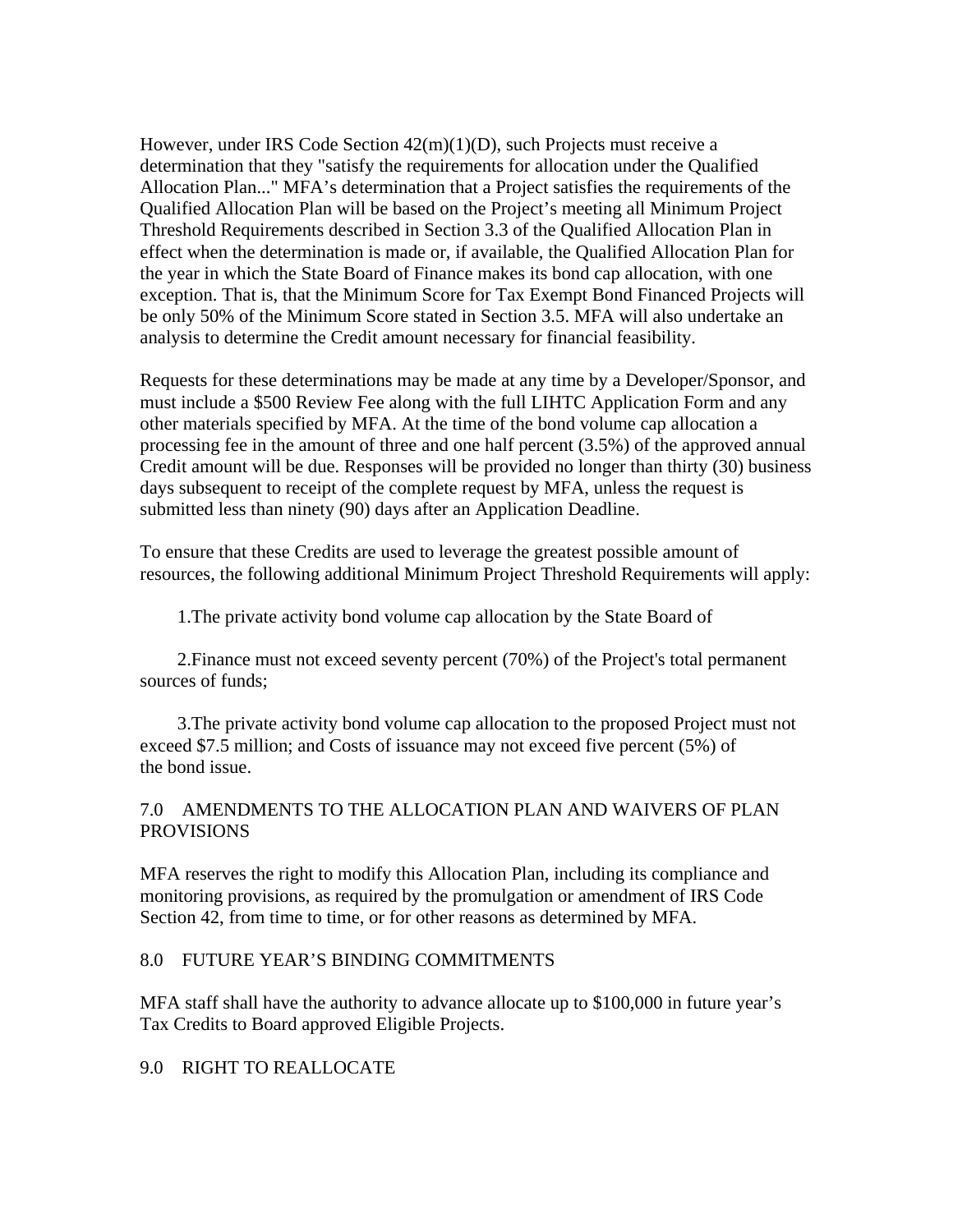However, under IRS Code Section 42(m)(1)(D), such Projects must receive a determination that they "satisfy the requirements for allocation under the Qualified Allocation Plan..." MFA's determination that a Project satisfies the requirements of the Qualified Allocation Plan will be based on the Project's meeting all Minimum Project Threshold Requirements described in Section 3.3 of the Qualified Allocation Plan in effect when the determination is made or, if available, the Qualified Allocation Plan for the year in which the State Board of Finance makes its bond cap allocation, with one exception. That is, that the Minimum Score for Tax Exempt Bond Financed Projects will be only 50% of the Minimum Score stated in Section 3.5. MFA will also undertake an analysis to determine the Credit amount necessary for financial feasibility.

Requests for these determinations may be made at any time by a Developer/Sponsor, and must include a \$500 Review Fee along with the full LIHTC Application Form and any other materials specified by MFA. At the time of the bond volume cap allocation a processing fee in the amount of three and one half percent (3.5%) of the approved annual Credit amount will be due. Responses will be provided no longer than thirty (30) business days subsequent to receipt of the complete request by MFA, unless the request is submitted less than ninety (90) days after an Application Deadline.

To ensure that these Credits are used to leverage the greatest possible amount of resources, the following additional Minimum Project Threshold Requirements will apply:

1.The private activity bond volume cap allocation by the State Board of

 2.Finance must not exceed seventy percent (70%) of the Project's total permanent sources of funds;

 3.The private activity bond volume cap allocation to the proposed Project must not exceed \$7.5 million; and Costs of issuance may not exceed five percent (5%) of the bond issue.

## 7.0 AMENDMENTS TO THE ALLOCATION PLAN AND WAIVERS OF PLAN PROVISIONS

MFA reserves the right to modify this Allocation Plan, including its compliance and monitoring provisions, as required by the promulgation or amendment of IRS Code Section 42, from time to time, or for other reasons as determined by MFA.

## 8.0 FUTURE YEAR'S BINDING COMMITMENTS

MFA staff shall have the authority to advance allocate up to \$100,000 in future year's Tax Credits to Board approved Eligible Projects.

### 9.0 RIGHT TO REALLOCATE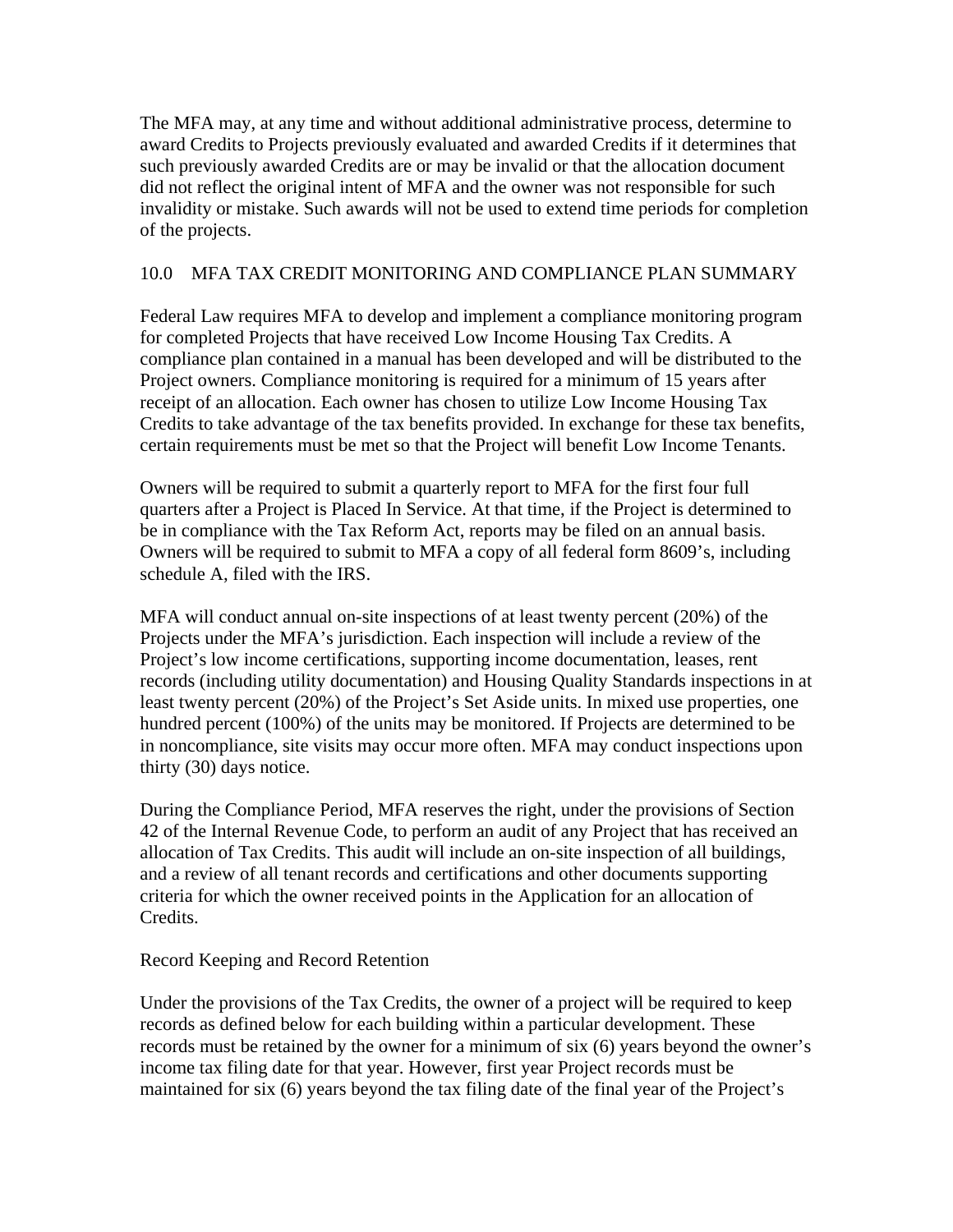The MFA may, at any time and without additional administrative process, determine to award Credits to Projects previously evaluated and awarded Credits if it determines that such previously awarded Credits are or may be invalid or that the allocation document did not reflect the original intent of MFA and the owner was not responsible for such invalidity or mistake. Such awards will not be used to extend time periods for completion of the projects.

# 10.0 MFA TAX CREDIT MONITORING AND COMPLIANCE PLAN SUMMARY

Federal Law requires MFA to develop and implement a compliance monitoring program for completed Projects that have received Low Income Housing Tax Credits. A compliance plan contained in a manual has been developed and will be distributed to the Project owners. Compliance monitoring is required for a minimum of 15 years after receipt of an allocation. Each owner has chosen to utilize Low Income Housing Tax Credits to take advantage of the tax benefits provided. In exchange for these tax benefits, certain requirements must be met so that the Project will benefit Low Income Tenants.

Owners will be required to submit a quarterly report to MFA for the first four full quarters after a Project is Placed In Service. At that time, if the Project is determined to be in compliance with the Tax Reform Act, reports may be filed on an annual basis. Owners will be required to submit to MFA a copy of all federal form 8609's, including schedule A, filed with the IRS.

MFA will conduct annual on-site inspections of at least twenty percent (20%) of the Projects under the MFA's jurisdiction. Each inspection will include a review of the Project's low income certifications, supporting income documentation, leases, rent records (including utility documentation) and Housing Quality Standards inspections in at least twenty percent (20%) of the Project's Set Aside units. In mixed use properties, one hundred percent (100%) of the units may be monitored. If Projects are determined to be in noncompliance, site visits may occur more often. MFA may conduct inspections upon thirty (30) days notice.

During the Compliance Period, MFA reserves the right, under the provisions of Section 42 of the Internal Revenue Code, to perform an audit of any Project that has received an allocation of Tax Credits. This audit will include an on-site inspection of all buildings, and a review of all tenant records and certifications and other documents supporting criteria for which the owner received points in the Application for an allocation of Credits.

## Record Keeping and Record Retention

Under the provisions of the Tax Credits, the owner of a project will be required to keep records as defined below for each building within a particular development. These records must be retained by the owner for a minimum of six (6) years beyond the owner's income tax filing date for that year. However, first year Project records must be maintained for six (6) years beyond the tax filing date of the final year of the Project's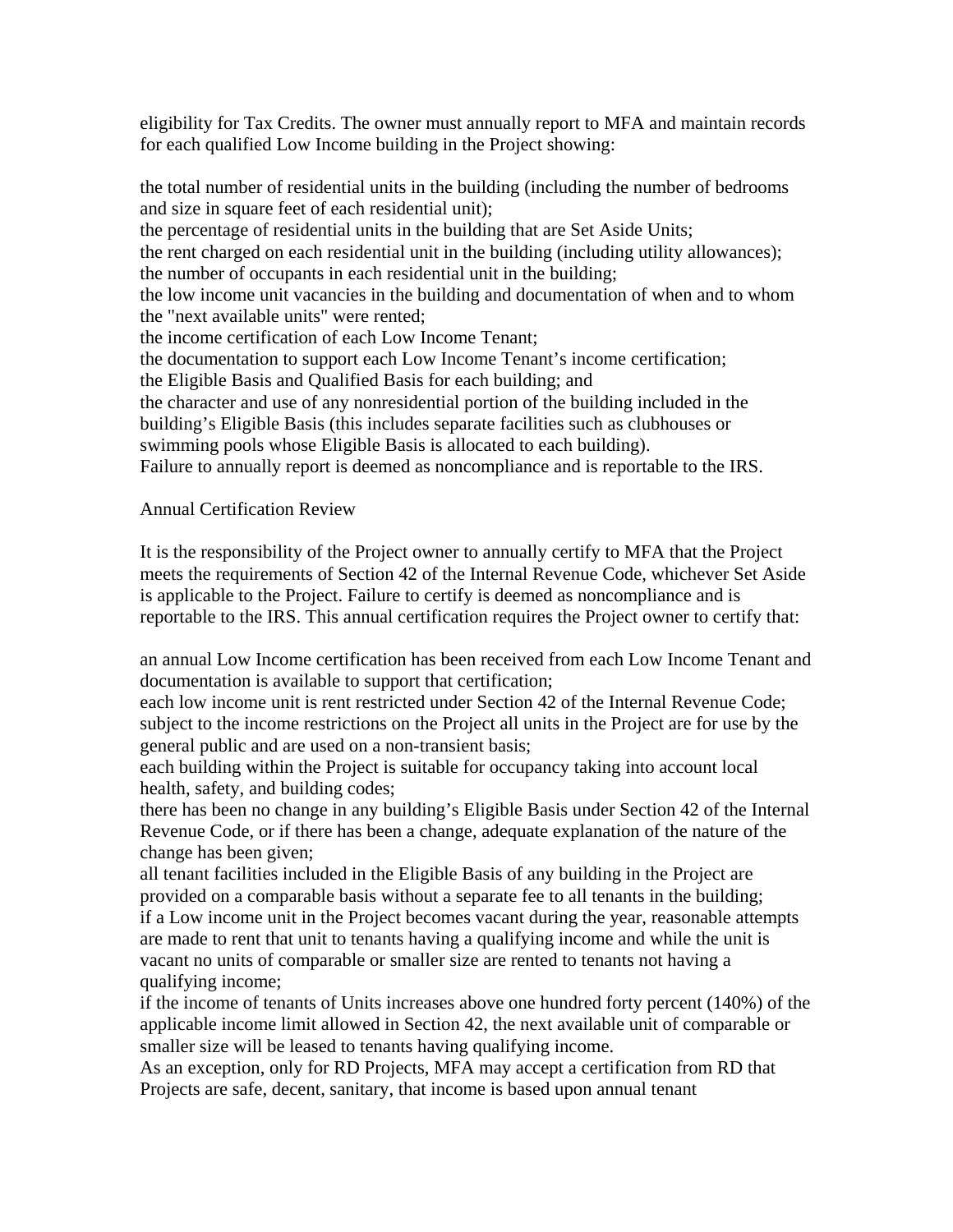eligibility for Tax Credits. The owner must annually report to MFA and maintain records for each qualified Low Income building in the Project showing:

the total number of residential units in the building (including the number of bedrooms and size in square feet of each residential unit); the percentage of residential units in the building that are Set Aside Units; the rent charged on each residential unit in the building (including utility allowances); the number of occupants in each residential unit in the building; the low income unit vacancies in the building and documentation of when and to whom the "next available units" were rented; the income certification of each Low Income Tenant; the documentation to support each Low Income Tenant's income certification; the Eligible Basis and Qualified Basis for each building; and the character and use of any nonresidential portion of the building included in the building's Eligible Basis (this includes separate facilities such as clubhouses or swimming pools whose Eligible Basis is allocated to each building). Failure to annually report is deemed as noncompliance and is reportable to the IRS.

Annual Certification Review

It is the responsibility of the Project owner to annually certify to MFA that the Project meets the requirements of Section 42 of the Internal Revenue Code, whichever Set Aside is applicable to the Project. Failure to certify is deemed as noncompliance and is reportable to the IRS. This annual certification requires the Project owner to certify that:

an annual Low Income certification has been received from each Low Income Tenant and documentation is available to support that certification;

each low income unit is rent restricted under Section 42 of the Internal Revenue Code; subject to the income restrictions on the Project all units in the Project are for use by the general public and are used on a non-transient basis;

each building within the Project is suitable for occupancy taking into account local health, safety, and building codes;

there has been no change in any building's Eligible Basis under Section 42 of the Internal Revenue Code, or if there has been a change, adequate explanation of the nature of the change has been given;

all tenant facilities included in the Eligible Basis of any building in the Project are provided on a comparable basis without a separate fee to all tenants in the building; if a Low income unit in the Project becomes vacant during the year, reasonable attempts are made to rent that unit to tenants having a qualifying income and while the unit is vacant no units of comparable or smaller size are rented to tenants not having a qualifying income;

if the income of tenants of Units increases above one hundred forty percent (140%) of the applicable income limit allowed in Section 42, the next available unit of comparable or smaller size will be leased to tenants having qualifying income.

As an exception, only for RD Projects, MFA may accept a certification from RD that Projects are safe, decent, sanitary, that income is based upon annual tenant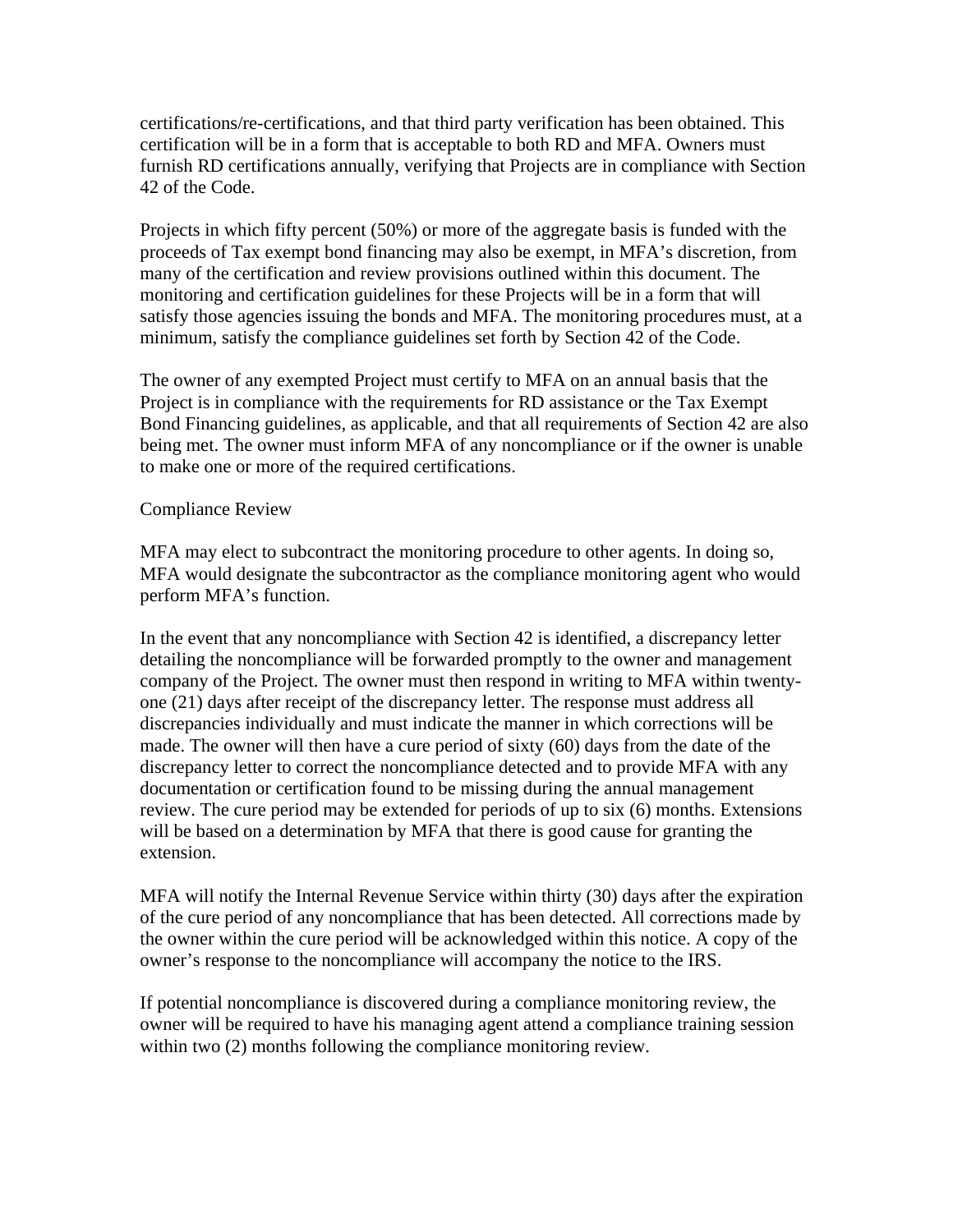certifications/re-certifications, and that third party verification has been obtained. This certification will be in a form that is acceptable to both RD and MFA. Owners must furnish RD certifications annually, verifying that Projects are in compliance with Section 42 of the Code.

Projects in which fifty percent (50%) or more of the aggregate basis is funded with the proceeds of Tax exempt bond financing may also be exempt, in MFA's discretion, from many of the certification and review provisions outlined within this document. The monitoring and certification guidelines for these Projects will be in a form that will satisfy those agencies issuing the bonds and MFA. The monitoring procedures must, at a minimum, satisfy the compliance guidelines set forth by Section 42 of the Code.

The owner of any exempted Project must certify to MFA on an annual basis that the Project is in compliance with the requirements for RD assistance or the Tax Exempt Bond Financing guidelines, as applicable, and that all requirements of Section 42 are also being met. The owner must inform MFA of any noncompliance or if the owner is unable to make one or more of the required certifications.

### Compliance Review

MFA may elect to subcontract the monitoring procedure to other agents. In doing so, MFA would designate the subcontractor as the compliance monitoring agent who would perform MFA's function.

In the event that any noncompliance with Section 42 is identified, a discrepancy letter detailing the noncompliance will be forwarded promptly to the owner and management company of the Project. The owner must then respond in writing to MFA within twentyone (21) days after receipt of the discrepancy letter. The response must address all discrepancies individually and must indicate the manner in which corrections will be made. The owner will then have a cure period of sixty (60) days from the date of the discrepancy letter to correct the noncompliance detected and to provide MFA with any documentation or certification found to be missing during the annual management review. The cure period may be extended for periods of up to six (6) months. Extensions will be based on a determination by MFA that there is good cause for granting the extension.

MFA will notify the Internal Revenue Service within thirty (30) days after the expiration of the cure period of any noncompliance that has been detected. All corrections made by the owner within the cure period will be acknowledged within this notice. A copy of the owner's response to the noncompliance will accompany the notice to the IRS.

If potential noncompliance is discovered during a compliance monitoring review, the owner will be required to have his managing agent attend a compliance training session within two (2) months following the compliance monitoring review.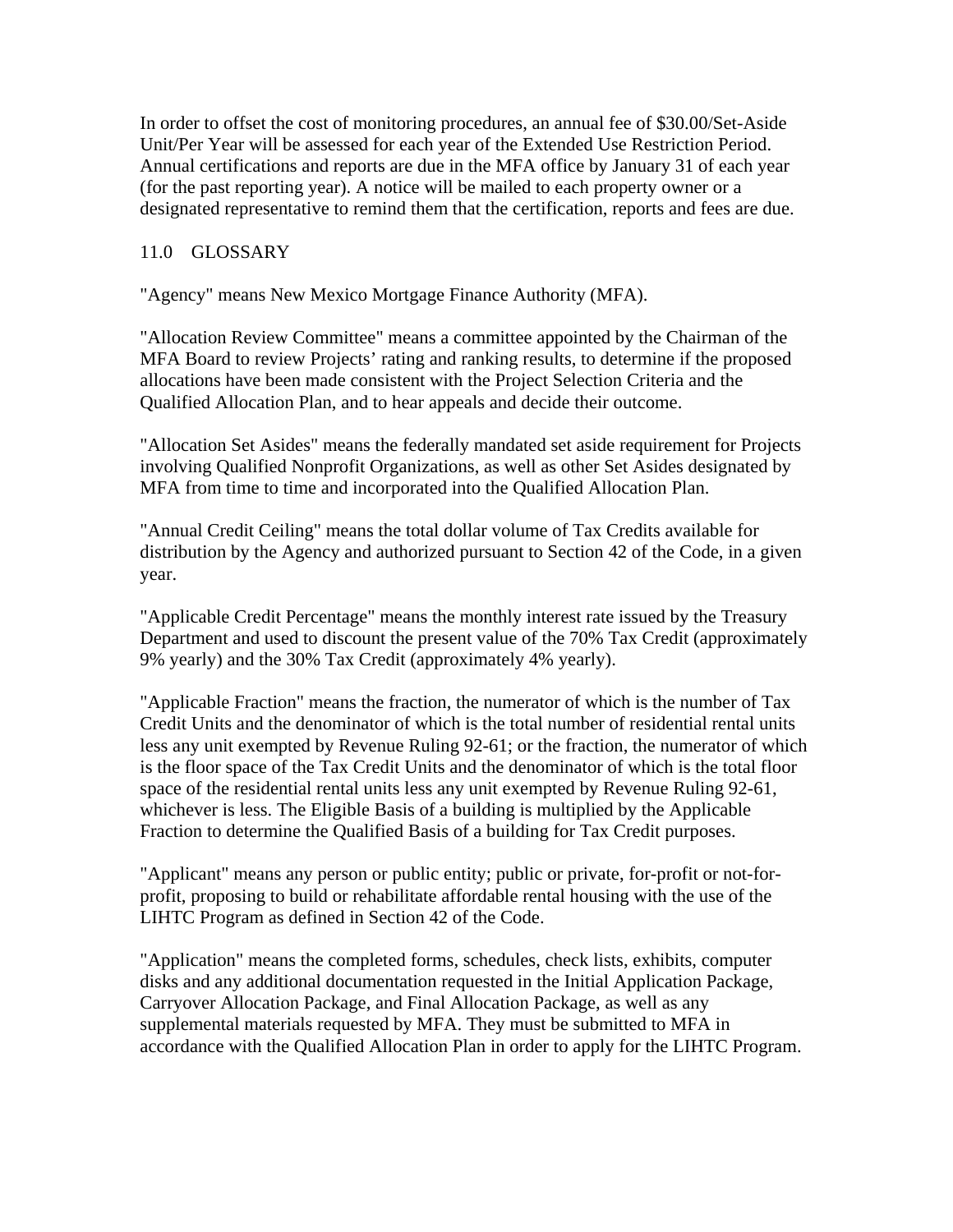In order to offset the cost of monitoring procedures, an annual fee of \$30.00/Set-Aside Unit/Per Year will be assessed for each year of the Extended Use Restriction Period. Annual certifications and reports are due in the MFA office by January 31 of each year (for the past reporting year). A notice will be mailed to each property owner or a designated representative to remind them that the certification, reports and fees are due.

### 11.0 GLOSSARY

"Agency" means New Mexico Mortgage Finance Authority (MFA).

"Allocation Review Committee" means a committee appointed by the Chairman of the MFA Board to review Projects' rating and ranking results, to determine if the proposed allocations have been made consistent with the Project Selection Criteria and the Qualified Allocation Plan, and to hear appeals and decide their outcome.

"Allocation Set Asides" means the federally mandated set aside requirement for Projects involving Qualified Nonprofit Organizations, as well as other Set Asides designated by MFA from time to time and incorporated into the Qualified Allocation Plan.

"Annual Credit Ceiling" means the total dollar volume of Tax Credits available for distribution by the Agency and authorized pursuant to Section 42 of the Code, in a given year.

"Applicable Credit Percentage" means the monthly interest rate issued by the Treasury Department and used to discount the present value of the 70% Tax Credit (approximately 9% yearly) and the 30% Tax Credit (approximately 4% yearly).

"Applicable Fraction" means the fraction, the numerator of which is the number of Tax Credit Units and the denominator of which is the total number of residential rental units less any unit exempted by Revenue Ruling 92-61; or the fraction, the numerator of which is the floor space of the Tax Credit Units and the denominator of which is the total floor space of the residential rental units less any unit exempted by Revenue Ruling 92-61, whichever is less. The Eligible Basis of a building is multiplied by the Applicable Fraction to determine the Qualified Basis of a building for Tax Credit purposes.

"Applicant" means any person or public entity; public or private, for-profit or not-forprofit, proposing to build or rehabilitate affordable rental housing with the use of the LIHTC Program as defined in Section 42 of the Code.

"Application" means the completed forms, schedules, check lists, exhibits, computer disks and any additional documentation requested in the Initial Application Package, Carryover Allocation Package, and Final Allocation Package, as well as any supplemental materials requested by MFA. They must be submitted to MFA in accordance with the Qualified Allocation Plan in order to apply for the LIHTC Program.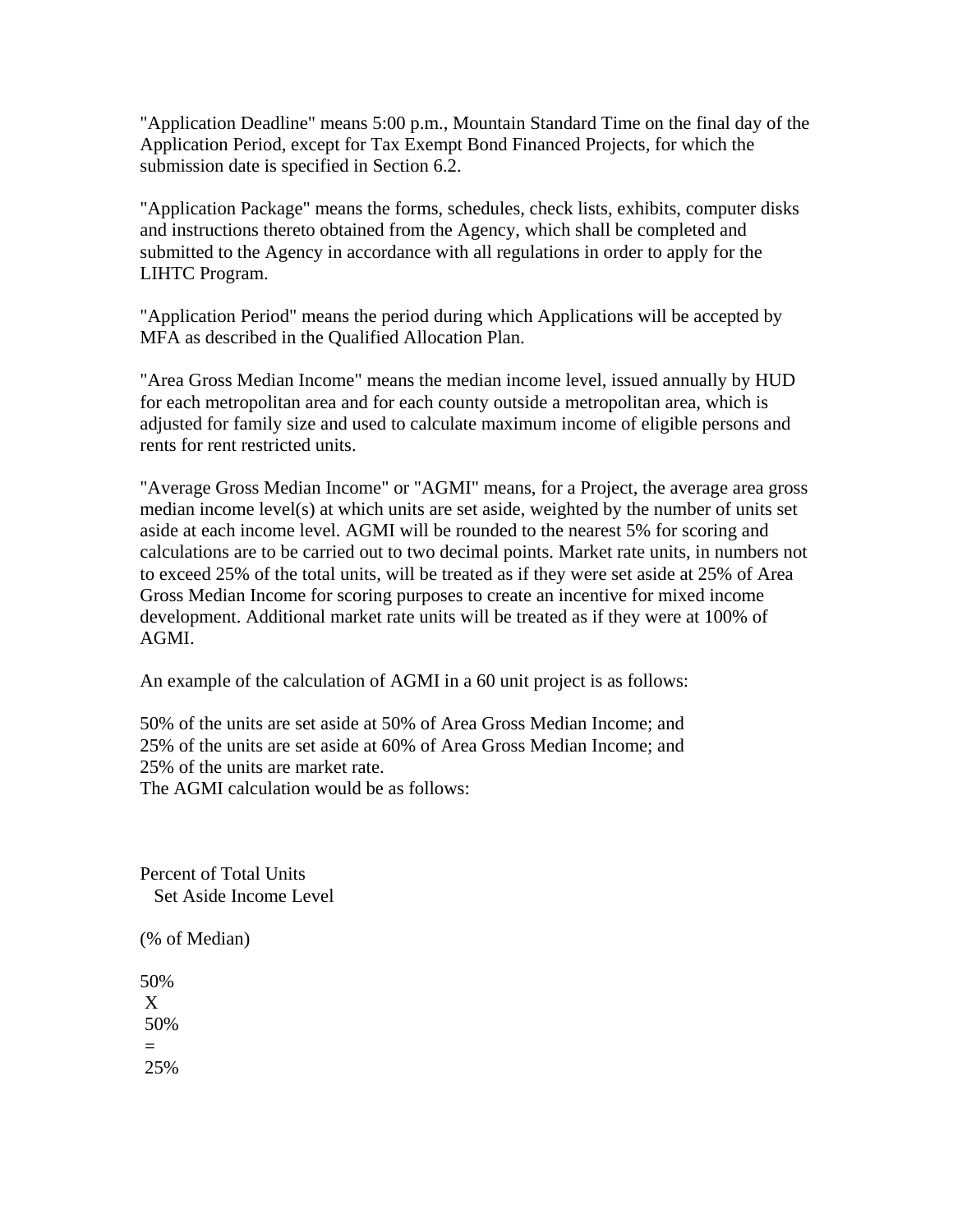"Application Deadline" means 5:00 p.m., Mountain Standard Time on the final day of the Application Period, except for Tax Exempt Bond Financed Projects, for which the submission date is specified in Section 6.2.

"Application Package" means the forms, schedules, check lists, exhibits, computer disks and instructions thereto obtained from the Agency, which shall be completed and submitted to the Agency in accordance with all regulations in order to apply for the LIHTC Program.

"Application Period" means the period during which Applications will be accepted by MFA as described in the Qualified Allocation Plan.

"Area Gross Median Income" means the median income level, issued annually by HUD for each metropolitan area and for each county outside a metropolitan area, which is adjusted for family size and used to calculate maximum income of eligible persons and rents for rent restricted units.

"Average Gross Median Income" or "AGMI" means, for a Project, the average area gross median income level(s) at which units are set aside, weighted by the number of units set aside at each income level. AGMI will be rounded to the nearest 5% for scoring and calculations are to be carried out to two decimal points. Market rate units, in numbers not to exceed 25% of the total units, will be treated as if they were set aside at 25% of Area Gross Median Income for scoring purposes to create an incentive for mixed income development. Additional market rate units will be treated as if they were at 100% of AGMI.

An example of the calculation of AGMI in a 60 unit project is as follows:

50% of the units are set aside at 50% of Area Gross Median Income; and 25% of the units are set aside at 60% of Area Gross Median Income; and 25% of the units are market rate. The AGMI calculation would be as follows:

Percent of Total Units

Set Aside Income Level

(% of Median)

50% X 50% = 25%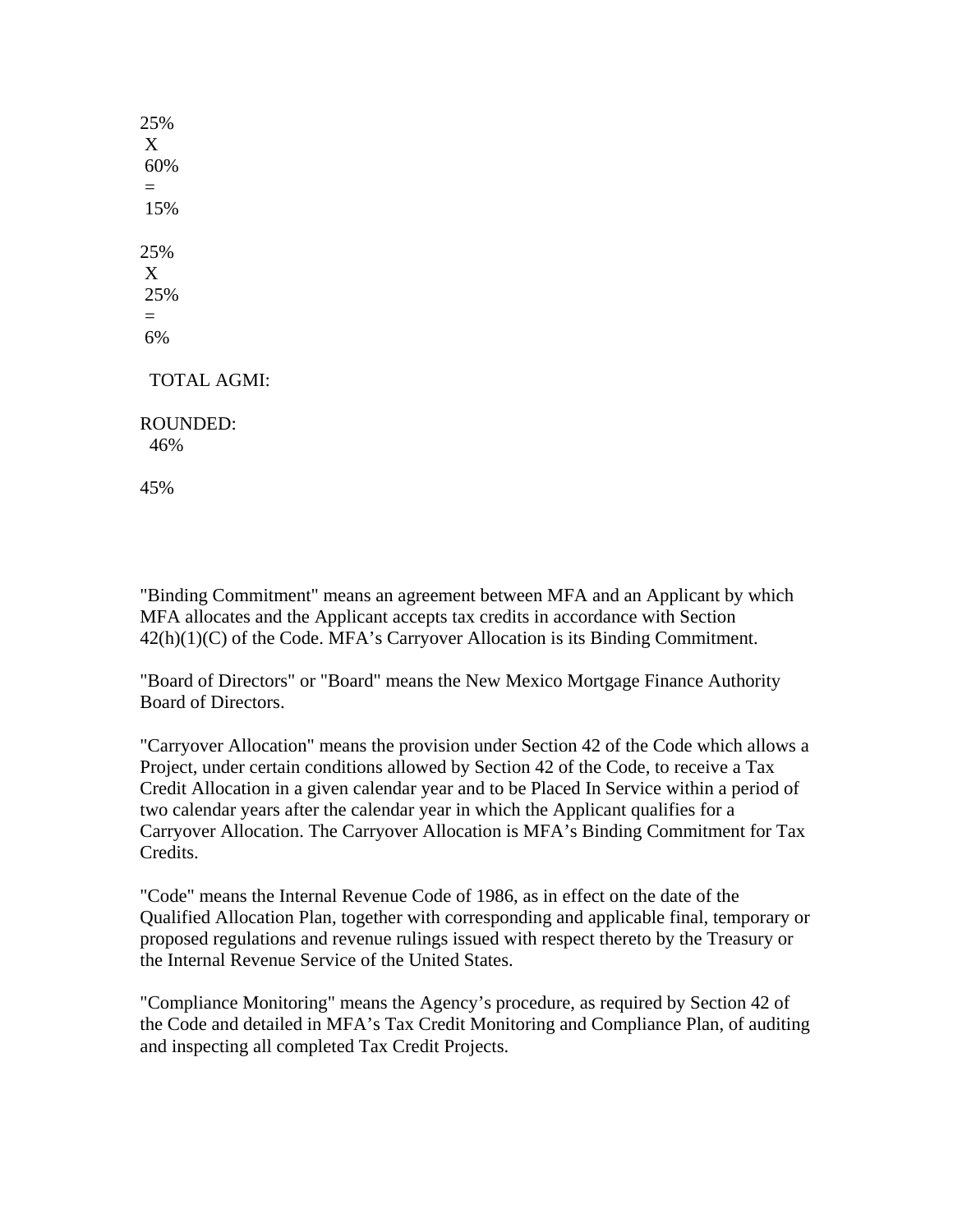25% X 60% = 15% 25% X 25% = 6% TOTAL AGMI:

ROUNDED: 46%

45%

"Binding Commitment" means an agreement between MFA and an Applicant by which MFA allocates and the Applicant accepts tax credits in accordance with Section 42(h)(1)(C) of the Code. MFA's Carryover Allocation is its Binding Commitment.

"Board of Directors" or "Board" means the New Mexico Mortgage Finance Authority Board of Directors.

"Carryover Allocation" means the provision under Section 42 of the Code which allows a Project, under certain conditions allowed by Section 42 of the Code, to receive a Tax Credit Allocation in a given calendar year and to be Placed In Service within a period of two calendar years after the calendar year in which the Applicant qualifies for a Carryover Allocation. The Carryover Allocation is MFA's Binding Commitment for Tax Credits.

"Code" means the Internal Revenue Code of 1986, as in effect on the date of the Qualified Allocation Plan, together with corresponding and applicable final, temporary or proposed regulations and revenue rulings issued with respect thereto by the Treasury or the Internal Revenue Service of the United States.

"Compliance Monitoring" means the Agency's procedure, as required by Section 42 of the Code and detailed in MFA's Tax Credit Monitoring and Compliance Plan, of auditing and inspecting all completed Tax Credit Projects.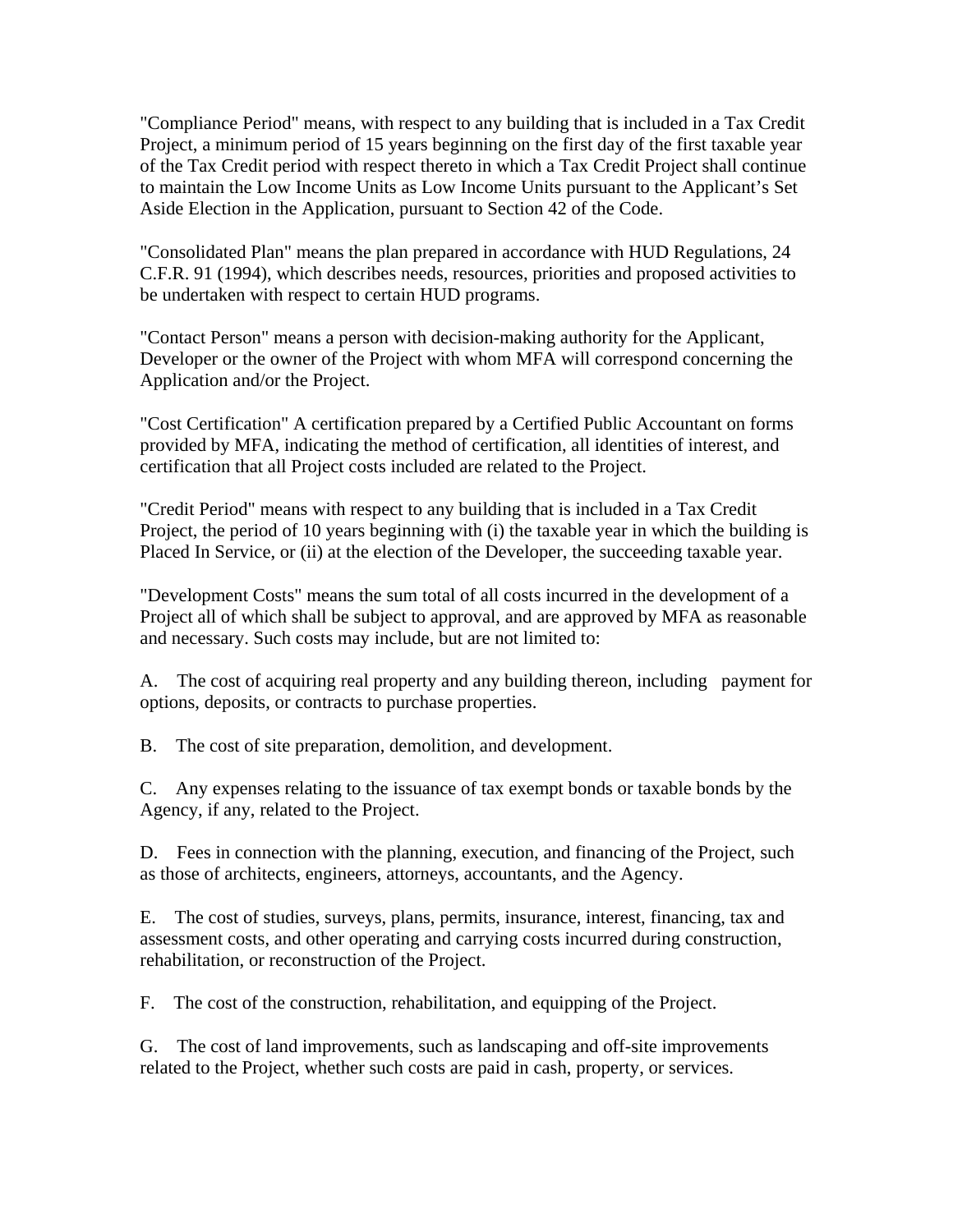"Compliance Period" means, with respect to any building that is included in a Tax Credit Project, a minimum period of 15 years beginning on the first day of the first taxable year of the Tax Credit period with respect thereto in which a Tax Credit Project shall continue to maintain the Low Income Units as Low Income Units pursuant to the Applicant's Set Aside Election in the Application, pursuant to Section 42 of the Code.

"Consolidated Plan" means the plan prepared in accordance with HUD Regulations, 24 C.F.R. 91 (1994), which describes needs, resources, priorities and proposed activities to be undertaken with respect to certain HUD programs.

"Contact Person" means a person with decision-making authority for the Applicant, Developer or the owner of the Project with whom MFA will correspond concerning the Application and/or the Project.

"Cost Certification" A certification prepared by a Certified Public Accountant on forms provided by MFA, indicating the method of certification, all identities of interest, and certification that all Project costs included are related to the Project.

"Credit Period" means with respect to any building that is included in a Tax Credit Project, the period of 10 years beginning with (i) the taxable year in which the building is Placed In Service, or (ii) at the election of the Developer, the succeeding taxable year.

"Development Costs" means the sum total of all costs incurred in the development of a Project all of which shall be subject to approval, and are approved by MFA as reasonable and necessary. Such costs may include, but are not limited to:

A. The cost of acquiring real property and any building thereon, including payment for options, deposits, or contracts to purchase properties.

B. The cost of site preparation, demolition, and development.

C. Any expenses relating to the issuance of tax exempt bonds or taxable bonds by the Agency, if any, related to the Project.

D. Fees in connection with the planning, execution, and financing of the Project, such as those of architects, engineers, attorneys, accountants, and the Agency.

E. The cost of studies, surveys, plans, permits, insurance, interest, financing, tax and assessment costs, and other operating and carrying costs incurred during construction, rehabilitation, or reconstruction of the Project.

F. The cost of the construction, rehabilitation, and equipping of the Project.

G. The cost of land improvements, such as landscaping and off-site improvements related to the Project, whether such costs are paid in cash, property, or services.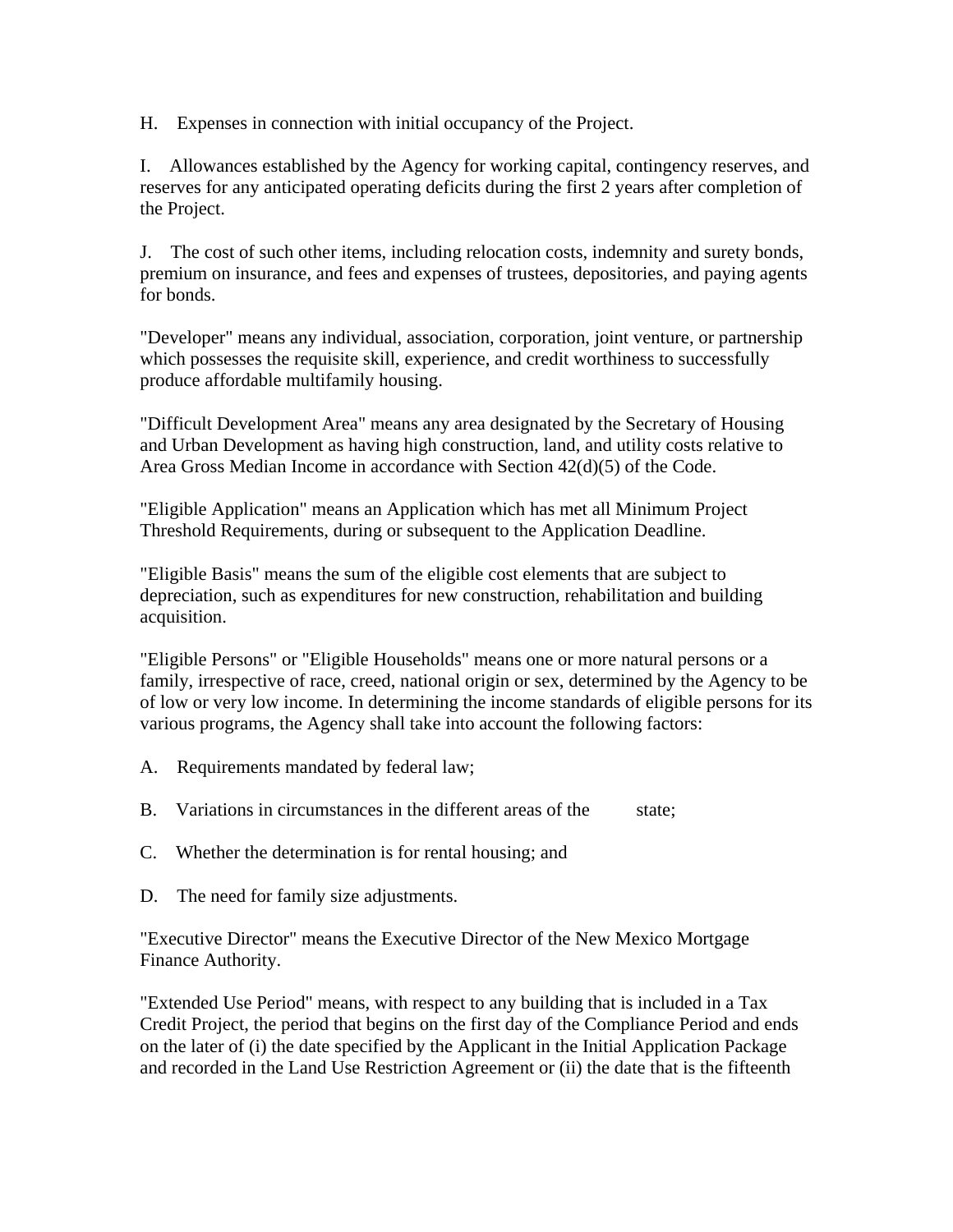H. Expenses in connection with initial occupancy of the Project.

I. Allowances established by the Agency for working capital, contingency reserves, and reserves for any anticipated operating deficits during the first 2 years after completion of the Project.

J. The cost of such other items, including relocation costs, indemnity and surety bonds, premium on insurance, and fees and expenses of trustees, depositories, and paying agents for bonds.

"Developer" means any individual, association, corporation, joint venture, or partnership which possesses the requisite skill, experience, and credit worthiness to successfully produce affordable multifamily housing.

"Difficult Development Area" means any area designated by the Secretary of Housing and Urban Development as having high construction, land, and utility costs relative to Area Gross Median Income in accordance with Section 42(d)(5) of the Code.

"Eligible Application" means an Application which has met all Minimum Project Threshold Requirements, during or subsequent to the Application Deadline.

"Eligible Basis" means the sum of the eligible cost elements that are subject to depreciation, such as expenditures for new construction, rehabilitation and building acquisition.

"Eligible Persons" or "Eligible Households" means one or more natural persons or a family, irrespective of race, creed, national origin or sex, determined by the Agency to be of low or very low income. In determining the income standards of eligible persons for its various programs, the Agency shall take into account the following factors:

- A. Requirements mandated by federal law;
- B. Variations in circumstances in the different areas of the state:
- C. Whether the determination is for rental housing; and
- D. The need for family size adjustments.

"Executive Director" means the Executive Director of the New Mexico Mortgage Finance Authority.

"Extended Use Period" means, with respect to any building that is included in a Tax Credit Project, the period that begins on the first day of the Compliance Period and ends on the later of (i) the date specified by the Applicant in the Initial Application Package and recorded in the Land Use Restriction Agreement or (ii) the date that is the fifteenth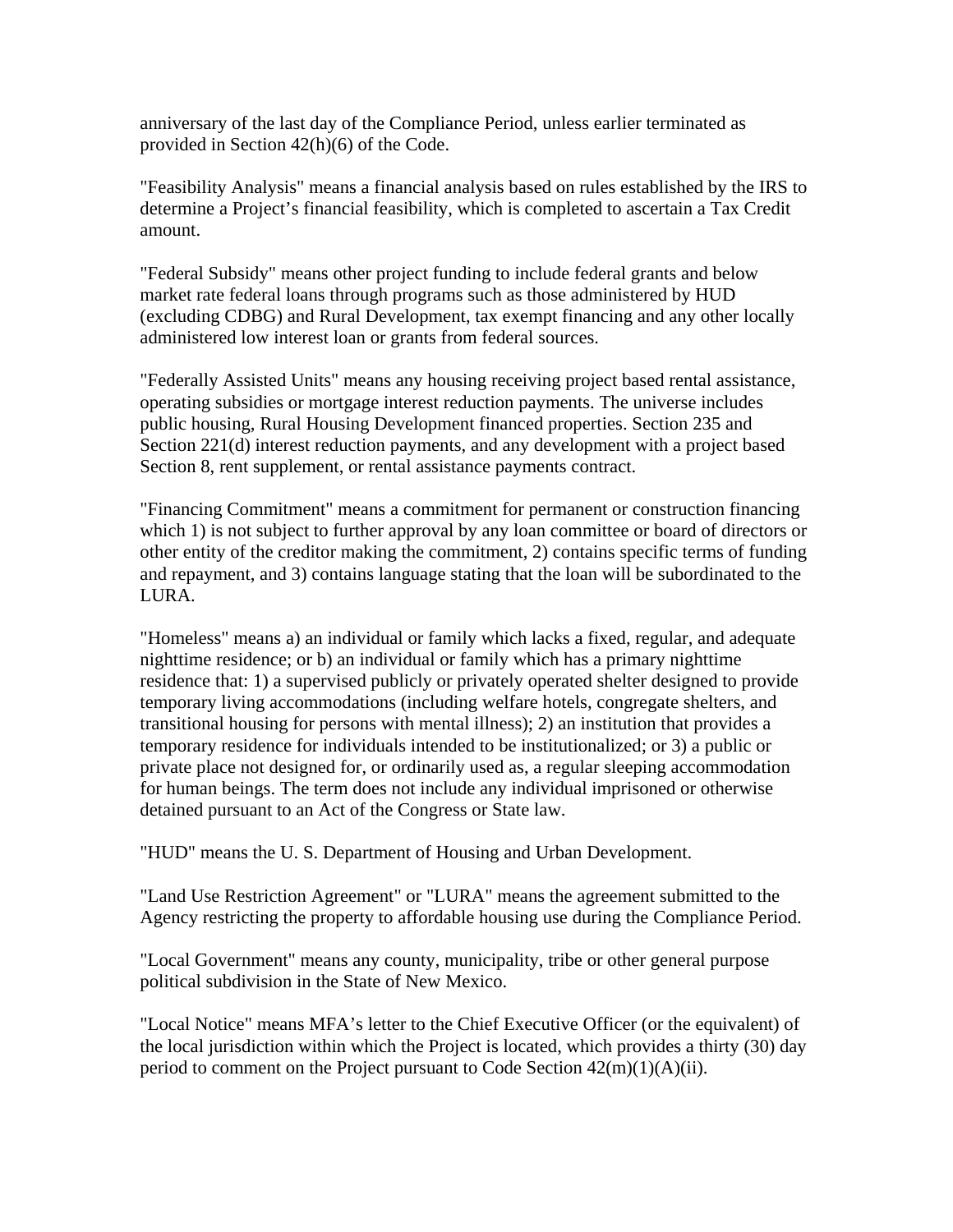anniversary of the last day of the Compliance Period, unless earlier terminated as provided in Section 42(h)(6) of the Code.

"Feasibility Analysis" means a financial analysis based on rules established by the IRS to determine a Project's financial feasibility, which is completed to ascertain a Tax Credit amount.

"Federal Subsidy" means other project funding to include federal grants and below market rate federal loans through programs such as those administered by HUD (excluding CDBG) and Rural Development, tax exempt financing and any other locally administered low interest loan or grants from federal sources.

"Federally Assisted Units" means any housing receiving project based rental assistance, operating subsidies or mortgage interest reduction payments. The universe includes public housing, Rural Housing Development financed properties. Section 235 and Section 221(d) interest reduction payments, and any development with a project based Section 8, rent supplement, or rental assistance payments contract.

"Financing Commitment" means a commitment for permanent or construction financing which 1) is not subject to further approval by any loan committee or board of directors or other entity of the creditor making the commitment, 2) contains specific terms of funding and repayment, and 3) contains language stating that the loan will be subordinated to the LURA.

"Homeless" means a) an individual or family which lacks a fixed, regular, and adequate nighttime residence; or b) an individual or family which has a primary nighttime residence that: 1) a supervised publicly or privately operated shelter designed to provide temporary living accommodations (including welfare hotels, congregate shelters, and transitional housing for persons with mental illness); 2) an institution that provides a temporary residence for individuals intended to be institutionalized; or 3) a public or private place not designed for, or ordinarily used as, a regular sleeping accommodation for human beings. The term does not include any individual imprisoned or otherwise detained pursuant to an Act of the Congress or State law.

"HUD" means the U. S. Department of Housing and Urban Development.

"Land Use Restriction Agreement" or "LURA" means the agreement submitted to the Agency restricting the property to affordable housing use during the Compliance Period.

"Local Government" means any county, municipality, tribe or other general purpose political subdivision in the State of New Mexico.

"Local Notice" means MFA's letter to the Chief Executive Officer (or the equivalent) of the local jurisdiction within which the Project is located, which provides a thirty (30) day period to comment on the Project pursuant to Code Section 42(m)(1)(A)(ii).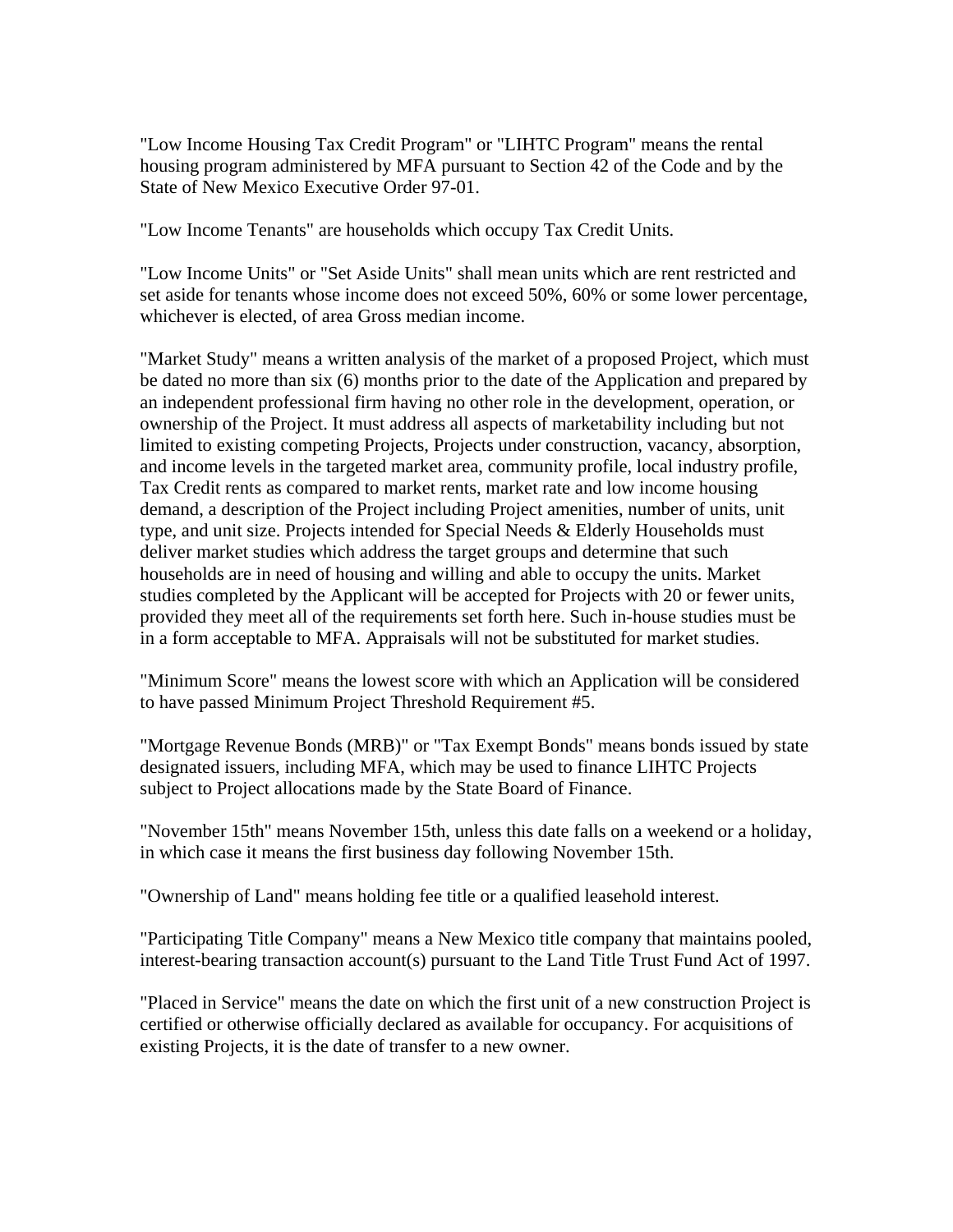"Low Income Housing Tax Credit Program" or "LIHTC Program" means the rental housing program administered by MFA pursuant to Section 42 of the Code and by the State of New Mexico Executive Order 97-01.

"Low Income Tenants" are households which occupy Tax Credit Units.

"Low Income Units" or "Set Aside Units" shall mean units which are rent restricted and set aside for tenants whose income does not exceed 50%, 60% or some lower percentage, whichever is elected, of area Gross median income.

"Market Study" means a written analysis of the market of a proposed Project, which must be dated no more than six (6) months prior to the date of the Application and prepared by an independent professional firm having no other role in the development, operation, or ownership of the Project. It must address all aspects of marketability including but not limited to existing competing Projects, Projects under construction, vacancy, absorption, and income levels in the targeted market area, community profile, local industry profile, Tax Credit rents as compared to market rents, market rate and low income housing demand, a description of the Project including Project amenities, number of units, unit type, and unit size. Projects intended for Special Needs & Elderly Households must deliver market studies which address the target groups and determine that such households are in need of housing and willing and able to occupy the units. Market studies completed by the Applicant will be accepted for Projects with 20 or fewer units, provided they meet all of the requirements set forth here. Such in-house studies must be in a form acceptable to MFA. Appraisals will not be substituted for market studies.

"Minimum Score" means the lowest score with which an Application will be considered to have passed Minimum Project Threshold Requirement #5.

"Mortgage Revenue Bonds (MRB)" or "Tax Exempt Bonds" means bonds issued by state designated issuers, including MFA, which may be used to finance LIHTC Projects subject to Project allocations made by the State Board of Finance.

"November 15th" means November 15th, unless this date falls on a weekend or a holiday, in which case it means the first business day following November 15th.

"Ownership of Land" means holding fee title or a qualified leasehold interest.

"Participating Title Company" means a New Mexico title company that maintains pooled, interest-bearing transaction account(s) pursuant to the Land Title Trust Fund Act of 1997.

"Placed in Service" means the date on which the first unit of a new construction Project is certified or otherwise officially declared as available for occupancy. For acquisitions of existing Projects, it is the date of transfer to a new owner.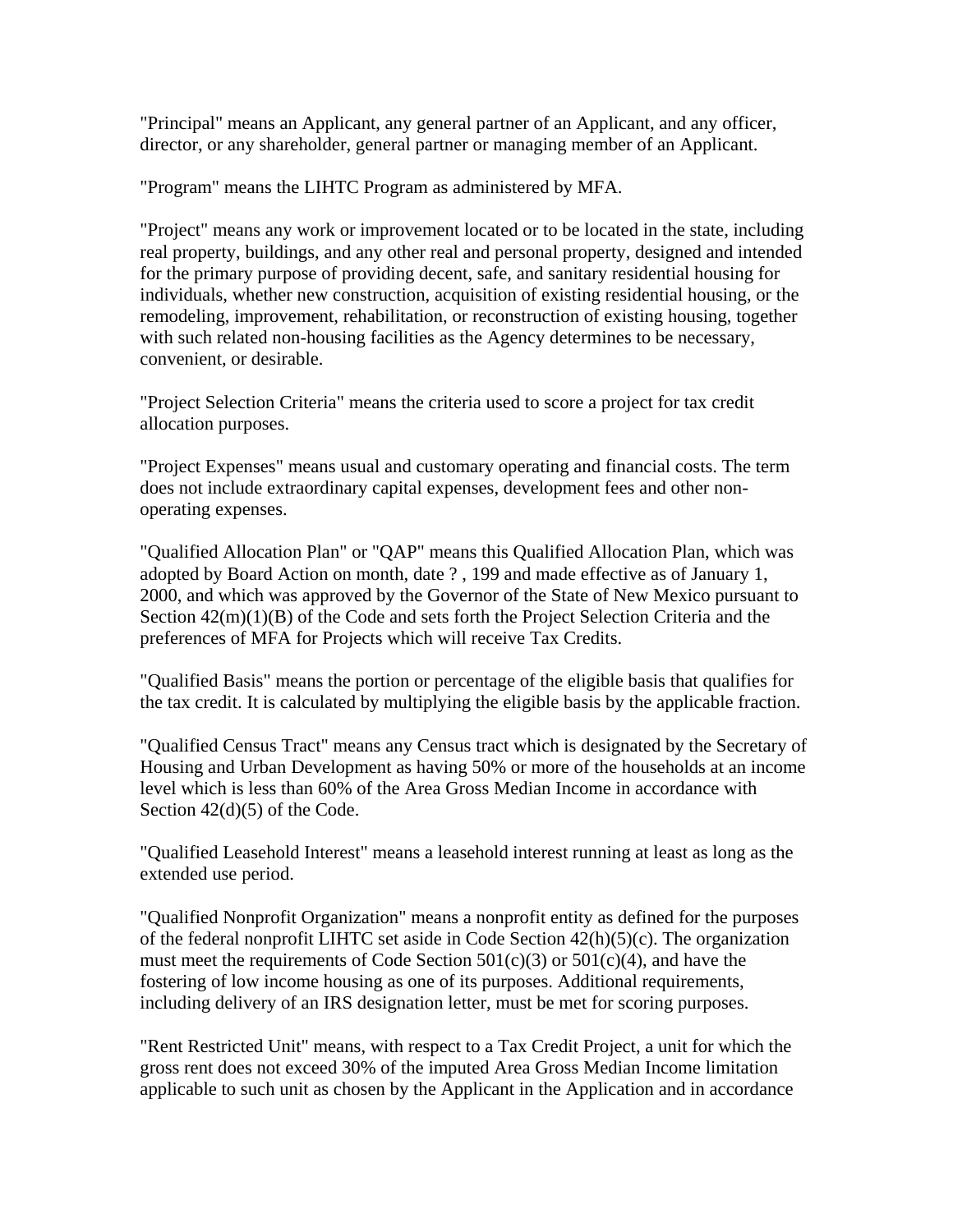"Principal" means an Applicant, any general partner of an Applicant, and any officer, director, or any shareholder, general partner or managing member of an Applicant.

"Program" means the LIHTC Program as administered by MFA.

"Project" means any work or improvement located or to be located in the state, including real property, buildings, and any other real and personal property, designed and intended for the primary purpose of providing decent, safe, and sanitary residential housing for individuals, whether new construction, acquisition of existing residential housing, or the remodeling, improvement, rehabilitation, or reconstruction of existing housing, together with such related non-housing facilities as the Agency determines to be necessary, convenient, or desirable.

"Project Selection Criteria" means the criteria used to score a project for tax credit allocation purposes.

"Project Expenses" means usual and customary operating and financial costs. The term does not include extraordinary capital expenses, development fees and other nonoperating expenses.

"Qualified Allocation Plan" or "QAP" means this Qualified Allocation Plan, which was adopted by Board Action on month, date ? , 199 and made effective as of January 1, 2000, and which was approved by the Governor of the State of New Mexico pursuant to Section 42(m)(1)(B) of the Code and sets forth the Project Selection Criteria and the preferences of MFA for Projects which will receive Tax Credits.

"Qualified Basis" means the portion or percentage of the eligible basis that qualifies for the tax credit. It is calculated by multiplying the eligible basis by the applicable fraction.

"Qualified Census Tract" means any Census tract which is designated by the Secretary of Housing and Urban Development as having 50% or more of the households at an income level which is less than 60% of the Area Gross Median Income in accordance with Section 42(d)(5) of the Code.

"Qualified Leasehold Interest" means a leasehold interest running at least as long as the extended use period.

"Qualified Nonprofit Organization" means a nonprofit entity as defined for the purposes of the federal nonprofit LIHTC set aside in Code Section 42(h)(5)(c). The organization must meet the requirements of Code Section  $501(c)(3)$  or  $501(c)(4)$ , and have the fostering of low income housing as one of its purposes. Additional requirements, including delivery of an IRS designation letter, must be met for scoring purposes.

"Rent Restricted Unit" means, with respect to a Tax Credit Project, a unit for which the gross rent does not exceed 30% of the imputed Area Gross Median Income limitation applicable to such unit as chosen by the Applicant in the Application and in accordance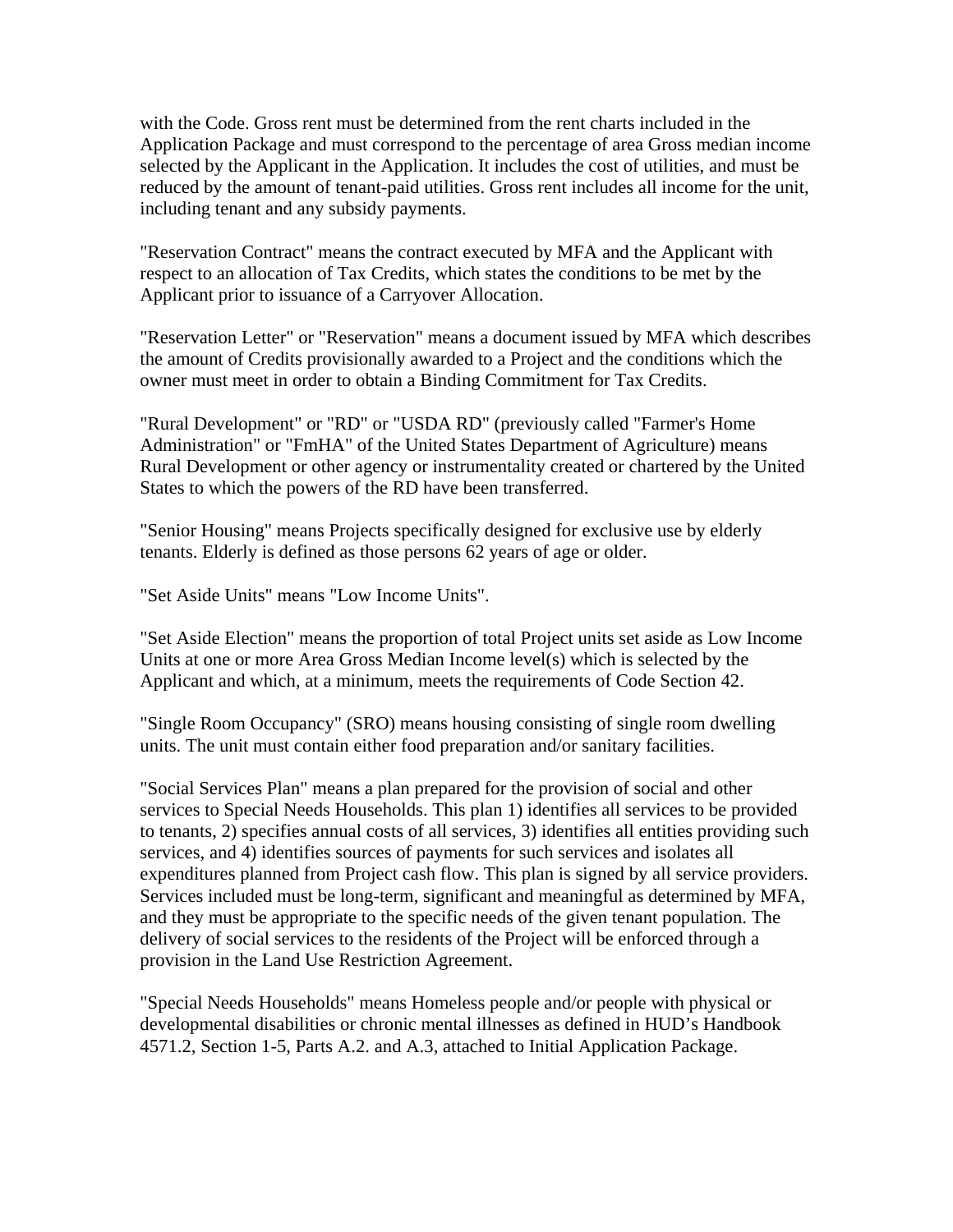with the Code. Gross rent must be determined from the rent charts included in the Application Package and must correspond to the percentage of area Gross median income selected by the Applicant in the Application. It includes the cost of utilities, and must be reduced by the amount of tenant-paid utilities. Gross rent includes all income for the unit, including tenant and any subsidy payments.

"Reservation Contract" means the contract executed by MFA and the Applicant with respect to an allocation of Tax Credits, which states the conditions to be met by the Applicant prior to issuance of a Carryover Allocation.

"Reservation Letter" or "Reservation" means a document issued by MFA which describes the amount of Credits provisionally awarded to a Project and the conditions which the owner must meet in order to obtain a Binding Commitment for Tax Credits.

"Rural Development" or "RD" or "USDA RD" (previously called "Farmer's Home Administration" or "FmHA" of the United States Department of Agriculture) means Rural Development or other agency or instrumentality created or chartered by the United States to which the powers of the RD have been transferred.

"Senior Housing" means Projects specifically designed for exclusive use by elderly tenants. Elderly is defined as those persons 62 years of age or older.

"Set Aside Units" means "Low Income Units".

"Set Aside Election" means the proportion of total Project units set aside as Low Income Units at one or more Area Gross Median Income level(s) which is selected by the Applicant and which, at a minimum, meets the requirements of Code Section 42.

"Single Room Occupancy" (SRO) means housing consisting of single room dwelling units. The unit must contain either food preparation and/or sanitary facilities.

"Social Services Plan" means a plan prepared for the provision of social and other services to Special Needs Households. This plan 1) identifies all services to be provided to tenants, 2) specifies annual costs of all services, 3) identifies all entities providing such services, and 4) identifies sources of payments for such services and isolates all expenditures planned from Project cash flow. This plan is signed by all service providers. Services included must be long-term, significant and meaningful as determined by MFA, and they must be appropriate to the specific needs of the given tenant population. The delivery of social services to the residents of the Project will be enforced through a provision in the Land Use Restriction Agreement.

"Special Needs Households" means Homeless people and/or people with physical or developmental disabilities or chronic mental illnesses as defined in HUD's Handbook 4571.2, Section 1-5, Parts A.2. and A.3, attached to Initial Application Package.